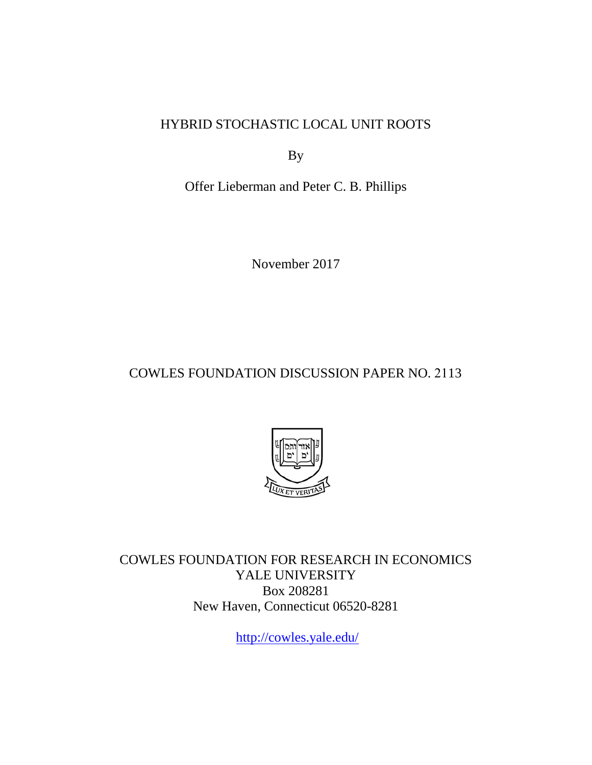HYBRID STOCHASTIC LOCAL UNIT ROOTS

By

Offer Lieberman and Peter C. B. Phillips

November 2017

COWLES FOUNDATION DISCUSSION PAPER NO. 2113



COWLES FOUNDATION FOR RESEARCH IN ECONOMICS YALE UNIVERSITY Box 208281 New Haven, Connecticut 06520-8281

<http://cowles.yale.edu/>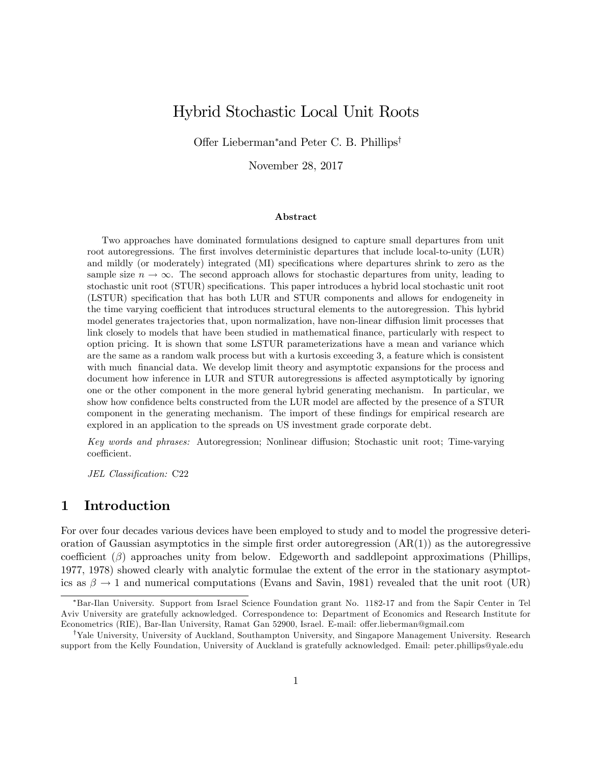# Hybrid Stochastic Local Unit Roots

Offer Lieberman<sup>\*</sup> and Peter C. B. Phillips<sup>†</sup>

November 28, 2017

#### Abstract

Two approaches have dominated formulations designed to capture small departures from unit root autoregressions. The first involves deterministic departures that include local-to-unity (LUR) and mildly (or moderately) integrated (MI) specifications where departures shrink to zero as the sample size  $n \to \infty$ . The second approach allows for stochastic departures from unity, leading to stochastic unit root (STUR) specifications. This paper introduces a hybrid local stochastic unit root (LSTUR) specification that has both LUR and STUR components and allows for endogeneity in the time varying coefficient that introduces structural elements to the autoregression. This hybrid model generates trajectories that, upon normalization, have non-linear diffusion limit processes that link closely to models that have been studied in mathematical finance, particularly with respect to option pricing. It is shown that some LSTUR parameterizations have a mean and variance which are the same as a random walk process but with a kurtosis exceeding 3, a feature which is consistent with much financial data. We develop limit theory and asymptotic expansions for the process and document how inference in LUR and STUR autoregressions is affected asymptotically by ignoring one or the other component in the more general hybrid generating mechanism. In particular, we show how confidence belts constructed from the LUR model are affected by the presence of a STUR component in the generating mechanism. The import of these findings for empirical research are explored in an application to the spreads on US investment grade corporate debt.

Key words and phrases: Autoregression; Nonlinear diffusion; Stochastic unit root; Time-varying coefficient.

JEL Classification: C22

### 1 Introduction

For over four decades various devices have been employed to study and to model the progressive deterioration of Gaussian asymptotics in the simple first order autoregression  $(AR(1))$  as the autoregressive coefficient  $(\beta)$  approaches unity from below. Edgeworth and saddlepoint approximations (Phillips, 1977, 1978) showed clearly with analytic formulae the extent of the error in the stationary asymptotics as  $\beta \to 1$  and numerical computations (Evans and Savin, 1981) revealed that the unit root (UR)

Bar-Ilan University. Support from Israel Science Foundation grant No. 1182-17 and from the Sapir Center in Tel Aviv University are gratefully acknowledged. Correspondence to: Department of Economics and Research Institute for Econometrics (RIE), Bar-Ilan University, Ramat Gan 52900, Israel. E-mail: offer.lieberman@gmail.com

<sup>&</sup>lt;sup>†</sup>Yale University, University of Auckland, Southampton University, and Singapore Management University. Research support from the Kelly Foundation, University of Auckland is gratefully acknowledged. Email: peter.phillips@yale.edu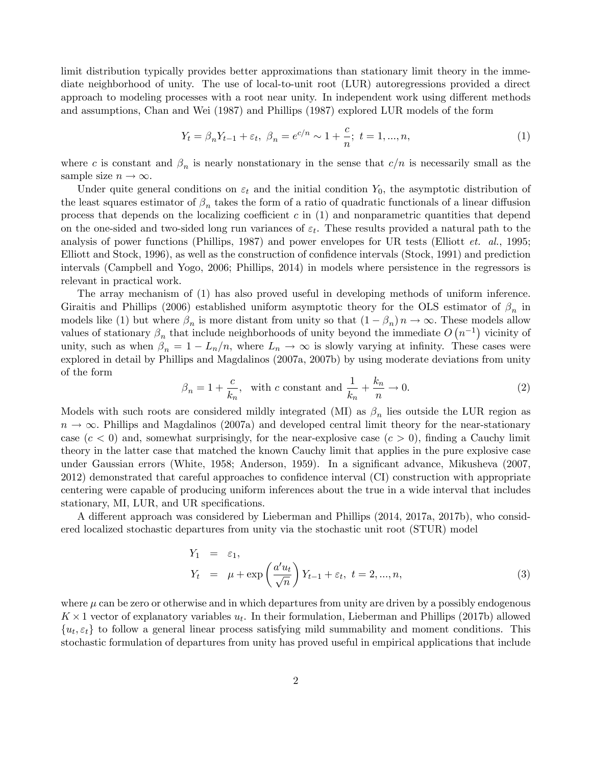limit distribution typically provides better approximations than stationary limit theory in the immediate neighborhood of unity. The use of local-to-unit root (LUR) autoregressions provided a direct approach to modeling processes with a root near unity. In independent work using different methods and assumptions, Chan and Wei (1987) and Phillips (1987) explored LUR models of the form

$$
Y_t = \beta_n Y_{t-1} + \varepsilon_t, \ \beta_n = e^{c/n} \sim 1 + \frac{c}{n}; \ t = 1, ..., n,
$$
 (1)

where c is constant and  $\beta_n$  is nearly nonstationary in the sense that  $c/n$  is necessarily small as the sample size  $n \to \infty$ .

Under quite general conditions on  $\varepsilon_t$  and the initial condition  $Y_0$ , the asymptotic distribution of the least squares estimator of  $\beta_n$  takes the form of a ratio of quadratic functionals of a linear diffusion process that depends on the localizing coefficient c in  $(1)$  and nonparametric quantities that depend on the one-sided and two-sided long run variances of  $\varepsilon_t$ . These results provided a natural path to the analysis of power functions (Phillips, 1987) and power envelopes for UR tests (Elliott *et. al.*, 1995; Elliott and Stock, 1996), as well as the construction of confidence intervals (Stock, 1991) and prediction intervals (Campbell and Yogo, 2006; Phillips, 2014) in models where persistence in the regressors is relevant in practical work.

The array mechanism of (1) has also proved useful in developing methods of uniform inference. Giraitis and Phillips (2006) established uniform asymptotic theory for the OLS estimator of  $\beta_n$  in models like (1) but where  $\beta_n$  is more distant from unity so that  $(1 - \beta_n)n \to \infty$ . These models allow values of stationary  $\beta_n$  that include neighborhoods of unity beyond the immediate  $O(n^{-1})$  vicinity of unity, such as when  $\beta_n = 1 - L_n/n$ , where  $L_n \to \infty$  is slowly varying at infinity. These cases were explored in detail by Phillips and Magdalinos (2007a, 2007b) by using moderate deviations from unity of the form

$$
\beta_n = 1 + \frac{c}{k_n}, \quad \text{with } c \text{ constant and } \frac{1}{k_n} + \frac{k_n}{n} \to 0. \tag{2}
$$

Models with such roots are considered mildly integrated (MI) as  $\beta_n$  lies outside the LUR region as  $n \to \infty$ . Phillips and Magdalinos (2007a) and developed central limit theory for the near-stationary case  $(c < 0)$  and, somewhat surprisingly, for the near-explosive case  $(c > 0)$ , finding a Cauchy limit theory in the latter case that matched the known Cauchy limit that applies in the pure explosive case under Gaussian errors (White, 1958; Anderson, 1959). In a significant advance, Mikusheva (2007, 2012) demonstrated that careful approaches to confidence interval (CI) construction with appropriate centering were capable of producing uniform inferences about the true in a wide interval that includes stationary, MI, LUR, and UR specifications.

A different approach was considered by Lieberman and Phillips (2014, 2017a, 2017b), who considered localized stochastic departures from unity via the stochastic unit root (STUR) model

$$
Y_1 = \varepsilon_1,
$$
  
\n
$$
Y_t = \mu + \exp\left(\frac{a'u_t}{\sqrt{n}}\right) Y_{t-1} + \varepsilon_t, \ t = 2, ..., n,
$$
\n(3)

where  $\mu$  can be zero or otherwise and in which departures from unity are driven by a possibly endogenous  $K \times 1$  vector of explanatory variables  $u_t$ . In their formulation, Lieberman and Phillips (2017b) allowed  ${u_t, \varepsilon_t}$  to follow a general linear process satisfying mild summability and moment conditions. This stochastic formulation of departures from unity has proved useful in empirical applications that include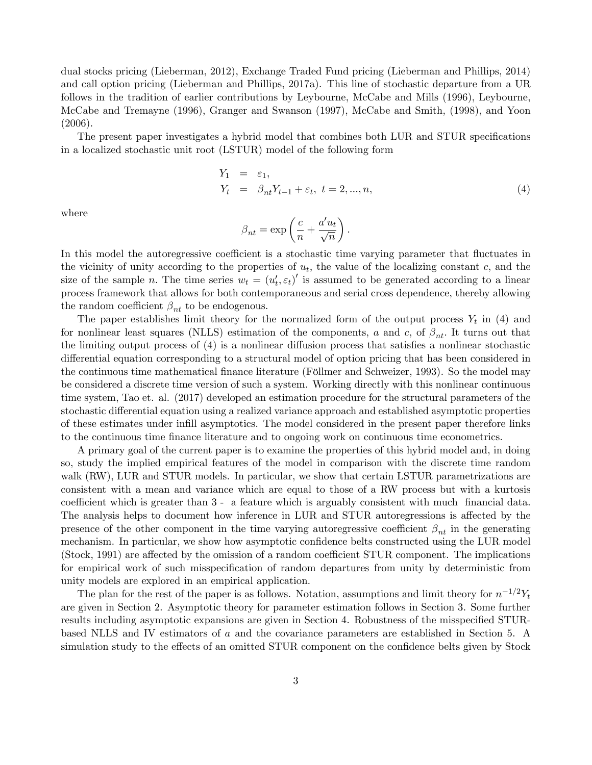dual stocks pricing (Lieberman, 2012), Exchange Traded Fund pricing (Lieberman and Phillips, 2014) and call option pricing (Lieberman and Phillips, 2017a). This line of stochastic departure from a UR follows in the tradition of earlier contributions by Leybourne, McCabe and Mills (1996), Leybourne, McCabe and Tremayne (1996), Granger and Swanson (1997), McCabe and Smith, (1998), and Yoon (2006).

The present paper investigates a hybrid model that combines both LUR and STUR specifications in a localized stochastic unit root (LSTUR) model of the following form

$$
Y_1 = \varepsilon_1,Y_t = \beta_{nt} Y_{t-1} + \varepsilon_t, t = 2, ..., n,
$$
\n(4)

where

$$
\beta_{nt} = \exp\left(\frac{c}{n} + \frac{a'u_t}{\sqrt{n}}\right).
$$

In this model the autoregressive coefficient is a stochastic time varying parameter that fluctuates in the vicinity of unity according to the properties of  $u_t$ , the value of the localizing constant c, and the size of the sample n. The time series  $w_t = (u'_t, \varepsilon_t)'$  is assumed to be generated according to a linear process framework that allows for both contemporaneous and serial cross dependence, thereby allowing the random coefficient  $\beta_{nt}$  to be endogenous.

The paper establishes limit theory for the normalized form of the output process  $Y_t$  in (4) and for nonlinear least squares (NLLS) estimation of the components, a and c, of  $\beta_{nt}$ . It turns out that the limiting output process of  $(4)$  is a nonlinear diffusion process that satisfies a nonlinear stochastic differential equation corresponding to a structural model of option pricing that has been considered in the continuous time mathematical finance literature (Föllmer and Schweizer, 1993). So the model may be considered a discrete time version of such a system. Working directly with this nonlinear continuous time system, Tao et. al. (2017) developed an estimation procedure for the structural parameters of the stochastic differential equation using a realized variance approach and established asymptotic properties of these estimates under inÖll asymptotics. The model considered in the present paper therefore links to the continuous time Önance literature and to ongoing work on continuous time econometrics.

A primary goal of the current paper is to examine the properties of this hybrid model and, in doing so, study the implied empirical features of the model in comparison with the discrete time random walk (RW), LUR and STUR models. In particular, we show that certain LSTUR parametrizations are consistent with a mean and variance which are equal to those of a RW process but with a kurtosis coefficient which is greater than  $3$  - a feature which is arguably consistent with much financial data. The analysis helps to document how inference in LUR and STUR autoregressions is affected by the presence of the other component in the time varying autoregressive coefficient  $\beta_{nt}$  in the generating mechanism. In particular, we show how asymptotic confidence belts constructed using the LUR model  $(Stock, 1991)$  are affected by the omission of a random coefficient STUR component. The implications for empirical work of such misspecification of random departures from unity by deterministic from unity models are explored in an empirical application.

The plan for the rest of the paper is as follows. Notation, assumptions and limit theory for  $n^{-1/2}Y_t$ are given in Section 2. Asymptotic theory for parameter estimation follows in Section 3. Some further results including asymptotic expansions are given in Section 4. Robustness of the misspecified STURbased NLLS and IV estimators of a and the covariance parameters are established in Section 5. A simulation study to the effects of an omitted STUR component on the confidence belts given by Stock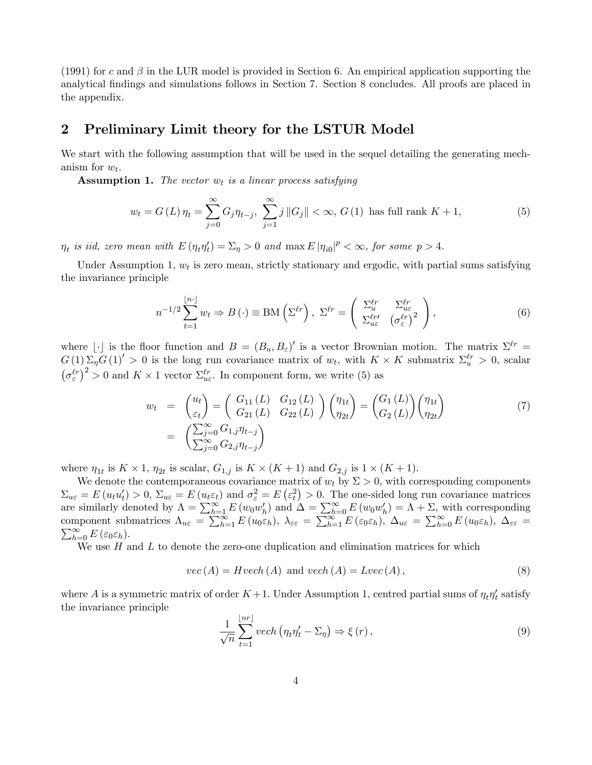(1991) for c and  $\beta$  in the LUR model is provided in Section 6. An empirical application supporting the analytical findings and simulations follows in Section 7. Section 8 concludes. All proofs are placed in the appendix.

#### 2 Preliminary Limit theory for the LSTUR Model

We start with the following assumption that will be used in the sequel detailing the generating mechanism for  $w_t$ .

**Assumption 1.** The vector  $w_t$  is a linear process satisfying

$$
w_t = G(L)\,\eta_t = \sum_{j=0}^{\infty} G_j \eta_{t-j},\,\,\sum_{j=1}^{\infty} j\,\|G_j\| < \infty,\,G(1)\,\text{ has full rank }K+1,\tag{5}
$$

 $\eta_t$  is iid, zero mean with  $E(\eta_t \eta'_t) = \Sigma_\eta > 0$  and  $\max E |\eta_{i0}|^p < \infty$ , for some  $p > 4$ .

Under Assumption 1,  $w_t$  is zero mean, strictly stationary and ergodic, with partial sums satisfying the invariance principle

$$
n^{-1/2} \sum_{t=1}^{\lfloor n \cdot \rfloor} w_t \Rightarrow B(\cdot) \equiv \text{BM}\left(\Sigma^{\ell r}\right), \ \Sigma^{\ell r} = \left(\begin{array}{cc} \Sigma_u^{\ell r} & \Sigma_{u\varepsilon}^{\ell r} \\ \Sigma_{u\varepsilon}^{\ell r'} & (\sigma_{\varepsilon}^{\ell r})^2 \end{array}\right),\tag{6}
$$

where  $\lfloor \cdot \rfloor$  is the floor function and  $B = (B_u, B_{\varepsilon})'$  is a vector Brownian motion. The matrix  $\Sigma^{\ell r} =$  $G(1)\Sigma_{\eta}G(1)^{'} > 0$  is the long run covariance matrix of  $w_t$ , with  $K \times K$  submatrix  $\Sigma_{u}^{\ell r} > 0$ , scalar  $(\sigma_{\varepsilon}^{\ell r})^2 > 0$  and  $K \times 1$  vector  $\Sigma_{u\varepsilon}^{\ell r}$ . In component form, we write (5) as

$$
w_{t} = \begin{pmatrix} u_{t} \\ \varepsilon_{t} \end{pmatrix} = \begin{pmatrix} G_{11}(L) & G_{12}(L) \\ G_{21}(L) & G_{22}(L) \end{pmatrix} \begin{pmatrix} \eta_{1t} \\ \eta_{2t} \end{pmatrix} = \begin{pmatrix} G_{1}(L) \\ G_{2}(L) \end{pmatrix} \begin{pmatrix} \eta_{1t} \\ \eta_{2t} \end{pmatrix}
$$
  
= 
$$
\begin{pmatrix} \sum_{j=0}^{\infty} G_{1,j} \eta_{t-j} \\ \sum_{j=0}^{\infty} G_{2,j} \eta_{t-j} \end{pmatrix}
$$
 (7)

where  $\eta_{1t}$  is  $K \times 1$ ,  $\eta_{2t}$  is scalar,  $G_{1,j}$  is  $K \times (K+1)$  and  $G_{2,j}$  is  $1 \times (K+1)$ .

We denote the contemporaneous covariance matrix of  $w_t$  by  $\Sigma > 0$ , with corresponding components  $\Sigma_{u\varepsilon} = E(u_t u'_t) > 0$ ,  $\Sigma_{u\varepsilon} = E(u_t \varepsilon_t)$  and  $\sigma_{\varepsilon}^2 = E(\varepsilon_t^2) > 0$ . The one-sided long run covariance matrices are similarly denoted by  $\Lambda = \sum_{h=1}^{\infty} E(w_0 w'_h)$  and  $\Delta = \sum_{h=0}^{\infty} E(w_0 w'_h) = \Lambda + \Sigma$ , with corresponding component submatrices  $\Lambda_{u\varepsilon} = \sum_{h=1}^{\infty} E(u_0 \varepsilon_h)$ ,  $\lambda_{\varepsilon\varepsilon} = \sum_{h=1}^{\infty} E(\varepsilon_0 \varepsilon_h)$ ,  $\Delta_{u\varepsilon} = \sum_{h=0}^{\infty} E(u_0 \varepsilon_h)$ ,  $\Delta_{\varepsilon\varepsilon} =$  $\sum_{h=0}^{\infty} E(\varepsilon_0 \varepsilon_h).$ 

We use  $H$  and  $L$  to denote the zero-one duplication and elimination matrices for which

$$
vec(A) = Hvech(A) \text{ and } vech(A) = Lvec(A), \qquad (8)
$$

where A is a symmetric matrix of order  $K+1$ . Under Assumption 1, centred partial sums of  $\eta_t \eta'_t$  satisfy the invariance principle

$$
\frac{1}{\sqrt{n}}\sum_{t=1}^{\lfloor nr \rfloor} vech \left(\eta_t \eta'_t - \Sigma_\eta\right) \Rightarrow \xi(r) , \qquad (9)
$$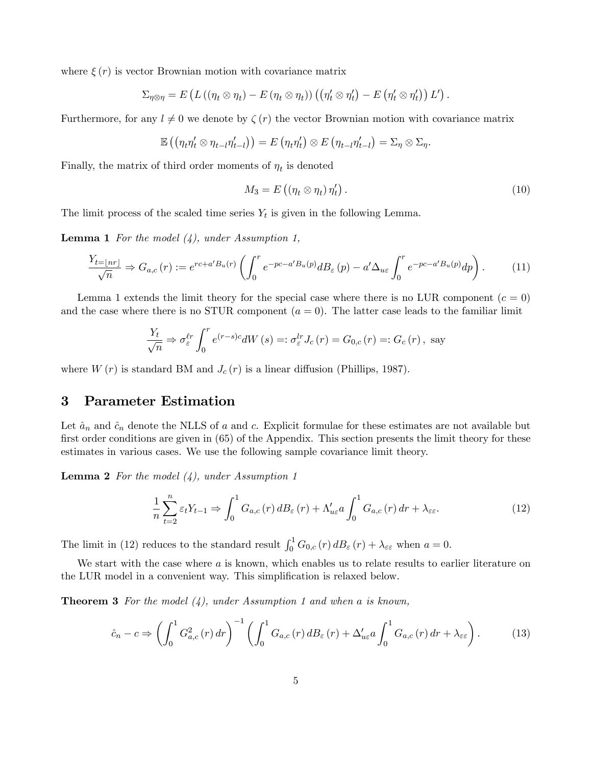where  $\xi(r)$  is vector Brownian motion with covariance matrix

$$
\Sigma_{\eta \otimes \eta} = E \left( L \left( (\eta_t \otimes \eta_t) - E (\eta_t \otimes \eta_t) \right) \left( (\eta_t' \otimes \eta_t') - E (\eta_t' \otimes \eta_t') \right) L' \right).
$$

Furthermore, for any  $l \neq 0$  we denote by  $\zeta(r)$  the vector Brownian motion with covariance matrix

$$
\mathbb{E}\left((\eta_t\eta'_t\otimes\eta_{t-l}\eta'_{t-l})\right)=E\left(\eta_t\eta'_t\right)\otimes E\left(\eta_{t-l}\eta'_{t-l}\right)=\Sigma_\eta\otimes\Sigma_\eta.
$$

Finally, the matrix of third order moments of  $\eta_t$  is denoted

$$
M_3 = E\left((\eta_t \otimes \eta_t)\,\eta'_t\right). \tag{10}
$$

The limit process of the scaled time series  $Y_t$  is given in the following Lemma.

**Lemma 1** For the model  $(4)$ , under Assumption 1,

$$
\frac{Y_{t=|nr|}}{\sqrt{n}} \Rightarrow G_{a,c}(r) := e^{rc+a'B_u(r)} \left( \int_0^r e^{-pc-a'B_u(p)} dB_{\varepsilon}(p) - a'\Delta_{u\varepsilon} \int_0^r e^{-pc-a'B_u(p)} dp \right). \tag{11}
$$

Lemma 1 extends the limit theory for the special case where there is no LUR component  $(c = 0)$ and the case where there is no STUR component  $(a = 0)$ . The latter case leads to the familiar limit

$$
\frac{Y_t}{\sqrt{n}} \Rightarrow \sigma_{\varepsilon}^{\ell r} \int_0^r e^{(r-s)c} dW(s) =: \sigma_{\varepsilon}^{lr} J_c(r) = G_{0,c}(r) =: G_c(r), \text{ say}
$$

where  $W(r)$  is standard BM and  $J_c(r)$  is a linear diffusion (Phillips, 1987).

#### 3 Parameter Estimation

Let  $\hat{a}_n$  and  $\hat{c}_n$  denote the NLLS of a and c. Explicit formulae for these estimates are not available but first order conditions are given in  $(65)$  of the Appendix. This section presents the limit theory for these estimates in various cases. We use the following sample covariance limit theory.

**Lemma 2** For the model  $(4)$ , under Assumption 1

$$
\frac{1}{n}\sum_{t=2}^{n}\varepsilon_{t}Y_{t-1} \Rightarrow \int_{0}^{1}G_{a,c}(r) dB_{\varepsilon}(r) + \Lambda_{u\varepsilon}' a \int_{0}^{1}G_{a,c}(r) dr + \lambda_{\varepsilon\varepsilon}.
$$
\n(12)

The limit in (12) reduces to the standard result  $\int_0^1 G_{0,c}(r) d B_{\varepsilon}(r) + \lambda_{\varepsilon \varepsilon}$  when  $a = 0$ .

We start with the case where  $a$  is known, which enables us to relate results to earlier literature on the LUR model in a convenient way. This simplification is relaxed below.

**Theorem 3** For the model  $(4)$ , under Assumption 1 and when a is known,

$$
\hat{c}_n - c \Rightarrow \left( \int_0^1 G_{a,c}^2(r) \, dr \right)^{-1} \left( \int_0^1 G_{a,c}(r) \, dB_\varepsilon(r) + \Delta'_{u\varepsilon} a \int_0^1 G_{a,c}(r) \, dr + \lambda_{\varepsilon\varepsilon} \right). \tag{13}
$$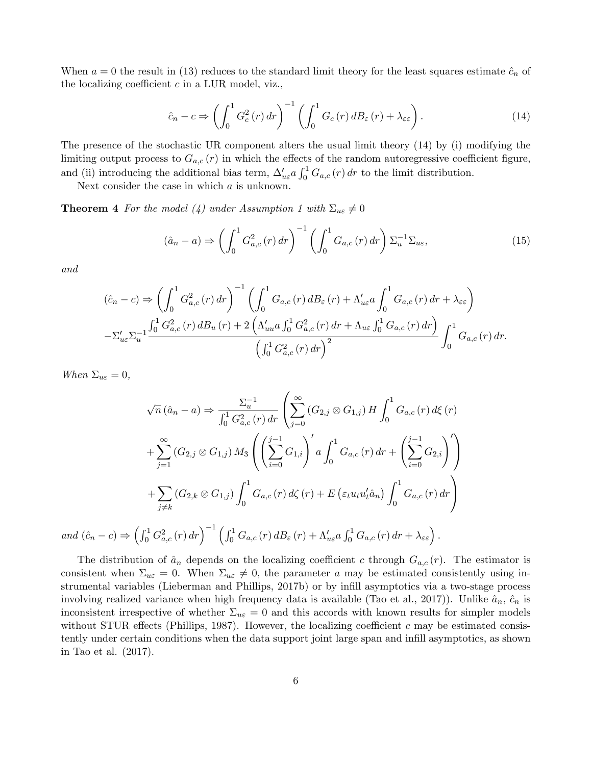When  $a = 0$  the result in (13) reduces to the standard limit theory for the least squares estimate  $\hat{c}_n$  of the localizing coefficient  $c$  in a LUR model, viz.,

$$
\hat{c}_n - c \Rightarrow \left( \int_0^1 G_c^2(r) \, dr \right)^{-1} \left( \int_0^1 G_c(r) \, dB_\varepsilon(r) + \lambda_{\varepsilon \varepsilon} \right). \tag{14}
$$

The presence of the stochastic UR component alters the usual limit theory (14) by (i) modifying the limiting output process to  $G_{a,c}(r)$  in which the effects of the random autoregressive coefficient figure, and (ii) introducing the additional bias term,  $\Delta'_{ue} a \int_0^1 G_{a,c}(r) dr$  to the limit distribution.

Next consider the case in which a is unknown.

**Theorem 4** For the model (4) under Assumption 1 with  $\Sigma_{ue} \neq 0$ 

$$
(\hat{a}_n - a) \Rightarrow \left( \int_0^1 G_{a,c}^2(r) dr \right)^{-1} \left( \int_0^1 G_{a,c}(r) dr \right) \Sigma_u^{-1} \Sigma_{u\varepsilon}, \tag{15}
$$

and

$$
(\hat{c}_n - c) \Rightarrow \left(\int_0^1 G_{a,c}^2(r) dr\right)^{-1} \left(\int_0^1 G_{a,c}(r) dB_{\varepsilon}(r) + \Lambda_{ue}' a \int_0^1 G_{a,c}(r) dr + \lambda_{\varepsilon\varepsilon}\right)
$$
  

$$
-\Sigma_{ue}' \Sigma_u^{-1} \frac{\int_0^1 G_{a,c}^2(r) dB_u(r) + 2\left(\Lambda_{uu}' a \int_0^1 G_{a,c}^2(r) dr + \Lambda_{ue} \int_0^1 G_{a,c}(r) dr\right)}{\left(\int_0^1 G_{a,c}^2(r) dr\right)^2} \int_0^1 G_{a,c}(r) dr.
$$

When  $\Sigma_{u\varepsilon} = 0$ ,

$$
\sqrt{n} (\hat{a}_n - a) \Rightarrow \frac{\Sigma_u^{-1}}{\int_0^1 G_{a,c}^2(r) dr} \left( \sum_{j=0}^\infty (G_{2,j} \otimes G_{1,j}) H \int_0^1 G_{a,c}(r) d\xi(r) \right)
$$
  
+ 
$$
\sum_{j=1}^\infty (G_{2,j} \otimes G_{1,j}) M_3 \left( \left( \sum_{i=0}^{j-1} G_{1,i} \right)' a \int_0^1 G_{a,c}(r) dr + \left( \sum_{i=0}^{j-1} G_{2,i} \right)' \right)
$$
  
+ 
$$
\sum_{j \neq k} (G_{2,k} \otimes G_{1,j}) \int_0^1 G_{a,c}(r) d\zeta(r) + E \left( \varepsilon_t u_t u_t' \hat{a}_n \right) \int_0^1 G_{a,c}(r) dr \right)
$$
  

$$
\Rightarrow \left( \int_0^1 G_{2,(n)}^2 dr \right)^{-1} \left( \int_0^1 G_{a,(n)}(r) dR_{a}(r) + M_{a,0} \int_0^1 G_{a,(n)}(r) dr + M_{a,0} \int_0^1 G_{a,(n)}(r) dr \right)
$$

and  $(\hat{c}_n - c) \Rightarrow \left(\int_0^1 G_{a,c}^2(r) dr\right)^{-1} \left(\int_0^1 G_{a,c}(r) dB_{\varepsilon}(r) + \Lambda_{u\varepsilon}' a \int_0^1 G_{a,c}(r) dr + \lambda_{\varepsilon\varepsilon}\right).$ 

The distribution of  $\hat{a}_n$  depends on the localizing coefficient c through  $G_{a,c} (r)$ . The estimator is consistent when  $\Sigma_{u\varepsilon} = 0$ . When  $\Sigma_{u\varepsilon} \neq 0$ , the parameter a may be estimated consistently using instrumental variables (Lieberman and Phillips, 2017b) or by infill asymptotics via a two-stage process involving realized variance when high frequency data is available (Tao et al., 2017)). Unlike  $\hat{a}_n$ ,  $\hat{c}_n$  is inconsistent irrespective of whether  $\Sigma_{u\varepsilon} = 0$  and this accords with known results for simpler models without STUR effects (Phillips, 1987). However, the localizing coefficient c may be estimated consistently under certain conditions when the data support joint large span and infill asymptotics, as shown in Tao et al. (2017).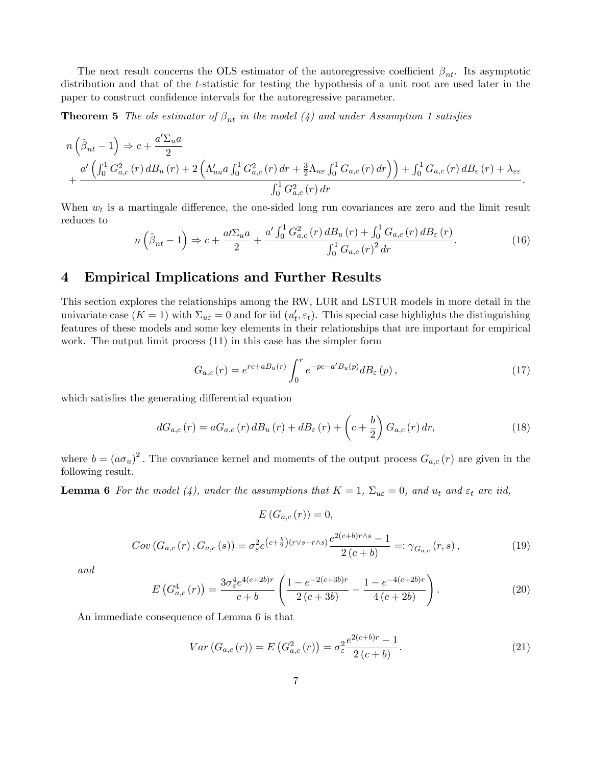The next result concerns the OLS estimator of the autoregressive coefficient  $\beta_{nt}$ . Its asymptotic distribution and that of the t-statistic for testing the hypothesis of a unit root are used later in the paper to construct confidence intervals for the autoregressive parameter.

**Theorem 5** The ols estimator of  $\beta_{nt}$  in the model (4) and under Assumption 1 satisfies

$$
n\left(\hat{\beta}_{nt} - 1\right) \Rightarrow c + \frac{a'\Sigma_{u}a}{2} + \frac{a'\left(\int_{0}^{1} G_{a,c}^{2}(r) dB_{u}(r) + 2\left(\Lambda'_{uu}a\int_{0}^{1} G_{a,c}^{2}(r) dr + \frac{3}{2}\Lambda_{u\varepsilon}\int_{0}^{1} G_{a,c}(r) dr\right)\right) + \int_{0}^{1} G_{a,c}(r) dB_{\varepsilon}(r) + \lambda_{\varepsilon\varepsilon} - \int_{0}^{1} G_{a,c}^{2}(r) dr.
$$

When  $w_t$  is a martingale difference, the one-sided long run covariances are zero and the limit result reduces to

$$
n\left(\hat{\beta}_{nt} - 1\right) \Rightarrow c + \frac{a\sum_{u} a}{2} + \frac{a'\int_{0}^{1} G_{a,c}^{2}(r) dB_{u}(r) + \int_{0}^{1} G_{a,c}(r) dB_{\varepsilon}(r)}{\int_{0}^{1} G_{a,c}(r)^{2} dr}.
$$
 (16)

#### 4 Empirical Implications and Further Results

This section explores the relationships among the RW, LUR and LSTUR models in more detail in the univariate case  $(K = 1)$  with  $\Sigma_{u\varepsilon} = 0$  and for iid  $(u'_t, \varepsilon_t)$ . This special case highlights the distinguishing features of these models and some key elements in their relationships that are important for empirical work. The output limit process (11) in this case has the simpler form

$$
G_{a,c}(r) = e^{rc + a_n(r)} \int_0^r e^{-pc - a' B_u(p)} d B_{\varepsilon}(p) , \qquad (17)
$$

which satisfies the generating differential equation

$$
dG_{a,c}(r) = aG_{a,c}(r) dB_u(r) + dB_{\varepsilon}(r) + \left(c + \frac{b}{2}\right) G_{a,c}(r) dr,
$$
\n(18)

where  $b = (a\sigma_u)^2$ . The covariance kernel and moments of the output process  $G_{a,c}(r)$  are given in the following result.

**Lemma 6** For the model (4), under the assumptions that  $K = 1$ ,  $\Sigma_{u\epsilon} = 0$ , and  $u_t$  and  $\varepsilon_t$  are iid,

$$
E\left(G_{a,c}\left(r\right)\right)=0,
$$

$$
Cov(G_{a,c}(r), G_{a,c}(s)) = \sigma_{\varepsilon}^2 e^{(c+\frac{b}{2})(r\vee s - r\wedge s)} \frac{e^{2(c+b)r\wedge s} - 1}{2(c+b)} =: \gamma_{G_{a,c}}(r, s), \tag{19}
$$

and

$$
E\left(G_{a,c}^4\left(r\right)\right) = \frac{3\sigma_{\varepsilon}^4 e^{4(c+2b)r}}{c+b} \left(\frac{1 - e^{-2(c+3b)r}}{2(c+3b)} - \frac{1 - e^{-4(c+2b)r}}{4(c+2b)}\right). \tag{20}
$$

An immediate consequence of Lemma 6 is that

$$
Var\left(G_{a,c}\left(r\right)\right) = E\left(G_{a,c}^{2}\left(r\right)\right) = \sigma_{\varepsilon}^{2} \frac{e^{2(c+b)r} - 1}{2\left(c+b\right)}.
$$
\n(21)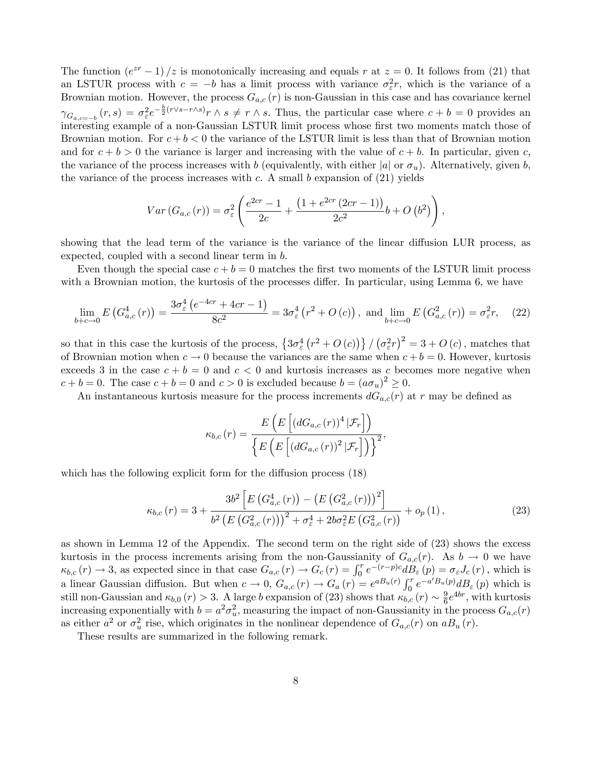The function  $(e^{zr} - 1)/z$  is monotonically increasing and equals r at  $z = 0$ . It follows from (21) that an LSTUR process with  $c = -b$  has a limit process with variance  $\sigma_{\varepsilon}^2 r$ , which is the variance of a Brownian motion. However, the process  $G_{a,c}(r)$  is non-Gaussian in this case and has covariance kernel  $\gamma_{G_{a,c=-b}}(r,s) = \sigma_{\varepsilon}^2 e^{-\frac{b}{2}(r\vee s-r\wedge s)}r \wedge s \neq r \wedge s$ . Thus, the particular case where  $c + b = 0$  provides an interesting example of a non-Gaussian LSTUR limit process whose first two moments match those of Brownian motion. For  $c + b < 0$  the variance of the LSTUR limit is less than that of Brownian motion and for  $c + b > 0$  the variance is larger and increasing with the value of  $c + b$ . In particular, given c, the variance of the process increases with b (equivalently, with either |a| or  $\sigma_u$ ). Alternatively, given b, the variance of the process increases with  $c$ . A small  $b$  expansion of  $(21)$  yields

$$
Var(G_{a,c}(r)) = \sigma_{\varepsilon}^{2} \left( \frac{e^{2cr} - 1}{2c} + \frac{\left(1 + e^{2cr} (2cr - 1)\right)}{2c^{2}} b + O\left(b^{2}\right) \right),
$$

showing that the lead term of the variance is the variance of the linear diffusion LUR process, as expected, coupled with a second linear term in b.

Even though the special case  $c + b = 0$  matches the first two moments of the LSTUR limit process with a Brownian motion, the kurtosis of the processes differ. In particular, using Lemma 6, we have

$$
\lim_{b+c \to 0} E\left(G_{a,c}^4\left(r\right)\right) = \frac{3\sigma_{\varepsilon}^4 \left(e^{-4cr} + 4cr - 1\right)}{8c^2} = 3\sigma_{\varepsilon}^4 \left(r^2 + O\left(c\right)\right), \text{ and } \lim_{b+c \to 0} E\left(G_{a,c}^2\left(r\right)\right) = \sigma_{\varepsilon}^2 r,\tag{22}
$$

so that in this case the kurtosis of the process,  $\left\{3\sigma_{\varepsilon}^{4}\left(r^{2}+O\left(c\right)\right)\right\}/\left(\sigma_{\varepsilon}^{2}r\right)^{2}=3+O\left(c\right)$ , matches that of Brownian motion when  $c \to 0$  because the variances are the same when  $c + b = 0$ . However, kurtosis exceeds 3 in the case  $c + b = 0$  and  $c < 0$  and kurtosis increases as c becomes more negative when  $c + b = 0$ . The case  $c + b = 0$  and  $c > 0$  is excluded because  $b = (a\sigma_u)^2 \geq 0$ .

An instantaneous kurtosis measure for the process increments  $dG_{a,c}(r)$  at r may be defined as

$$
\kappa_{b,c}(r) = \frac{E\left(E\left[\left(dG_{a,c}(r)\right)^4|\mathcal{F}_r\right]\right)}{\left\{E\left(E\left[\left(dG_{a,c}(r)\right)^2|\mathcal{F}_r\right]\right)\right\}^2}
$$

which has the following explicit form for the diffusion process  $(18)$ 

$$
\kappa_{b,c}(r) = 3 + \frac{3b^2 \left[ E\left(G_{a,c}^4(r)\right) - \left(E\left(G_{a,c}^2(r)\right)\right)^2 \right]}{b^2 \left(E\left(G_{a,c}^2(r)\right)\right)^2 + \sigma_{\varepsilon}^4 + 2b\sigma_{\varepsilon}^2 E\left(G_{a,c}^2(r)\right)} + o_p\left(1\right),\tag{23}
$$

;

as shown in Lemma 12 of the Appendix. The second term on the right side of (23) shows the excess kurtosis in the process increments arising from the non-Gaussianity of  $G_{a,c}(r)$ . As  $b \to 0$  we have  $\kappa_{b,c}(r) \to 3$ , as expected since in that case  $G_{a,c}(r) \to G_c(r) = \int_0^r e^{-(r-p)c} d\mathring{B}_{\varepsilon}(p) = \sigma_{\varepsilon} J_c(r)$ , which is a linear Gaussian diffusion. But when  $c \to 0$ ,  $G_{a,c}(r) \to G_a(r) = e^{a B_u(r)} \int_0^r e^{-a' B_u(p)} d B_{\varepsilon}(p)$  which is still non-Gaussian and  $\kappa_{b,0} (r) > 3$ . A large b expansion of (23) shows that  $\kappa_{b,c} (r) \sim \frac{9}{6}$  $\frac{9}{6}e^{4br}$ , with kurtosis increasing exponentially with  $b = a^2 \sigma_u^2$ , measuring the impact of non-Gaussianity in the process  $G_{a,c}(r)$ as either  $a^2$  or  $\sigma_u^2$  rise, which originates in the nonlinear dependence of  $G_{a,c}(r)$  on  $aB_u(r)$ .

These results are summarized in the following remark.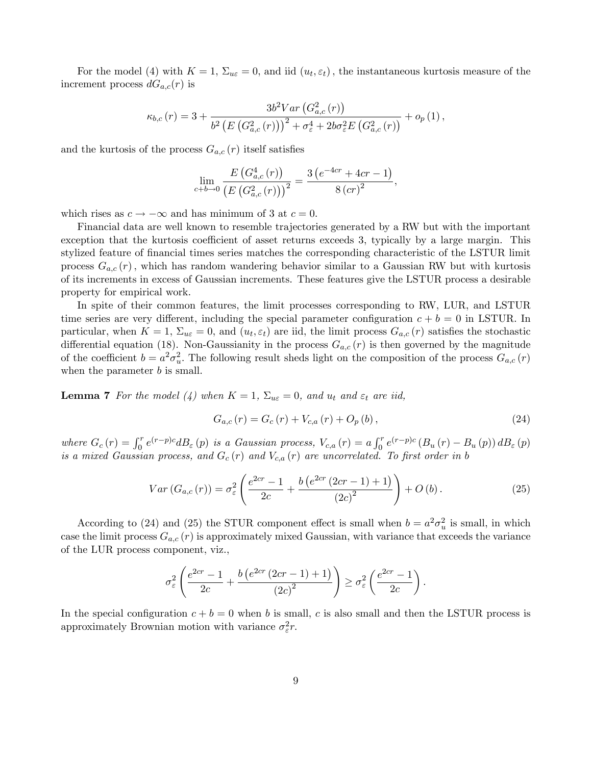For the model (4) with  $K = 1$ ,  $\Sigma_{u\epsilon} = 0$ , and iid  $(u_t, \epsilon_t)$ , the instantaneous kurtosis measure of the increment process  $dG_{a,c}(r)$  is

$$
\kappa_{b,c}(r) = 3 + \frac{3b^2 Var\left(G_{a,c}^2(r)\right)}{b^2 \left(E\left(G_{a,c}^2(r)\right)\right)^2 + \sigma_{\varepsilon}^4 + 2b\sigma_{\varepsilon}^2 E\left(G_{a,c}^2(r)\right)} + o_p(1),
$$

and the kurtosis of the process  $G_{a,c}(r)$  itself satisfies

$$
\lim_{c+b \to 0} \frac{E\left(G_{a,c}^4(r)\right)}{\left(E\left(G_{a,c}^2(r)\right)\right)^2} = \frac{3\left(e^{-4cr} + 4cr - 1\right)}{8\left(cr\right)^2},
$$

which rises as  $c \to -\infty$  and has minimum of 3 at  $c = 0$ .

Financial data are well known to resemble trajectories generated by a RW but with the important exception that the kurtosis coefficient of asset returns exceeds 3, typically by a large margin. This stylized feature of financial times series matches the corresponding characteristic of the LSTUR limit process  $G_{a,c}(r)$ , which has random wandering behavior similar to a Gaussian RW but with kurtosis of its increments in excess of Gaussian increments. These features give the LSTUR process a desirable property for empirical work.

In spite of their common features, the limit processes corresponding to RW, LUR, and LSTUR time series are very different, including the special parameter configuration  $c + b = 0$  in LSTUR. In particular, when  $K = 1$ ,  $\Sigma_{u\epsilon} = 0$ , and  $(u_t, \epsilon_t)$  are iid, the limit process  $G_{a,c}(r)$  satisfies the stochastic differential equation (18). Non-Gaussianity in the process  $G_{a,c}(r)$  is then governed by the magnitude of the coefficient  $b = a^2 \sigma_u^2$ . The following result sheds light on the composition of the process  $G_{a,c}(r)$ when the parameter  $b$  is small.

**Lemma 7** For the model (4) when  $K = 1$ ,  $\Sigma_{u\epsilon} = 0$ , and  $u_t$  and  $\varepsilon_t$  are iid,

$$
G_{a,c}(r) = G_c(r) + V_{c,a}(r) + O_p(b),
$$
\n(24)

where  $G_c(r) = \int_0^r e^{(r-p)c} dB_{\varepsilon}(p)$  is a Gaussian process,  $V_{c,a}(r) = a \int_0^r e^{(r-p)c} (B_u(r) - B_u(p)) dB_{\varepsilon}(p)$ is a mixed Gaussian process, and  $G_c(r)$  and  $V_{c,a}(r)$  are uncorrelated. To first order in b

$$
Var\left(G_{a,c}\left(r\right)\right) = \sigma_{\varepsilon}^{2} \left(\frac{e^{2cr} - 1}{2c} + \frac{b\left(e^{2cr}\left(2cr - 1\right) + 1\right)}{\left(2c\right)^{2}}\right) + O\left(b\right). \tag{25}
$$

According to (24) and (25) the STUR component effect is small when  $b = a^2 \sigma_u^2$  is small, in which case the limit process  $G_{a,c}(r)$  is approximately mixed Gaussian, with variance that exceeds the variance of the LUR process component, viz.,

$$
\sigma_{\varepsilon}^{2}\left(\frac{e^{2cr}-1}{2c}+\frac{b\left(e^{2cr}\left(2cr-1\right)+1\right)}{\left(2c\right)^{2}}\right)\geq\sigma_{\varepsilon}^{2}\left(\frac{e^{2cr}-1}{2c}\right).
$$

In the special configuration  $c + b = 0$  when b is small, c is also small and then the LSTUR process is approximately Brownian motion with variance  $\sigma_{\varepsilon}^2 r$ .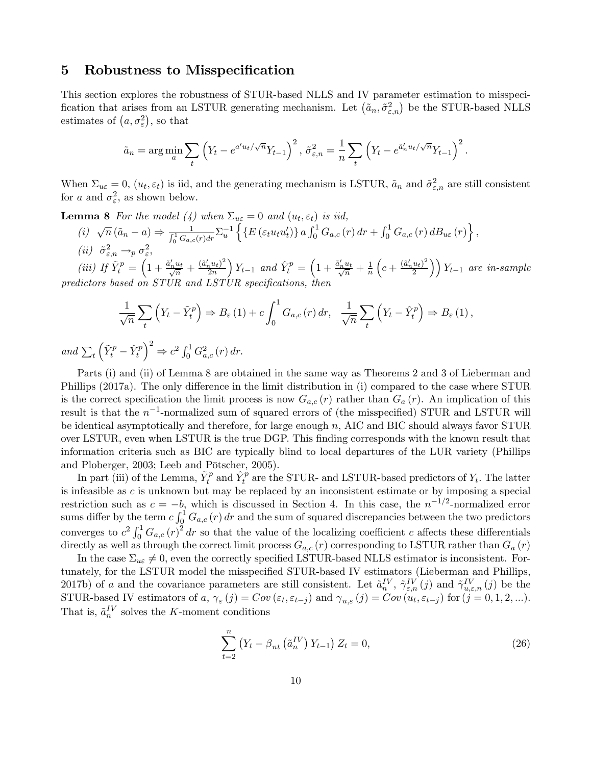#### 5 Robustness to Misspecification

This section explores the robustness of STUR-based NLLS and IV parameter estimation to misspecification that arises from an LSTUR generating mechanism. Let  $(\tilde{a}_n, \tilde{\sigma}_{\varepsilon,n}^2)$  be the STUR-based NLLS estimates of  $(a, \sigma_{\varepsilon}^2)$ , so that

$$
\tilde{a}_n = \arg\min_a \sum_t \left( Y_t - e^{a'u_t/\sqrt{n}} Y_{t-1} \right)^2, \ \tilde{\sigma}_{\varepsilon,n}^2 = \frac{1}{n} \sum_t \left( Y_t - e^{\tilde{a}'_n u_t/\sqrt{n}} Y_{t-1} \right)^2.
$$

When  $\Sigma_{u\varepsilon} = 0$ ,  $(u_t, \varepsilon_t)$  is iid, and the generating mechanism is LSTUR,  $\tilde{a}_n$  and  $\tilde{\sigma}_{\varepsilon,n}^2$  are still consistent for a and  $\sigma_{\varepsilon}^2$ , as shown below.

**Lemma 8** For the model (4) when  $\Sigma_{u\varepsilon} = 0$  and  $(u_t, \varepsilon_t)$  is iid,

$$
(i) \quad \sqrt{n} \left( \tilde{a}_n - a \right) \Rightarrow \frac{1}{\int_0^1 G_{a,c}(r) dr} \Sigma_u^{-1} \left\{ \left\{ E \left( \varepsilon_t u_t u_t' \right) \right\} a \int_0^1 G_{a,c}(r) dr + \int_0^1 G_{a,c}(r) dB_{u\varepsilon}(r) \right\},
$$
  
\n(ii)  $\tilde{\sigma}_{\varepsilon,n}^2 \to_p \sigma_{\varepsilon}^2$ ,

(iii) If  $\tilde{Y}_{t}^{p} = \left(1 + \frac{\tilde{a}_{n}^{\prime} u_{t}}{\sqrt{n}} + \frac{(\tilde{a}_{n}^{\prime} u_{t})^{2}}{2n}\right)$  $_{2n}$  $\int Y_{t-1}$  and  $\hat{Y}^p_t = \left(1 + \frac{\tilde{a}'_n u_t}{\sqrt{n}} + \frac{1}{n}\right)$ n  $(c+\frac{(\tilde{a}_n'u_t)^2}{2})$  $\left(\frac{u_t}{2}\right)$   $\left(Y_{t-1}\right)$  are in-sample predictors based on  $ST\dot{U}R$  and  $LST\dot{U}R$  specifications, then

$$
\frac{1}{\sqrt{n}}\sum_{t}\left(Y_{t}-\tilde{Y}_{t}^{p}\right)\Rightarrow B_{\varepsilon}(1)+c\int_{0}^{1}G_{a,c}(r) dr, \quad \frac{1}{\sqrt{n}}\sum_{t}\left(Y_{t}-\hat{Y}_{t}^{p}\right)\Rightarrow B_{\varepsilon}(1),
$$

and  $\sum_t$  $\left(\tilde{Y}^p_t - \hat{Y}^p_t\right)$  $\int^2 \Rightarrow c^2 \int_0^1 G_{a,c}^2(r) dr.$ 

Parts (i) and (ii) of Lemma 8 are obtained in the same way as Theorems 2 and 3 of Lieberman and Phillips (2017a). The only difference in the limit distribution in (i) compared to the case where STUR is the correct specification the limit process is now  $G_{a,c}(r)$  rather than  $G_a(r)$ . An implication of this result is that the  $n^{-1}$ -normalized sum of squared errors of (the misspecified) STUR and LSTUR will be identical asymptotically and therefore, for large enough  $n$ , AIC and BIC should always favor STUR over LSTUR, even when LSTUR is the true DGP. This Önding corresponds with the known result that information criteria such as BIC are typically blind to local departures of the LUR variety (Phillips and Ploberger, 2003; Leeb and Pötscher, 2005).

In part (iii) of the Lemma,  $\tilde{Y}^p_t$  and  $\hat{Y}^p_t$  are the STUR- and LSTUR-based predictors of  $Y_t$ . The latter is infeasible as c is unknown but may be replaced by an inconsistent estimate or by imposing a special restriction such as  $c = -b$ , which is discussed in Section 4. In this case, the  $n^{-1/2}$ -normalized error sums differ by the term  $c \int_0^1 G_{a,c}(r) dr$  and the sum of squared discrepancies between the two predictors converges to  $c^2 \int_0^1 G_{a,c}(r)^2 dr$  so that the value of the localizing coefficient c affects these differentials directly as well as through the correct limit process  $G_{a,c}(r)$  corresponding to LSTUR rather than  $G_a(r)$ 

In the case  $\Sigma_{ue} \neq 0$ , even the correctly specified LSTUR-based NLLS estimator is inconsistent. Fortunately, for the LSTUR model the misspecified STUR-based IV estimators (Lieberman and Phillips, 2017b) of a and the covariance parameters are still consistent. Let  $\tilde{a}_{n}^{IV}$ ,  $\tilde{\gamma}_{\varepsilon,n}^{IV}(j)$  and  $\tilde{\gamma}_{u,\varepsilon,n}^{IV}(j)$  be the STUR-based IV estimators of a,  $\gamma_{\varepsilon}(j) = Cov(\varepsilon_t, \varepsilon_{t-j})$  and  $\gamma_{u,\varepsilon}(j) = Cov(u_t, \varepsilon_{t-j})$  for  $(j = 0, 1, 2, ...).$ That is,  $\tilde{a}_n^{\mathcal{IV}}$  solves the K-moment conditions

$$
\sum_{t=2}^{n} \left(Y_t - \beta_{nt} \left(\tilde{a}_n^{IV}\right) Y_{t-1}\right) Z_t = 0,
$$
\n(26)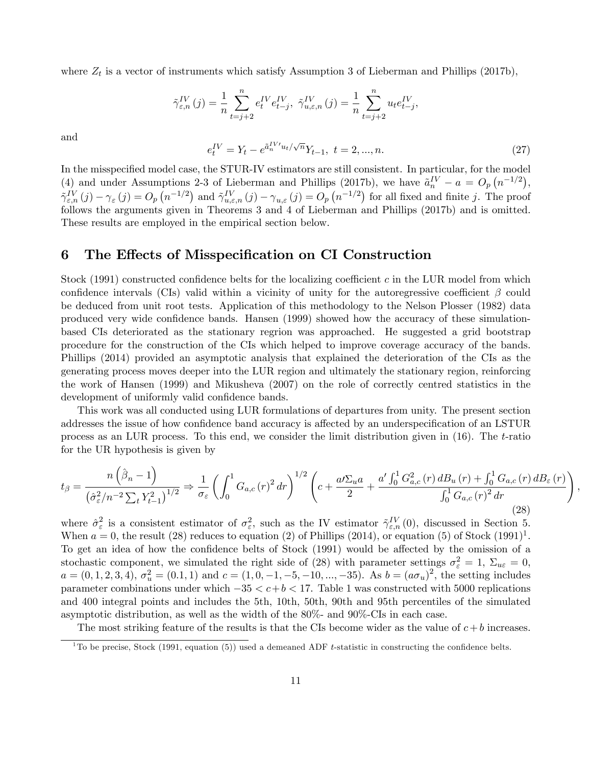where  $Z_t$  is a vector of instruments which satisfy Assumption 3 of Lieberman and Phillips (2017b),

$$
\tilde{\gamma}_{\varepsilon,n}^{IV}(j) = \frac{1}{n} \sum_{t=j+2}^{n} e_t^{IV} e_{t-j}^{IV}, \ \tilde{\gamma}_{u,\varepsilon,n}^{IV}(j) = \frac{1}{n} \sum_{t=j+2}^{n} u_t e_{t-j}^{IV},
$$

and

$$
e_t^{IV} = Y_t - e^{\tilde{a}_n^{IV} u_t / \sqrt{n}} Y_{t-1}, \ t = 2, ..., n. \tag{27}
$$

In the misspecified model case, the STUR-IV estimators are still consistent. In particular, for the model (4) and under Assumptions 2-3 of Lieberman and Phillips (2017b), we have  $\tilde{a}_n^{IV} - a = O_p(n^{-1/2}),$  $\tilde{\gamma}_{\varepsilon,n}^{IV}(j) - \gamma_{\varepsilon}(j) = O_p(n^{-1/2})$  and  $\tilde{\gamma}_{u,\varepsilon,n}^{IV}(j) - \gamma_{u,\varepsilon}(j) = O_p(n^{-1/2})$  for all fixed and finite j. The proof follows the arguments given in Theorems 3 and 4 of Lieberman and Phillips (2017b) and is omitted. These results are employed in the empirical section below.

#### 6 The Effects of Misspecification on CI Construction

Stock (1991) constructed confidence belts for the localizing coefficient c in the LUR model from which confidence intervals (CIs) valid within a vicinity of unity for the autoregressive coefficient  $\beta$  could be deduced from unit root tests. Application of this methodology to the Nelson Plosser (1982) data produced very wide confidence bands. Hansen (1999) showed how the accuracy of these simulationbased CIs deteriorated as the stationary regrion was approached. He suggested a grid bootstrap procedure for the construction of the CIs which helped to improve coverage accuracy of the bands. Phillips (2014) provided an asymptotic analysis that explained the deterioration of the CIs as the generating process moves deeper into the LUR region and ultimately the stationary region, reinforcing the work of Hansen (1999) and Mikusheva (2007) on the role of correctly centred statistics in the development of uniformly valid confidence bands.

This work was all conducted using LUR formulations of departures from unity. The present section addresses the issue of how confidence band accuracy is affected by an underspecification of an LSTUR process as an LUR process. To this end, we consider the limit distribution given in (16). The t-ratio for the UR hypothesis is given by

$$
t_{\beta} = \frac{n\left(\hat{\beta}_n - 1\right)}{\left(\hat{\sigma}_{\varepsilon}^2 / n^{-2} \sum_t Y_{t-1}^2\right)^{1/2}} \Rightarrow \frac{1}{\sigma_{\varepsilon}} \left(\int_0^1 G_{a,c}(r)^2 dr\right)^{1/2} \left(c + \frac{a/ \Sigma_u a}{2} + \frac{a' \int_0^1 G_{a,c}^2(r) dB_u(r) + \int_0^1 G_{a,c}(r) dB_{\varepsilon}(r)}{\int_0^1 G_{a,c}(r)^2 dr}\right)
$$
(28)

;

where  $\hat{\sigma}_{\varepsilon}^2$  is a consistent estimator of  $\sigma_{\varepsilon}^2$ , such as the IV estimator  $\tilde{\gamma}_{\varepsilon,n}^{IV}(0)$ , discussed in Section 5. When  $a = 0$ , the result (28) reduces to equation (2) of Phillips (2014), or equation (5) of Stock (1991)<sup>1</sup>. To get an idea of how the confidence belts of Stock (1991) would be affected by the omission of a stochastic component, we simulated the right side of (28) with parameter settings  $\sigma_{\varepsilon}^2 = 1$ ,  $\Sigma_{u\varepsilon} = 0$ ,  $a = (0, 1, 2, 3, 4), \sigma_u^2 = (0.1, 1)$  and  $c = (1, 0, -1, -5, -10, \ldots, -35)$ . As  $b = (a\sigma_u)^2$ , the setting includes parameter combinations under which  $-35 < c+b < 17$ . Table 1 was constructed with 5000 replications and 400 integral points and includes the 5th, 10th, 50th, 90th and 95th percentiles of the simulated asymptotic distribution, as well as the width of the 80%- and 90%-CIs in each case.

The most striking feature of the results is that the CIs become wider as the value of  $c + b$  increases.

 $\overline{1_{\text{To be precise, Stock (1991, equation (5))}}}$  used a demeaned ADF t-statistic in constructing the confidence belts.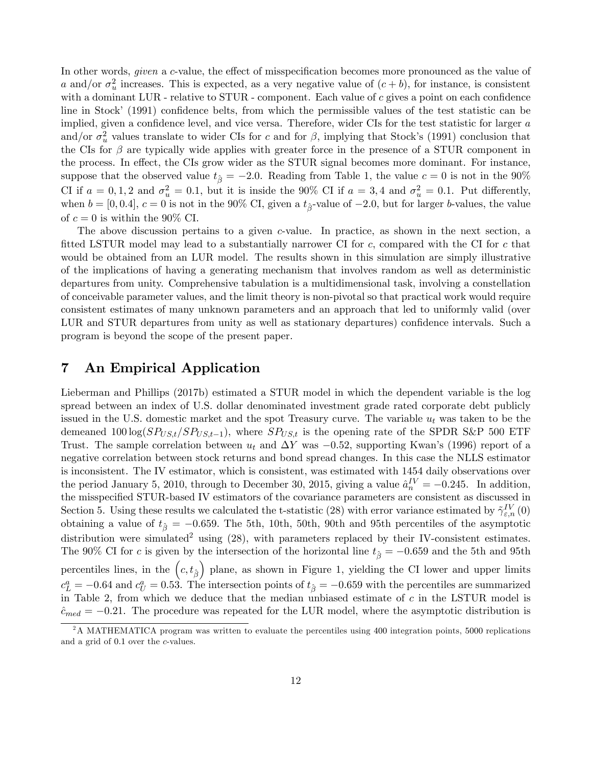In other words, *given* a c-value, the effect of misspecification becomes more pronounced as the value of a and/or  $\sigma_u^2$  increases. This is expected, as a very negative value of  $(c + b)$ , for instance, is consistent with a dominant LUR - relative to  $STUR$  - component. Each value of c gives a point on each confidence line in Stock' (1991) confidence belts, from which the permissible values of the test statistic can be implied, given a confidence level, and vice versa. Therefore, wider CIs for the test statistic for larger  $a$ and/or  $\sigma_u^2$  values translate to wider CIs for c and for  $\beta$ , implying that Stock's (1991) conclusion that the CIs for  $\beta$  are typically wide applies with greater force in the presence of a STUR component in the process. In effect, the CIs grow wider as the STUR signal becomes more dominant. For instance, suppose that the observed value  $t_{\hat{\beta}} = -2.0$ . Reading from Table 1, the value  $c = 0$  is not in the 90% CI if  $a = 0, 1, 2$  and  $\sigma_u^2 = 0.1$ , but it is inside the 90% CI if  $a = 3, 4$  and  $\sigma_u^2 = 0.1$ . Put differently, when  $b = [0, 0.4], c = 0$  is not in the 90% CI, given a  $t_{\hat{\beta}}$ -value of  $-2.0$ , but for larger b-values, the value of  $c = 0$  is within the 90% CI.

The above discussion pertains to a given c-value. In practice, as shown in the next section, a fitted LSTUR model may lead to a substantially narrower CI for  $c$ , compared with the CI for  $c$  that would be obtained from an LUR model. The results shown in this simulation are simply illustrative of the implications of having a generating mechanism that involves random as well as deterministic departures from unity. Comprehensive tabulation is a multidimensional task, involving a constellation of conceivable parameter values, and the limit theory is non-pivotal so that practical work would require consistent estimates of many unknown parameters and an approach that led to uniformly valid (over LUR and STUR departures from unity as well as stationary departures) confidence intervals. Such a program is beyond the scope of the present paper.

### 7 An Empirical Application

Lieberman and Phillips (2017b) estimated a STUR model in which the dependent variable is the log spread between an index of U.S. dollar denominated investment grade rated corporate debt publicly issued in the U.S. domestic market and the spot Treasury curve. The variable  $u_t$  was taken to be the demeaned  $100 \log(SP_{US,t}/SP_{US,t-1})$ , where  $SP_{US,t}$  is the opening rate of the SPDR S&P 500 ETF Trust. The sample correlation between  $u_t$  and  $\Delta Y$  was  $-0.52$ , supporting Kwan's (1996) report of a negative correlation between stock returns and bond spread changes. In this case the NLLS estimator is inconsistent. The IV estimator, which is consistent, was estimated with 1454 daily observations over the period January 5, 2010, through to December 30, 2015, giving a value  $\hat{a}_n^{IV} = -0.245$ . In addition, the misspecified STUR-based IV estimators of the covariance parameters are consistent as discussed in Section 5. Using these results we calculated the t-statistic (28) with error variance estimated by  $\tilde{\gamma}_{\varepsilon,n}^{IV}(0)$ obtaining a value of  $t_{\hat{\beta}} = -0.659$ . The 5th, 10th, 50th, 90th and 95th percentiles of the asymptotic distribution were simulated<sup>2</sup> using  $(28)$ , with parameters replaced by their IV-consistent estimates. The 90% CI for c is given by the intersection of the horizontal line  $t_{\hat{\beta}} = -0.659$  and the 5th and 95th percentiles lines, in the  $(c, t_{\hat{\beta}})$  plane, as shown in Figure 1, yielding the CI lower and upper limits  $c_L^a = -0.64$  and  $c_U^a = 0.53$ . The intersection points of  $t_{\hat{\beta}} = -0.659$  with the percentiles are summarized in Table 2, from which we deduce that the median unbiased estimate of  $c$  in the LSTUR model is  $\hat{c}_{med} = -0.21$ . The procedure was repeated for the LUR model, where the asymptotic distribution is

<sup>&</sup>lt;sup>2</sup>A MATHEMATICA program was written to evaluate the percentiles using 400 integration points, 5000 replications and a grid of 0:1 over the c-values.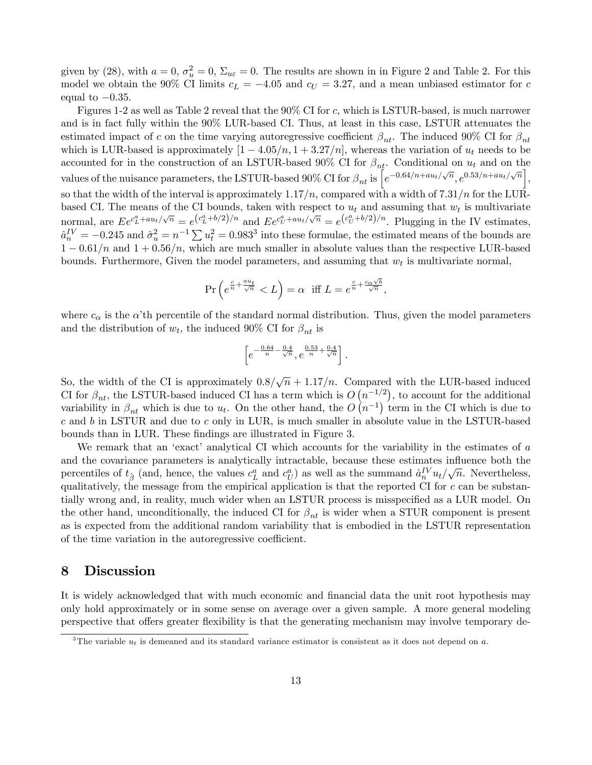given by (28), with  $a = 0$ ,  $\sigma_u^2 = 0$ ,  $\Sigma_{u\epsilon} = 0$ . The results are shown in in Figure 2 and Table 2. For this model we obtain the 90% CI limits  $c_L = -4.05$  and  $c_U = 3.27$ , and a mean unbiased estimator for c equal to  $-0.35$ .

Figures 1-2 as well as Table 2 reveal that the 90% CI for c; which is LSTUR-based, is much narrower and is in fact fully within the 90% LUR-based CI. Thus, at least in this case, LSTUR attenuates the estimated impact of c on the time varying autoregressive coefficient  $\beta_{nt}$ . The induced 90% CI for  $\beta_{nt}$ which is LUR-based is approximately  $[1 - 4.05/n, 1 + 3.27/n]$ , whereas the variation of  $u_t$  needs to be accounted for in the construction of an LSTUR-based 90% CI for  $\beta_{nt}$ . Conditional on  $u_t$  and on the values of the nuisance parameters, the LSTUR-based 90% CI for  $\beta_{nt}$  is  $\left[e^{-0.64/n+au_t/\sqrt{n}}, e^{0.53/n+au_t/\sqrt{n}}\right]$ , so that the width of the interval is approximately  $1.17/n$ , compared with a width of  $7.31/n$  for the LURbased CI. The means of the CI bounds, taken with respect to  $u_t$  and assuming that  $w_t$  is multivariate normal, are  $E e^{c_L^a + a u_t/\sqrt{n}} = e^{(c_L^a + b/2)/n}$  and  $E e^{c_U^a + a u_t/\sqrt{n}} = e^{(c_U^a + b/2)/n}$ . Plugging in the IV estimates,  $\hat{a}_n^{\{IV\}} = -0.245$  and  $\hat{\sigma}_u^2 = n^{-1} \sum u_t^2 = 0.983^3$  into these formulae, the estimated means of the bounds are  $1 - 0.61/n$  and  $1 + 0.56/n$ , which are much smaller in absolute values than the respective LUR-based bounds. Furthermore, Given the model parameters, and assuming that  $w_t$  is multivariate normal,

$$
\Pr\left(e^{\frac{c}{n} + \frac{au_t}{\sqrt{n}}} < L\right) = \alpha \quad \text{iff } L = e^{\frac{c}{n} + \frac{c_\alpha \sqrt{b}}{\sqrt{n}}},
$$

where  $c_{\alpha}$  is the  $\alpha'$ th percentile of the standard normal distribution. Thus, given the model parameters and the distribution of  $w_t$ , the induced 90% CI for  $\beta_{nt}$  is

$$
\[e^{-\frac{0.64}{n} - \frac{0.4}{\sqrt{n}}}, e^{\frac{0.53}{n} + \frac{0.4}{\sqrt{n}}}\] \, .
$$

So, the width of the CI is approximately  $0.8/\sqrt{n} + 1.17/n$ . Compared with the LUR-based induced CI for  $\beta_{nt}$ , the LSTUR-based induced CI has a term which is  $O(n^{-1/2})$ , to account for the additional variability in  $\beta_{nt}$  which is due to  $u_t$ . On the other hand, the  $O(n^{-1})$  term in the CI which is due to  $c$  and  $b$  in LSTUR and due to  $c$  only in LUR, is much smaller in absolute value in the LSTUR-based bounds than in LUR. These findings are illustrated in Figure 3.

We remark that an 'exact' analytical CI which accounts for the variability in the estimates of  $a$ and the covariance parameters is analytically intractable, because these estimates influence both the percentiles of  $t_{\hat{\beta}}$  (and, hence, the values  $c_L^a$  and  $c_U^a$ ) as well as the summand  $\hat{a}_n^{IV}u_t/\sqrt{n}$ . Nevertheless, qualitatively, the message from the empirical application is that the reported CI for  $c$  can be substantially wrong and, in reality, much wider when an LSTUR process is misspecified as a LUR model. On the other hand, unconditionally, the induced CI for  $\beta_{nt}$  is wider when a STUR component is present as is expected from the additional random variability that is embodied in the LSTUR representation of the time variation in the autoregressive coefficient.

#### 8 Discussion

It is widely acknowledged that with much economic and financial data the unit root hypothesis may only hold approximately or in some sense on average over a given sample. A more general modeling perspective that offers greater flexibility is that the generating mechanism may involve temporary de-

<sup>&</sup>lt;sup>3</sup>The variable  $u_t$  is demeaned and its standard variance estimator is consistent as it does not depend on a.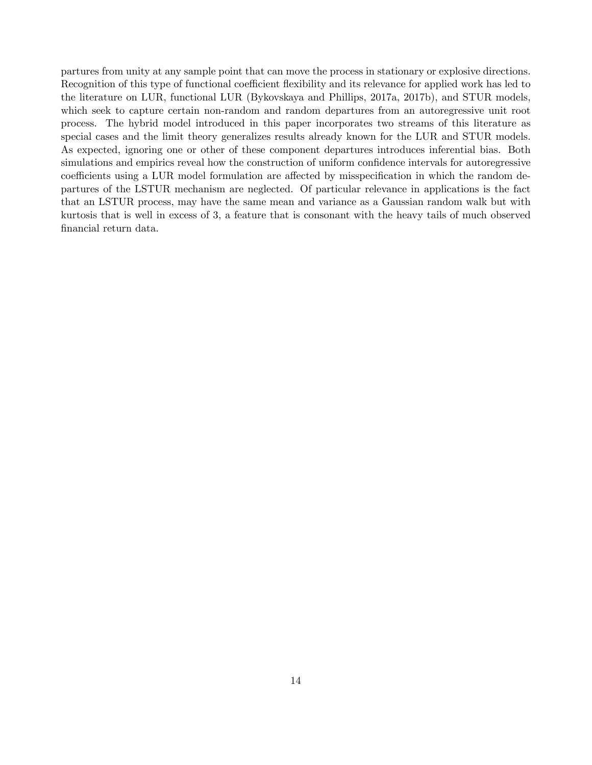partures from unity at any sample point that can move the process in stationary or explosive directions. Recognition of this type of functional coefficient flexibility and its relevance for applied work has led to the literature on LUR, functional LUR (Bykovskaya and Phillips, 2017a, 2017b), and STUR models, which seek to capture certain non-random and random departures from an autoregressive unit root process. The hybrid model introduced in this paper incorporates two streams of this literature as special cases and the limit theory generalizes results already known for the LUR and STUR models. As expected, ignoring one or other of these component departures introduces inferential bias. Both simulations and empirics reveal how the construction of uniform confidence intervals for autoregressive coefficients using a LUR model formulation are affected by misspecification in which the random departures of the LSTUR mechanism are neglected. Of particular relevance in applications is the fact that an LSTUR process, may have the same mean and variance as a Gaussian random walk but with kurtosis that is well in excess of 3, a feature that is consonant with the heavy tails of much observed financial return data.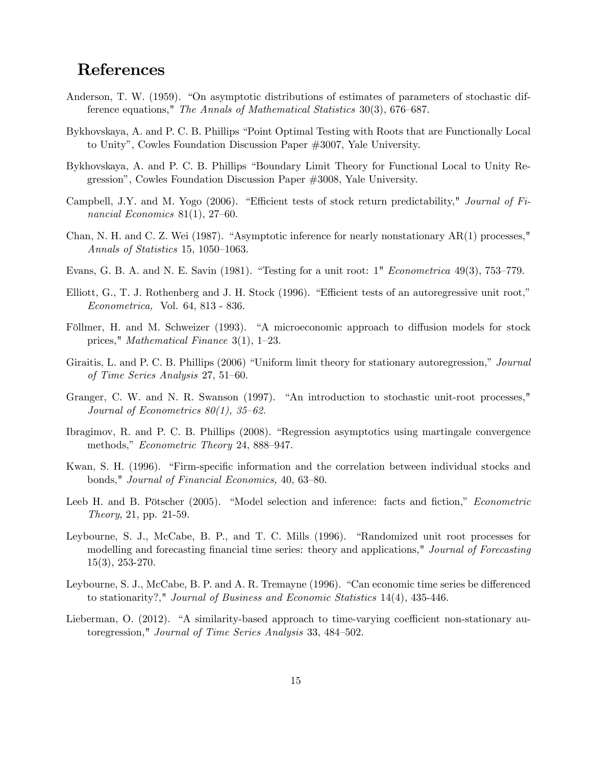# References

- Anderson, T. W. (1959). "On asymptotic distributions of estimates of parameters of stochastic difference equations," The Annals of Mathematical Statistics  $30(3)$ , 676–687.
- Bykhovskaya, A. and P. C. B. Phillips "Point Optimal Testing with Roots that are Functionally Local to Unityî, Cowles Foundation Discussion Paper #3007, Yale University.
- Bykhovskaya, A. and P. C. B. Phillips "Boundary Limit Theory for Functional Local to Unity Regressionî, Cowles Foundation Discussion Paper #3008, Yale University.
- Campbell, J.Y. and M. Yogo (2006). "Efficient tests of stock return predictability," Journal of Financial Economics  $81(1)$ ,  $27-60$ .
- Chan, N. H. and C. Z. Wei (1987). "Asymptotic inference for nearly nonstationary  $AR(1)$  processes," Annals of Statistics 15, 1050–1063.
- Evans, G. B. A. and N. E. Savin (1981). "Testing for a unit root:  $1''$  Econometrica 49(3), 753–779.
- Elliott, G., T. J. Rothenberg and J. H. Stock  $(1996)$ . "Efficient tests of an autoregressive unit root," Econometrica, Vol. 64, 813 - 836.
- Föllmer, H. and M. Schweizer (1993). "A microeconomic approach to diffusion models for stock prices," *Mathematical Finance* 3(1),  $1-23$ .
- Giraitis, L. and P. C. B. Phillips (2006) "Uniform limit theory for stationary autoregression," Journal of Time Series Analysis  $27, 51–60$ .
- Granger, C. W. and N. R. Swanson (1997). "An introduction to stochastic unit-root processes," Journal of Econometrics  $80(1)$ ,  $35-62$ .
- Ibragimov, R. and P. C. B. Phillips (2008). "Regression asymptotics using martingale convergence methods," Econometric Theory 24, 888–947.
- Kwan, S. H. (1996). "Firm-specific information and the correlation between individual stocks and bonds," Journal of Financial Economics, 40, 63-80.
- Leeb H. and B. Pötscher (2005). "Model selection and inference: facts and fiction," *Econometric* Theory, 21, pp. 21-59.
- Leybourne, S. J., McCabe, B. P., and T. C. Mills (1996). "Randomized unit root processes for modelling and forecasting financial time series: theory and applications," Journal of Forecasting 15(3), 253-270.
- Leybourne, S. J., McCabe, B. P. and A. R. Tremayne (1996). "Can economic time series be differenced to stationarity?," Journal of Business and Economic Statistics 14(4), 435-446.
- Lieberman, O.  $(2012)$ . "A similarity-based approach to time-varying coefficient non-stationary autoregression," Journal of Time Series Analysis 33, 484-502.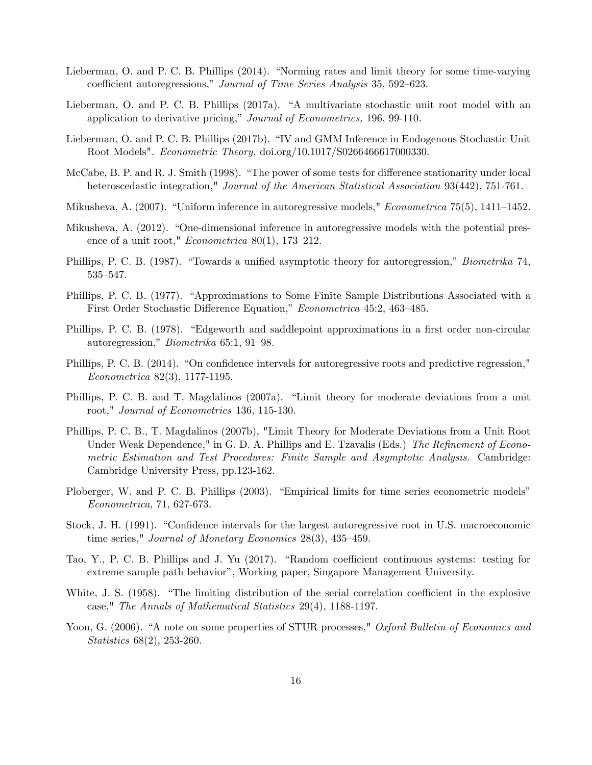- Lieberman, O. and P. C. B. Phillips (2014). "Norming rates and limit theory for some time-varying coefficient autoregressions," Journal of Time Series Analysis 35, 592-623.
- Lieberman, O. and P. C. B. Phillips (2017a). "A multivariate stochastic unit root model with an application to derivative pricing," Journal of Econometrics, 196, 99-110.
- Lieberman, O. and P. C. B. Phillips (2017b). "IV and GMM Inference in Endogenous Stochastic Unit Root Models". Econometric Theory, doi.org/10.1017/S0266466617000330.
- McCabe, B. P. and R. J. Smith (1998). "The power of some tests for difference stationarity under local heteroscedastic integration," Journal of the American Statistical Association 93(442), 751-761.
- Mikusheva, A. (2007). "Uniform inference in autoregressive models," *Econometrica* 75(5), 1411–1452.
- Mikusheva, A. (2012). "One-dimensional inference in autoregressive models with the potential presence of a unit root," *Econometrica* 80(1), 173–212.
- Phillips, P. C. B. (1987). "Towards a unified asymptotic theory for autoregression," *Biometrika* 74, 535-547.
- Phillips, P. C. B. (1977). "Approximations to Some Finite Sample Distributions Associated with a First Order Stochastic Difference Equation," Econometrica 45:2, 463–485.
- Phillips, P. C. B. (1978). "Edgeworth and saddlepoint approximations in a first order non-circular autoregression,"  $Biometrika$  65:1, 91–98.
- Phillips, P. C. B. (2014). "On confidence intervals for autoregressive roots and predictive regression," Econometrica 82(3), 1177-1195.
- Phillips, P. C. B. and T. Magdalinos (2007a). "Limit theory for moderate deviations from a unit root," Journal of Econometrics 136, 115-130.
- Phillips, P. C. B., T. Magdalinos (2007b), "Limit Theory for Moderate Deviations from a Unit Root Under Weak Dependence," in G. D. A. Phillips and E. Tzavalis (Eds.) The Refinement of Econometric Estimation and Test Procedures: Finite Sample and Asymptotic Analysis. Cambridge: Cambridge University Press, pp.123-162.
- Ploberger, W. and P. C. B. Phillips (2003). "Empirical limits for time series econometric models" Econometrica, 71, 627-673.
- Stock, J. H. (1991). "Confidence intervals for the largest autoregressive root in U.S. macroeconomic time series," Journal of Monetary Economics  $28(3)$ ,  $435-459$ .
- Tao, Y., P. C. B. Phillips and J. Yu (2017). "Random coefficient continuous systems: testing for extreme sample path behaviorî, Working paper, Singapore Management University.
- White, J. S.  $(1958)$ . "The limiting distribution of the serial correlation coefficient in the explosive case," The Annals of Mathematical Statistics 29(4), 1188-1197.
- Yoon, G. (2006). "A note on some properties of STUR processes," Oxford Bulletin of Economics and Statistics 68(2), 253-260.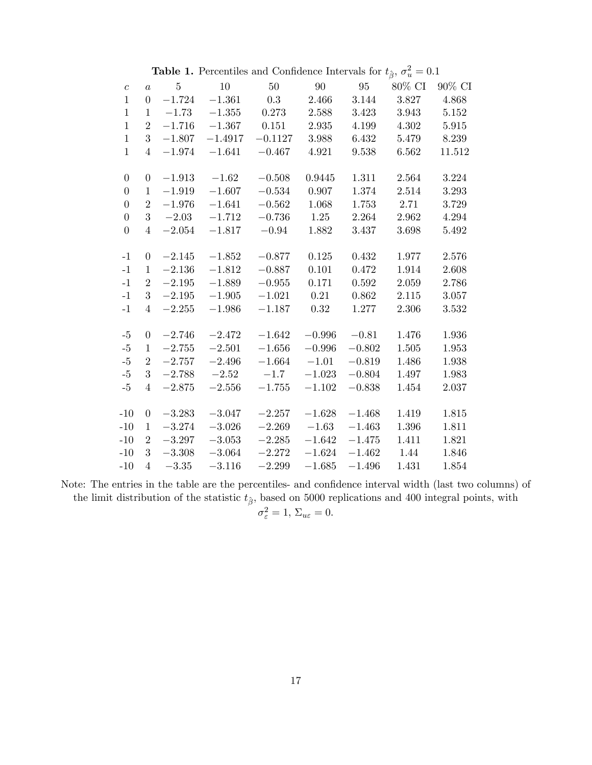|                  |                  |          | <b>Table 1.</b> Fertentines and Connuence intervals for $\iota_{\hat{\beta}}$ , $\sigma_u = 0.1$ |           |          |          |           |        |
|------------------|------------------|----------|--------------------------------------------------------------------------------------------------|-----------|----------|----------|-----------|--------|
| $\boldsymbol{c}$ | $\boldsymbol{a}$ | $\bf 5$  | 10                                                                                               | $50\,$    | 90       | 95       | $80\%$ CI | 90% CI |
| $\mathbf{1}$     | $\boldsymbol{0}$ | $-1.724$ | $-1.361$                                                                                         | 0.3       | 2.466    | 3.144    | 3.827     | 4.868  |
| $\mathbf{1}$     | $\mathbf{1}$     | $-1.73$  | $-1.355$                                                                                         | 0.273     | 2.588    | 3.423    | 3.943     | 5.152  |
| $\mathbf{1}$     | $\overline{2}$   | $-1.716$ | $-1.367$                                                                                         | 0.151     | 2.935    | 4.199    | 4.302     | 5.915  |
| $\mathbf{1}$     | 3                | $-1.807$ | $-1.4917$                                                                                        | $-0.1127$ | 3.988    | 6.432    | 5.479     | 8.239  |
| $\mathbf{1}$     | $\overline{4}$   | $-1.974$ | $-1.641$                                                                                         | $-0.467$  | 4.921    | 9.538    | 6.562     | 11.512 |
|                  |                  |          |                                                                                                  |           |          |          |           |        |
| $\boldsymbol{0}$ | $\boldsymbol{0}$ | $-1.913$ | $-1.62$                                                                                          | $-0.508$  | 0.9445   | 1.311    | 2.564     | 3.224  |
| $\boldsymbol{0}$ | $\mathbf 1$      | $-1.919$ | $-1.607$                                                                                         | $-0.534$  | 0.907    | 1.374    | 2.514     | 3.293  |
| $\overline{0}$   | $\overline{2}$   | $-1.976$ | $-1.641$                                                                                         | $-0.562$  | 1.068    | 1.753    | 2.71      | 3.729  |
| $\overline{0}$   | 3                | $-2.03$  | $-1.712$                                                                                         | $-0.736$  | 1.25     | 2.264    | 2.962     | 4.294  |
| $\overline{0}$   | $\overline{4}$   | $-2.054$ | $-1.817$                                                                                         | $-0.94$   | 1.882    | 3.437    | 3.698     | 5.492  |
|                  |                  |          |                                                                                                  |           |          |          |           |        |
| $-1$             | $\boldsymbol{0}$ | $-2.145$ | $-1.852$                                                                                         | $-0.877$  | 0.125    | 0.432    | 1.977     | 2.576  |
| $-1$             | $\mathbf{1}$     | $-2.136$ | $-1.812$                                                                                         | $-0.887$  | 0.101    | 0.472    | 1.914     | 2.608  |
| $-1$             | $\overline{2}$   | $-2.195$ | $-1.889$                                                                                         | $-0.955$  | 0.171    | 0.592    | 2.059     | 2.786  |
| $-1$             | 3                | $-2.195$ | $-1.905$                                                                                         | $-1.021$  | 0.21     | 0.862    | 2.115     | 3.057  |
| $-1$             | $\overline{4}$   | $-2.255$ | $-1.986$                                                                                         | $-1.187$  | 0.32     | 1.277    | 2.306     | 3.532  |
|                  |                  |          |                                                                                                  |           |          |          |           |        |
| $-5$             | $\boldsymbol{0}$ | $-2.746$ | $-2.472$                                                                                         | $-1.642$  | $-0.996$ | $-0.81$  | 1.476     | 1.936  |
| $-5$             | $\mathbf{1}$     | $-2.755$ | $-2.501$                                                                                         | $-1.656$  | $-0.996$ | $-0.802$ | $1.505\,$ | 1.953  |
| $-5$             | $\overline{2}$   | $-2.757$ | $-2.496$                                                                                         | $-1.664$  | $-1.01$  | $-0.819$ | 1.486     | 1.938  |
| $-5$             | 3                | $-2.788$ | $-2.52$                                                                                          | $-1.7$    | $-1.023$ | $-0.804$ | 1.497     | 1.983  |
| $-5$             | $\overline{4}$   | $-2.875$ | $-2.556$                                                                                         | $-1.755$  | $-1.102$ | $-0.838$ | 1.454     | 2.037  |
|                  |                  |          |                                                                                                  |           |          |          |           |        |
| $-10$            | $\boldsymbol{0}$ | $-3.283$ | $-3.047$                                                                                         | $-2.257$  | $-1.628$ | $-1.468$ | 1.419     | 1.815  |
| $-10$            | $\mathbf{1}$     | $-3.274$ | $-3.026$                                                                                         | $-2.269$  | $-1.63$  | $-1.463$ | 1.396     | 1.811  |
| $-10$            | $\overline{2}$   | $-3.297$ | $-3.053$                                                                                         | $-2.285$  | $-1.642$ | $-1.475$ | 1.411     | 1.821  |
| $-10$            | 3                | $-3.308$ | $-3.064$                                                                                         | $-2.272$  | $-1.624$ | $-1.462$ | 1.44      | 1.846  |
| $-10$            | $\overline{4}$   | $-3.35$  | $-3.116$                                                                                         | $-2.299$  | $-1.685$ | $-1.496$ | 1.431     | 1.854  |
|                  |                  |          |                                                                                                  |           |          |          |           |        |

**Table 1.** Percentiles and Confidence Intervals for  $t_{\hat{\beta}}, \sigma_u^2$  $-0.1$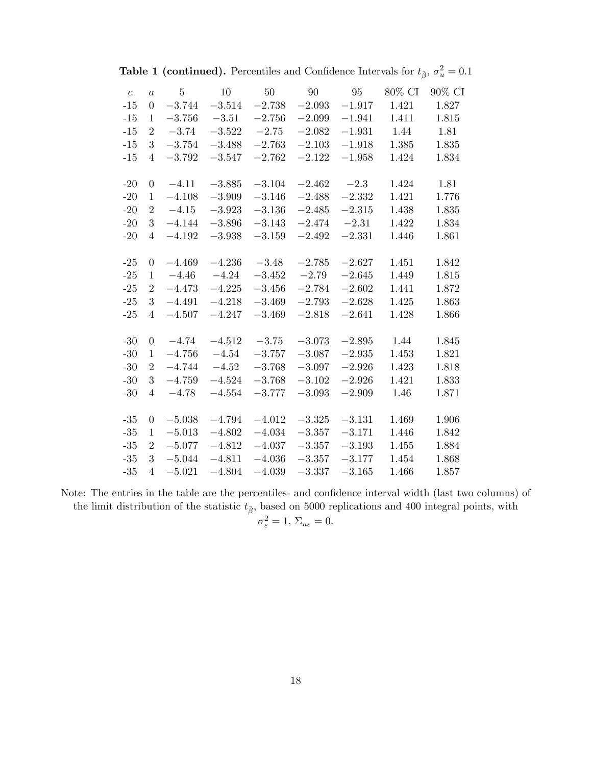| $\boldsymbol{c}$ | $\overline{a}$   | 5        | 10       | 50       | 90       | 95       | 80% CI | 90% CI |
|------------------|------------------|----------|----------|----------|----------|----------|--------|--------|
| $-15$            | $\overline{0}$   | $-3.744$ | $-3.514$ | $-2.738$ | $-2.093$ | $-1.917$ | 1.421  | 1.827  |
| $-15$            | 1                | $-3.756$ | $-3.51$  | $-2.756$ | $-2.099$ | $-1.941$ | 1.411  | 1.815  |
| $-15$            | $\overline{2}$   | $-3.74$  | $-3.522$ | $-2.75$  | $-2.082$ | $-1.931$ | 1.44   | 1.81   |
| $-15$            | 3                | $-3.754$ | $-3.488$ | $-2.763$ | $-2.103$ | $-1.918$ | 1.385  | 1.835  |
| $-15$            | $\overline{4}$   | $-3.792$ | $-3.547$ | $-2.762$ | $-2.122$ | $-1.958$ | 1.424  | 1.834  |
|                  |                  |          |          |          |          |          |        |        |
| $-20$            | $\boldsymbol{0}$ | $-4.11$  | $-3.885$ | $-3.104$ | $-2.462$ | $-2.3$   | 1.424  | 1.81   |
| $-20$            | 1                | $-4.108$ | $-3.909$ | $-3.146$ | $-2.488$ | $-2.332$ | 1.421  | 1.776  |
| $-20$            | $\overline{2}$   | $-4.15$  | $-3.923$ | $-3.136$ | $-2.485$ | $-2.315$ | 1.438  | 1.835  |
| $-20$            | 3                | $-4.144$ | $-3.896$ | $-3.143$ | $-2.474$ | $-2.31$  | 1.422  | 1.834  |
| $-20$            | $\overline{4}$   | $-4.192$ | $-3.938$ | $-3.159$ | $-2.492$ | $-2.331$ | 1.446  | 1.861  |
|                  |                  |          |          |          |          |          |        |        |
| $-25$            | $\theta$         | $-4.469$ | $-4.236$ | $-3.48$  | $-2.785$ | $-2.627$ | 1.451  | 1.842  |
| $-25$            | 1                | $-4.46$  | $-4.24$  | $-3.452$ | $-2.79$  | $-2.645$ | 1.449  | 1.815  |
| $-25$            | $\overline{2}$   | $-4.473$ | $-4.225$ | $-3.456$ | $-2.784$ | $-2.602$ | 1.441  | 1.872  |
| $-25$            | 3                | $-4.491$ | $-4.218$ | $-3.469$ | $-2.793$ | $-2.628$ | 1.425  | 1.863  |
| $-25$            | $\overline{4}$   | $-4.507$ | $-4.247$ | $-3.469$ | $-2.818$ | $-2.641$ | 1.428  | 1.866  |
|                  |                  |          |          |          |          |          |        |        |
| $-30$            | $\boldsymbol{0}$ | $-4.74$  | $-4.512$ | $-3.75$  | $-3.073$ | $-2.895$ | 1.44   | 1.845  |
| $-30$            | $\mathbf{1}$     | $-4.756$ | $-4.54$  | $-3.757$ | $-3.087$ | $-2.935$ | 1.453  | 1.821  |
| $-30$            | $\overline{2}$   | $-4.744$ | $-4.52$  | $-3.768$ | $-3.097$ | $-2.926$ | 1.423  | 1.818  |
| $-30$            | 3                | $-4.759$ | $-4.524$ | $-3.768$ | $-3.102$ | $-2.926$ | 1.421  | 1.833  |
| $-30$            | $\overline{4}$   | $-4.78$  | $-4.554$ | $-3.777$ | $-3.093$ | $-2.909$ | 1.46   | 1.871  |
|                  |                  |          |          |          |          |          |        |        |
| $-35$            | $\boldsymbol{0}$ | $-5.038$ | $-4.794$ | $-4.012$ | $-3.325$ | $-3.131$ | 1.469  | 1.906  |
| $-35$            | $\mathbf{1}$     | $-5.013$ | $-4.802$ | $-4.034$ | $-3.357$ | $-3.171$ | 1.446  | 1.842  |
| $-35$            | $\overline{2}$   | $-5.077$ | $-4.812$ | $-4.037$ | $-3.357$ | $-3.193$ | 1.455  | 1.884  |
| $-35$            | 3                | $-5.044$ | $-4.811$ | $-4.036$ | $-3.357$ | $-3.177$ | 1.454  | 1.868  |
| $-35$            | $\overline{4}$   | $-5.021$ | $-4.804$ | $-4.039$ | $-3.337$ | $-3.165$ | 1.466  | 1.857  |

| <b>Table 1 (continued).</b> Percentiles and Confidence Intervals for $t_{\hat{\beta}}, \sigma_u^2 = 0.1$ |
|----------------------------------------------------------------------------------------------------------|
|----------------------------------------------------------------------------------------------------------|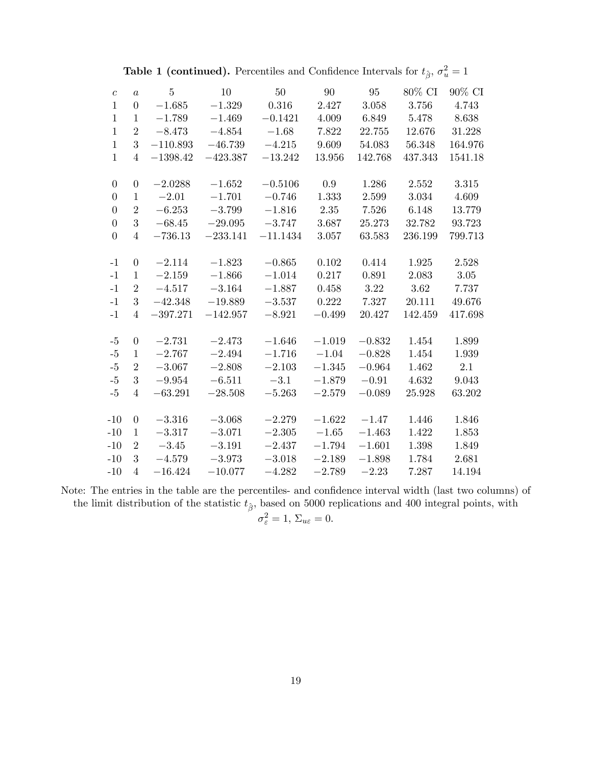**Table 1 (continued).** Percentiles and Confidence Intervals for  $t_{\hat{\beta}}, \sigma_u^2 = 1$ 

| $\boldsymbol{c}$ | $\boldsymbol{a}$ | $\overline{5}$ | 10         | $50\,$     | 90       | 95       | 80% CI  | 90% CI  |
|------------------|------------------|----------------|------------|------------|----------|----------|---------|---------|
| $\mathbf{1}$     | $\overline{0}$   | $-1.685$       | $-1.329$   | 0.316      | 2.427    | 3.058    | 3.756   | 4.743   |
| $\mathbf{1}$     | $\mathbf 1$      | $-1.789$       | $-1.469$   | $-0.1421$  | 4.009    | 6.849    | 5.478   | 8.638   |
| $\mathbf{1}$     | $\overline{2}$   | $-8.473$       | $-4.854$   | $-1.68$    | 7.822    | 22.755   | 12.676  | 31.228  |
| $\mathbf{1}$     | 3                | $-110.893$     | $-46.739$  | $-4.215$   | 9.609    | 54.083   | 56.348  | 164.976 |
| $\mathbf{1}$     | $\overline{4}$   | $-1398.42$     | $-423.387$ | $-13.242$  | 13.956   | 142.768  | 437.343 | 1541.18 |
|                  |                  |                |            |            |          |          |         |         |
| $\boldsymbol{0}$ | $\theta$         | $-2.0288$      | $-1.652$   | $-0.5106$  | 0.9      | 1.286    | 2.552   | 3.315   |
| $\boldsymbol{0}$ | $\mathbf{1}$     | $-2.01$        | $-1.701$   | $-0.746$   | 1.333    | 2.599    | 3.034   | 4.609   |
| $\overline{0}$   | $\overline{2}$   | $-6.253$       | $-3.799$   | $-1.816$   | 2.35     | 7.526    | 6.148   | 13.779  |
| $\overline{0}$   | 3                | $-68.45$       | $-29.095$  | $-3.747$   | 3.687    | 25.273   | 32.782  | 93.723  |
| $\boldsymbol{0}$ | $\overline{4}$   | $-736.13$      | $-233.141$ | $-11.1434$ | 3.057    | 63.583   | 236.199 | 799.713 |
|                  |                  |                |            |            |          |          |         |         |
| $-1$             | $\overline{0}$   | $-2.114$       | $-1.823$   | $-0.865$   | 0.102    | 0.414    | 1.925   | 2.528   |
| $-1$             | $\mathbf{1}$     | $-2.159$       | $-1.866$   | $-1.014$   | 0.217    | 0.891    | 2.083   | 3.05    |
| $-1$             | $\overline{2}$   | $-4.517$       | $-3.164$   | $-1.887$   | 0.458    | 3.22     | 3.62    | 7.737   |
| $-1$             | 3                | $-42.348$      | $-19.889$  | $-3.537$   | 0.222    | 7.327    | 20.111  | 49.676  |
| $-1$             | $\overline{4}$   | $-397.271$     | $-142.957$ | $-8.921$   | $-0.499$ | 20.427   | 142.459 | 417.698 |
| $-5$             | $\overline{0}$   | $-2.731$       | $-2.473$   | $-1.646$   | $-1.019$ | $-0.832$ | 1.454   | 1.899   |
| $-5$             | $\mathbf{1}$     | $-2.767$       | $-2.494$   | $-1.716$   | $-1.04$  | $-0.828$ | 1.454   | 1.939   |
| $-5$             | $\overline{2}$   | $-3.067$       | $-2.808$   | $-2.103$   | $-1.345$ | $-0.964$ | 1.462   | 2.1     |
| $-5$             | 3                | $-9.954$       | $-6.511$   | $-3.1$     | $-1.879$ | $-0.91$  | 4.632   | 9.043   |
| $-5$             | $\overline{4}$   | $-63.291$      | $-28.508$  | $-5.263$   | $-2.579$ | $-0.089$ | 25.928  | 63.202  |
|                  |                  |                |            |            |          |          |         |         |
| $-10$            | $\theta$         | $-3.316$       | $-3.068$   | $-2.279$   | $-1.622$ | $-1.47$  | 1.446   | 1.846   |
| $-10$            | $\mathbf{1}$     | $-3.317$       | $-3.071$   | $-2.305$   | $-1.65$  | $-1.463$ | 1.422   | 1.853   |
| $-10$            | $\overline{2}$   | $-3.45$        | $-3.191$   | $-2.437$   | $-1.794$ | $-1.601$ | 1.398   | 1.849   |
| $-10$            | 3                | $-4.579$       | $-3.973$   | $-3.018$   | $-2.189$ | $-1.898$ | 1.784   | 2.681   |
| $-10$            | $\overline{4}$   | $-16.424$      | $-10.077$  | $-4.282$   | $-2.789$ | $-2.23$  | 7.287   | 14.194  |
|                  |                  |                |            |            |          |          |         |         |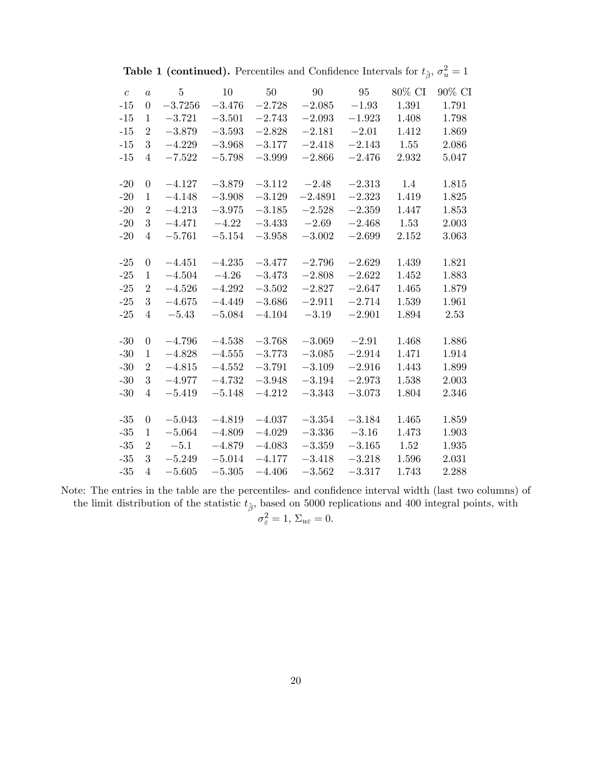| $\boldsymbol{c}$ | $\overline{a}$   | $\overline{5}$ | 10       | 50       | 90        | 95       | 80% CI | 90% CI |
|------------------|------------------|----------------|----------|----------|-----------|----------|--------|--------|
| $-15$            | $\overline{0}$   | $-3.7256$      | $-3.476$ | $-2.728$ | $-2.085$  | $-1.93$  | 1.391  | 1.791  |
| $-15$            | 1                | $-3.721$       | $-3.501$ | $-2.743$ | $-2.093$  | $-1.923$ | 1.408  | 1.798  |
| $-15$            | 2                | $-3.879$       | $-3.593$ | $-2.828$ | $-2.181$  | $-2.01$  | 1.412  | 1.869  |
| $-15$            | 3                | $-4.229$       | $-3.968$ | $-3.177$ | $-2.418$  | $-2.143$ | 1.55   | 2.086  |
| $-15$            | 4                | $-7.522$       | $-5.798$ | $-3.999$ | $-2.866$  | $-2.476$ | 2.932  | 5.047  |
|                  |                  |                |          |          |           |          |        |        |
| $-20$            | $\theta$         | $-4.127$       | $-3.879$ | $-3.112$ | $-2.48$   | $-2.313$ | 1.4    | 1.815  |
| $-20$            | 1                | $-4.148$       | $-3.908$ | $-3.129$ | $-2.4891$ | $-2.323$ | 1.419  | 1.825  |
| $-20$            | $\overline{2}$   | $-4.213$       | $-3.975$ | $-3.185$ | $-2.528$  | $-2.359$ | 1.447  | 1.853  |
| $-20$            | 3                | $-4.471$       | $-4.22$  | $-3.433$ | $-2.69$   | $-2.468$ | 1.53   | 2.003  |
| $-20$            | $\overline{4}$   | $-5.761$       | $-5.154$ | $-3.958$ | $-3.002$  | $-2.699$ | 2.152  | 3.063  |
|                  |                  |                |          |          |           |          |        |        |
| $-25$            | $\overline{0}$   | $-4.451$       | $-4.235$ | $-3.477$ | $-2.796$  | $-2.629$ | 1.439  | 1.821  |
| $-25$            | 1                | $-4.504$       | $-4.26$  | $-3.473$ | $-2.808$  | $-2.622$ | 1.452  | 1.883  |
| $-25$            | 2                | $-4.526$       | $-4.292$ | $-3.502$ | $-2.827$  | $-2.647$ | 1.465  | 1.879  |
| $-25$            | 3                | $-4.675$       | $-4.449$ | $-3.686$ | $-2.911$  | $-2.714$ | 1.539  | 1.961  |
| $-25$            | 4                | $-5.43$        | $-5.084$ | $-4.104$ | $-3.19$   | $-2.901$ | 1.894  | 2.53   |
|                  |                  |                |          |          |           |          |        |        |
| $-30$            | $\boldsymbol{0}$ | $-4.796$       | $-4.538$ | $-3.768$ | $-3.069$  | $-2.91$  | 1.468  | 1.886  |
| $-30$            | $\mathbf{1}$     | $-4.828$       | $-4.555$ | $-3.773$ | $-3.085$  | $-2.914$ | 1.471  | 1.914  |
| $-30$            | 2                | $-4.815$       | $-4.552$ | $-3.791$ | $-3.109$  | $-2.916$ | 1.443  | 1.899  |
| $-30$            | 3                | $-4.977$       | $-4.732$ | $-3.948$ | $-3.194$  | $-2.973$ | 1.538  | 2.003  |
| $-30$            | $\overline{4}$   | $-5.419$       | $-5.148$ | $-4.212$ | $-3.343$  | $-3.073$ | 1.804  | 2.346  |
|                  |                  |                |          |          |           |          |        |        |
| $-35$            | $\boldsymbol{0}$ | $-5.043$       | $-4.819$ | $-4.037$ | $-3.354$  | $-3.184$ | 1.465  | 1.859  |
| $-35$            | $\mathbf 1$      | $-5.064$       | $-4.809$ | $-4.029$ | $-3.336$  | $-3.16$  | 1.473  | 1.903  |
| $-35$            | 2                | $-5.1$         | $-4.879$ | $-4.083$ | $-3.359$  | $-3.165$ | 1.52   | 1.935  |
| $-35$            | 3                | $-5.249$       | $-5.014$ | $-4.177$ | $-3.418$  | $-3.218$ | 1.596  | 2.031  |
| $-35$            | $\overline{4}$   | $-5.605$       | $-5.305$ | $-4.406$ | $-3.562$  | $-3.317$ | 1.743  | 2.288  |

**Table 1 (continued).** Percentiles and Confidence Intervals for  $t_{\hat{\beta}}, \sigma_u^2 = 1$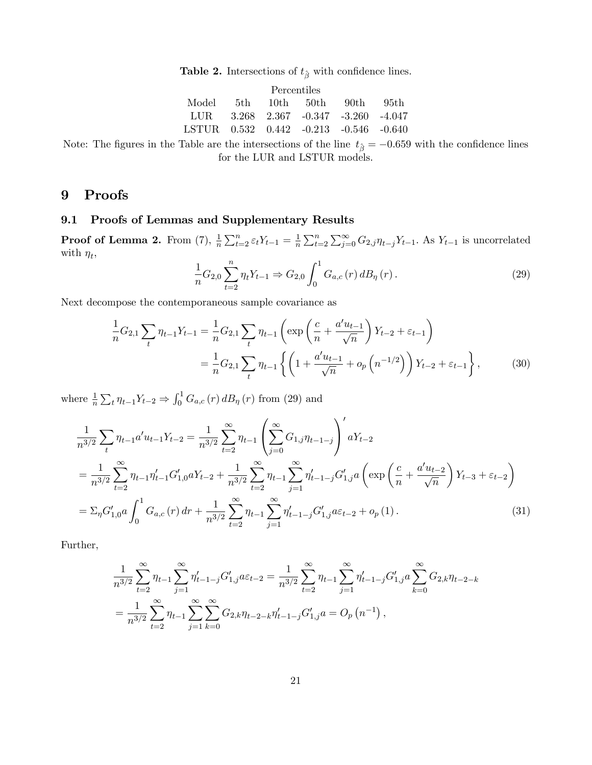**Table 2.** Intersections of  $t_{\hat{\beta}}$  with confidence lines.

| Percentiles                            |  |  |  |                    |       |  |  |  |  |
|----------------------------------------|--|--|--|--------------------|-------|--|--|--|--|
| Model                                  |  |  |  | 5th 10th 50th 90th | -95th |  |  |  |  |
| LUR 3.268 2.367 -0.347 -3.260 -4.047   |  |  |  |                    |       |  |  |  |  |
| LSTUR 0.532 0.442 -0.213 -0.546 -0.640 |  |  |  |                    |       |  |  |  |  |

Note: The figures in the Table are the intersections of the line  $t_{\hat{\beta}} = -0.659$  with the confidence lines for the LUR and LSTUR models.

## 9 Proofs

#### 9.1 Proofs of Lemmas and Supplementary Results

**Proof of Lemma 2.** From (7),  $\frac{1}{n}\sum_{t=2}^{n}\varepsilon_tY_{t-1} = \frac{1}{n}$  $\frac{1}{n} \sum_{t=2}^{n} \sum_{j=0}^{\infty} G_{2,j} \eta_{t-j} Y_{t-1}$ . As  $Y_{t-1}$  is uncorrelated with  $\eta_t$ ,

$$
\frac{1}{n}G_{2,0}\sum_{t=2}^{n}\eta_{t}Y_{t-1} \Rightarrow G_{2,0}\int_{0}^{1}G_{a,c}(r) dB_{\eta}(r).
$$
\n(29)

Next decompose the contemporaneous sample covariance as

$$
\frac{1}{n}G_{2,1}\sum_{t}\eta_{t-1}Y_{t-1} = \frac{1}{n}G_{2,1}\sum_{t}\eta_{t-1}\left(\exp\left(\frac{c}{n} + \frac{a'u_{t-1}}{\sqrt{n}}\right)Y_{t-2} + \varepsilon_{t-1}\right)
$$
\n
$$
= \frac{1}{n}G_{2,1}\sum_{t}\eta_{t-1}\left\{\left(1 + \frac{a'u_{t-1}}{\sqrt{n}} + o_p\left(n^{-1/2}\right)\right)Y_{t-2} + \varepsilon_{t-1}\right\},\tag{30}
$$

where  $\frac{1}{n} \sum_{t} \eta_{t-1} Y_{t-2} \Rightarrow \int_0^1 G_{a,c}(r) dB_{\eta}(r)$  from (29) and

$$
\frac{1}{n^{3/2}} \sum_{t} \eta_{t-1} a' u_{t-1} Y_{t-2} = \frac{1}{n^{3/2}} \sum_{t=2}^{\infty} \eta_{t-1} \left( \sum_{j=0}^{\infty} G_{1,j} \eta_{t-1-j} \right)' a Y_{t-2}
$$
\n
$$
= \frac{1}{n^{3/2}} \sum_{t=2}^{\infty} \eta_{t-1} \eta'_{t-1} G'_{1,0} a Y_{t-2} + \frac{1}{n^{3/2}} \sum_{t=2}^{\infty} \eta_{t-1} \sum_{j=1}^{\infty} \eta'_{t-1-j} G'_{1,j} a \left( \exp \left( \frac{c}{n} + \frac{a' u_{t-2}}{\sqrt{n}} \right) Y_{t-3} + \varepsilon_{t-2} \right)
$$
\n
$$
= \Sigma_{\eta} G'_{1,0} a \int_{0}^{1} G_{a,c}(r) dr + \frac{1}{n^{3/2}} \sum_{t=2}^{\infty} \eta_{t-1} \sum_{j=1}^{\infty} \eta'_{t-1-j} G'_{1,j} a \varepsilon_{t-2} + o_p(1).
$$
\n(31)

Further,

$$
\frac{1}{n^{3/2}} \sum_{t=2}^{\infty} \eta_{t-1} \sum_{j=1}^{\infty} \eta'_{t-1-j} G'_{1,j} a \varepsilon_{t-2} = \frac{1}{n^{3/2}} \sum_{t=2}^{\infty} \eta_{t-1} \sum_{j=1}^{\infty} \eta'_{t-1-j} G'_{1,j} a \sum_{k=0}^{\infty} G_{2,k} \eta_{t-2-k}
$$

$$
= \frac{1}{n^{3/2}} \sum_{t=2}^{\infty} \eta_{t-1} \sum_{j=1}^{\infty} \sum_{k=0}^{\infty} G_{2,k} \eta_{t-2-k} \eta'_{t-1-j} G'_{1,j} a = O_p(n^{-1}),
$$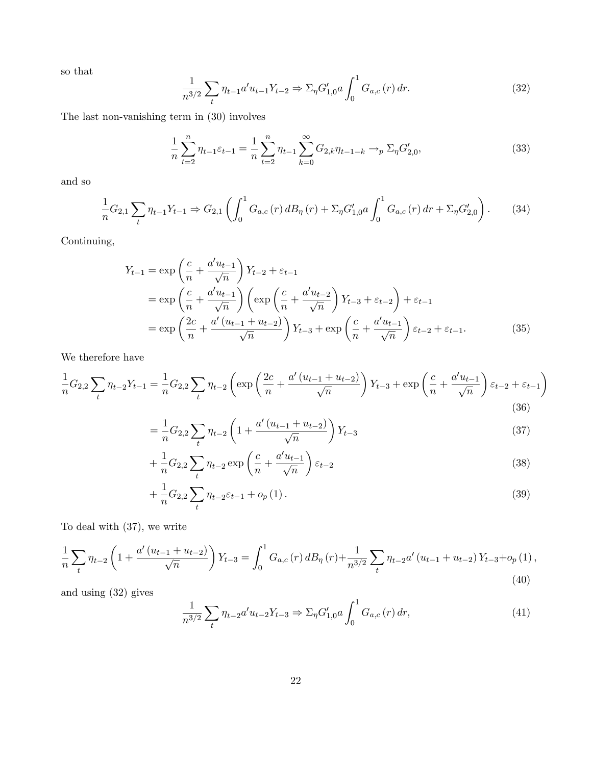so that

$$
\frac{1}{n^{3/2}} \sum_{t} \eta_{t-1} a' u_{t-1} Y_{t-2} \Rightarrow \Sigma_{\eta} G'_{1,0} a \int_0^1 G_{a,c}(r) dr.
$$
 (32)

The last non-vanishing term in (30) involves

$$
\frac{1}{n}\sum_{t=2}^{n}\eta_{t-1}\varepsilon_{t-1} = \frac{1}{n}\sum_{t=2}^{n}\eta_{t-1}\sum_{k=0}^{\infty}G_{2,k}\eta_{t-1-k} \to_{p}\Sigma_{\eta}G'_{2,0},\tag{33}
$$

and so

$$
\frac{1}{n}G_{2,1}\sum_{t}\eta_{t-1}Y_{t-1} \Rightarrow G_{2,1}\left(\int_{0}^{1}G_{a,c}(r)dB_{\eta}(r)+\Sigma_{\eta}G_{1,0}'^{a}\int_{0}^{1}G_{a,c}(r)dr+\Sigma_{\eta}G_{2,0}'\right). \tag{34}
$$

Continuing,

$$
Y_{t-1} = \exp\left(\frac{c}{n} + \frac{a'u_{t-1}}{\sqrt{n}}\right) Y_{t-2} + \varepsilon_{t-1}
$$
  
= 
$$
\exp\left(\frac{c}{n} + \frac{a'u_{t-1}}{\sqrt{n}}\right) \left(\exp\left(\frac{c}{n} + \frac{a'u_{t-2}}{\sqrt{n}}\right) Y_{t-3} + \varepsilon_{t-2}\right) + \varepsilon_{t-1}
$$
  
= 
$$
\exp\left(\frac{2c}{n} + \frac{a'(u_{t-1} + u_{t-2})}{\sqrt{n}}\right) Y_{t-3} + \exp\left(\frac{c}{n} + \frac{a'u_{t-1}}{\sqrt{n}}\right) \varepsilon_{t-2} + \varepsilon_{t-1}.
$$
 (35)

We therefore have

$$
\frac{1}{n}G_{2,2}\sum_{t}\eta_{t-2}Y_{t-1} = \frac{1}{n}G_{2,2}\sum_{t}\eta_{t-2}\left(\exp\left(\frac{2c}{n} + \frac{a'(u_{t-1}+u_{t-2})}{\sqrt{n}}\right)Y_{t-3} + \exp\left(\frac{c}{n} + \frac{a'u_{t-1}}{\sqrt{n}}\right)\varepsilon_{t-2} + \varepsilon_{t-1}\right)
$$
\n(36)

$$
=\frac{1}{n}G_{2,2}\sum_{t}\eta_{t-2}\left(1+\frac{a'(u_{t-1}+u_{t-2})}{\sqrt{n}}\right)Y_{t-3}\tag{37}
$$

$$
+\frac{1}{n}G_{2,2}\sum_{t}\eta_{t-2}\exp\left(\frac{c}{n}+\frac{a'u_{t-1}}{\sqrt{n}}\right)\varepsilon_{t-2}\tag{38}
$$

$$
+\frac{1}{n}G_{2,2}\sum_{t}\eta_{t-2}\varepsilon_{t-1}+o_{p}(1).
$$
\n(39)

To deal with (37), we write

$$
\frac{1}{n}\sum_{t}\eta_{t-2}\left(1+\frac{a'(u_{t-1}+u_{t-2})}{\sqrt{n}}\right)Y_{t-3}=\int_{0}^{1}G_{a,c}(r)dB_{\eta}(r)+\frac{1}{n^{3/2}}\sum_{t}\eta_{t-2}a'(u_{t-1}+u_{t-2})Y_{t-3}+o_{p}(1),\tag{40}
$$

and using (32) gives

$$
\frac{1}{n^{3/2}} \sum_{t} \eta_{t-2} a' u_{t-2} Y_{t-3} \Rightarrow \Sigma_{\eta} G'_{1,0} a \int_0^1 G_{a,c}(r) dr,
$$
\n(41)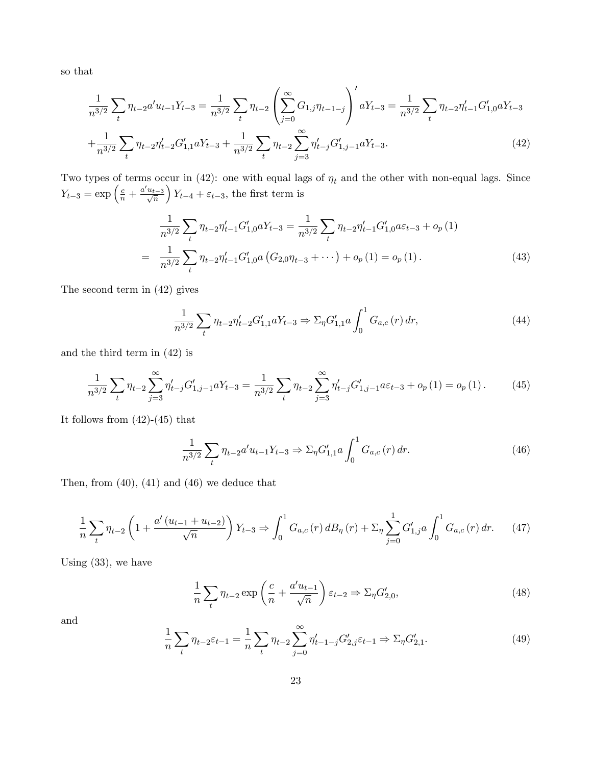so that

$$
\frac{1}{n^{3/2}}\sum_{t}\eta_{t-2}a'u_{t-1}Y_{t-3} = \frac{1}{n^{3/2}}\sum_{t}\eta_{t-2}\left(\sum_{j=0}^{\infty}G_{1,j}\eta_{t-1-j}\right)'aY_{t-3} = \frac{1}{n^{3/2}}\sum_{t}\eta_{t-2}\eta'_{t-1}G'_{1,0}aY_{t-3}
$$
\n
$$
+\frac{1}{n^{3/2}}\sum_{t}\eta_{t-2}\eta'_{t-2}G'_{1,1}aY_{t-3} + \frac{1}{n^{3/2}}\sum_{t}\eta_{t-2}\sum_{j=3}^{\infty}\eta'_{t-j}G'_{1,j-1}aY_{t-3}.\tag{42}
$$

Two types of terms occur in (42): one with equal lags of  $\eta_t$  and the other with non-equal lags. Since  $Y_{t-3} = \exp\left(\frac{c}{n} + \frac{a'u_{t-3}}{\sqrt{n}}\right)$  $Y_{t-4} + \varepsilon_{t-3}$ , the first term is

$$
\frac{1}{n^{3/2}} \sum_{t} \eta_{t-2} \eta'_{t-1} G'_{1,0} a Y_{t-3} = \frac{1}{n^{3/2}} \sum_{t} \eta_{t-2} \eta'_{t-1} G'_{1,0} a \varepsilon_{t-3} + o_p(1)
$$
\n
$$
= \frac{1}{n^{3/2}} \sum_{t} \eta_{t-2} \eta'_{t-1} G'_{1,0} a (G_{2,0} \eta_{t-3} + \cdots) + o_p(1) = o_p(1).
$$
\n(43)

The second term in (42) gives

$$
\frac{1}{n^{3/2}} \sum_{t} \eta_{t-2} \eta'_{t-2} G'_{1,1} a Y_{t-3} \Rightarrow \Sigma_{\eta} G'_{1,1} a \int_0^1 G_{a,c}(r) dr,
$$
\n(44)

and the third term in (42) is

$$
\frac{1}{n^{3/2}} \sum_{t} \eta_{t-2} \sum_{j=3}^{\infty} \eta'_{t-j} G'_{1,j-1} a Y_{t-3} = \frac{1}{n^{3/2}} \sum_{t} \eta_{t-2} \sum_{j=3}^{\infty} \eta'_{t-j} G'_{1,j-1} a \varepsilon_{t-3} + o_p(1) = o_p(1).
$$
 (45)

It follows from  $(42)-(45)$  that

$$
\frac{1}{n^{3/2}} \sum_{t} \eta_{t-2} a' u_{t-1} Y_{t-3} \Rightarrow \Sigma_{\eta} G'_{1,1} a \int_0^1 G_{a,c}(r) dr.
$$
 (46)

Then, from  $(40)$ ,  $(41)$  and  $(46)$  we deduce that

$$
\frac{1}{n}\sum_{t}\eta_{t-2}\left(1+\frac{a'(u_{t-1}+u_{t-2})}{\sqrt{n}}\right)Y_{t-3}\Rightarrow\int_{0}^{1}G_{a,c}(r)dB_{\eta}(r)+\Sigma_{\eta}\sum_{j=0}^{1}G'_{1,j}a\int_{0}^{1}G_{a,c}(r)dr.\tag{47}
$$

Using (33), we have

$$
\frac{1}{n}\sum_{t} \eta_{t-2} \exp\left(\frac{c}{n} + \frac{a'u_{t-1}}{\sqrt{n}}\right) \varepsilon_{t-2} \Rightarrow \Sigma_{\eta} G'_{2,0},\tag{48}
$$

and

$$
\frac{1}{n}\sum_{t} \eta_{t-2} \varepsilon_{t-1} = \frac{1}{n} \sum_{t} \eta_{t-2} \sum_{j=0}^{\infty} \eta'_{t-1-j} G'_{2,j} \varepsilon_{t-1} \Rightarrow \Sigma_{\eta} G'_{2,1}.
$$
\n(49)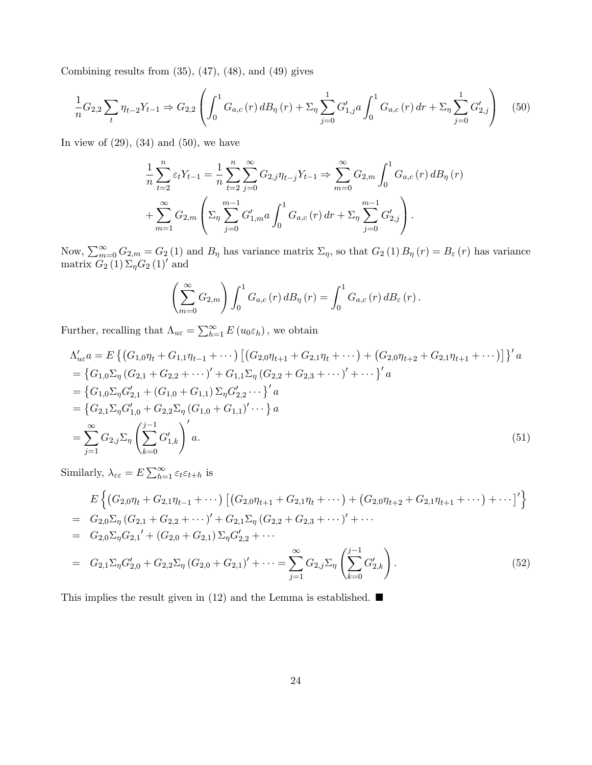Combining results from  $(35)$ ,  $(47)$ ,  $(48)$ , and  $(49)$  gives

$$
\frac{1}{n}G_{2,2}\sum_{t}\eta_{t-2}Y_{t-1} \Rightarrow G_{2,2}\left(\int_{0}^{1}G_{a,c}(r)dB_{\eta}(r)+\sum_{\eta}\sum_{j=0}^{1}G'_{1,j}a\int_{0}^{1}G_{a,c}(r)dr+\sum_{\eta}\sum_{j=0}^{1}G'_{2,j}\right) (50)
$$

In view of  $(29)$ ,  $(34)$  and  $(50)$ , we have

$$
\frac{1}{n} \sum_{t=2}^{n} \varepsilon_t Y_{t-1} = \frac{1}{n} \sum_{t=2}^{n} \sum_{j=0}^{\infty} G_{2,j} \eta_{t-j} Y_{t-1} \Rightarrow \sum_{m=0}^{\infty} G_{2,m} \int_{0}^{1} G_{a,c}(r) dB_{\eta}(r)
$$

$$
+ \sum_{m=1}^{\infty} G_{2,m} \left( \sum_{j=0}^{m-1} G'_{1,m} a \int_{0}^{1} G_{a,c}(r) dr + \sum_{j=0}^{m-1} G'_{2,j} \right).
$$

Now,  $\sum_{m=0}^{\infty} G_{2,m} = G_2(1)$  and  $B_{\eta}$  has variance matrix  $\Sigma_{\eta}$ , so that  $G_2(1) B_{\eta}(r) = B_{\varepsilon}(r)$  has variance matrix  $G_2(1)\Sigma_{\eta}G_2(1)'$  and

$$
\left(\sum_{m=0}^{\infty} G_{2,m}\right) \int_0^1 G_{a,c}(r) d B_{\eta}(r) = \int_0^1 G_{a,c}(r) d B_{\varepsilon}(r).
$$

Further, recalling that  $\Lambda_{u\varepsilon} = \sum_{h=1}^{\infty} E(u_0 \varepsilon_h)$ , we obtain

$$
\Lambda'_{u\varepsilon}a = E \left\{ (G_{1,0}\eta_t + G_{1,1}\eta_{t-1} + \cdots) \left[ (G_{2,0}\eta_{t+1} + G_{2,1}\eta_t + \cdots) + (G_{2,0}\eta_{t+2} + G_{2,1}\eta_{t+1} + \cdots) \right] \right\}' a
$$
\n
$$
= \left\{ G_{1,0}\Sigma_\eta (G_{2,1} + G_{2,2} + \cdots)' + G_{1,1}\Sigma_\eta (G_{2,2} + G_{2,3} + \cdots)' + \cdots \right\}' a
$$
\n
$$
= \left\{ G_{1,0}\Sigma_\eta G'_{2,1} + (G_{1,0} + G_{1,1})\Sigma_\eta G'_{2,2} \cdots \right\}' a
$$
\n
$$
= \left\{ G_{2,1}\Sigma_\eta G'_{1,0} + G_{2,2}\Sigma_\eta (G_{1,0} + G_{1,1})' \cdots \right\} a
$$
\n
$$
= \sum_{j=1}^\infty G_{2,j}\Sigma_\eta \left( \sum_{k=0}^{j-1} G'_{1,k} \right)' a.
$$
\n(51)

Similarly,  $\lambda_{\varepsilon\varepsilon} = E \sum_{h=1}^{\infty} \varepsilon_t \varepsilon_{t+h}$  is

$$
E\left\{ (G_{2,0}\eta_t + G_{2,1}\eta_{t-1} + \cdots) \left[ (G_{2,0}\eta_{t+1} + G_{2,1}\eta_t + \cdots) + (G_{2,0}\eta_{t+2} + G_{2,1}\eta_{t+1} + \cdots) + \cdots \right]^T \right\}
$$
  
\n
$$
= G_{2,0}\Sigma_{\eta} (G_{2,1} + G_{2,2} + \cdots)^{\prime} + G_{2,1}\Sigma_{\eta} (G_{2,2} + G_{2,3} + \cdots)^{\prime} + \cdots
$$
  
\n
$$
= G_{2,0}\Sigma_{\eta} G_{2,1}^{\prime} + (G_{2,0} + G_{2,1}) \Sigma_{\eta} G_{2,2}^{\prime} + \cdots
$$
  
\n
$$
= G_{2,1}\Sigma_{\eta} G_{2,0}^{\prime} + G_{2,2}\Sigma_{\eta} (G_{2,0} + G_{2,1})^{\prime} + \cdots = \sum_{j=1}^{\infty} G_{2,j}\Sigma_{\eta} \left( \sum_{k=0}^{j-1} G_{2,k}^{\prime} \right).
$$
 (52)

This implies the result given in (12) and the Lemma is established.  $\blacksquare$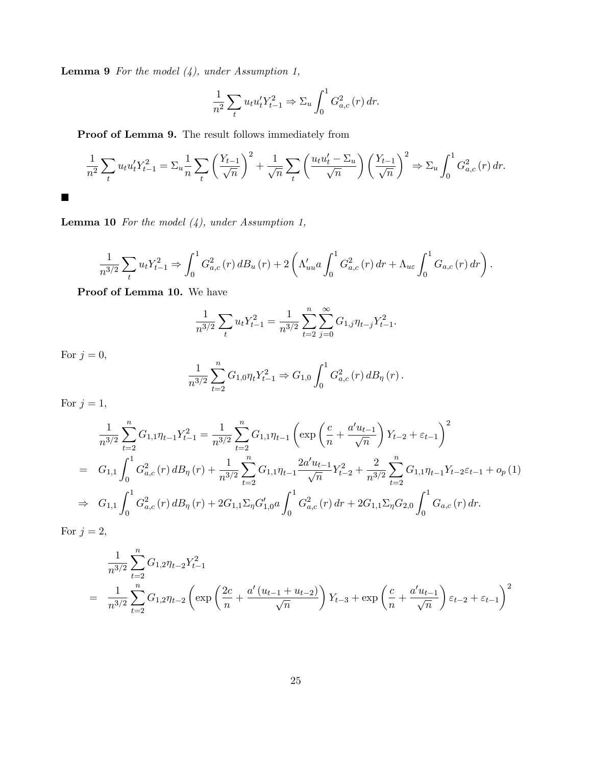**Lemma 9** For the model  $(4)$ , under Assumption 1,

$$
\frac{1}{n^2} \sum_t u_t u_t' Y_{t-1}^2 \Rightarrow \Sigma_u \int_0^1 G_{a,c}^2(r) \, dr.
$$

Proof of Lemma 9. The result follows immediately from

$$
\frac{1}{n^2} \sum_{t} u_t u_t' Y_{t-1}^2 = \sum_{u} \frac{1}{n} \sum_{t} \left( \frac{Y_{t-1}}{\sqrt{n}} \right)^2 + \frac{1}{\sqrt{n}} \sum_{t} \left( \frac{u_t u_t' - \Sigma_u}{\sqrt{n}} \right) \left( \frac{Y_{t-1}}{\sqrt{n}} \right)^2 \Rightarrow \Sigma_u \int_0^1 G_{a,c}^2(r) dr.
$$

**Lemma 10** For the model  $(4)$ , under Assumption 1,

$$
\frac{1}{n^{3/2}} \sum_{t} u_{t} Y_{t-1}^{2} \Rightarrow \int_{0}^{1} G_{a,c}^{2}(r) dB_{u}(r) + 2 \left( \Lambda_{uu}^{\prime} a \int_{0}^{1} G_{a,c}^{2}(r) dr + \Lambda_{u\varepsilon} \int_{0}^{1} G_{a,c}(r) dr \right).
$$

Proof of Lemma 10. We have

$$
\frac{1}{n^{3/2}} \sum_{t} u_t Y_{t-1}^2 = \frac{1}{n^{3/2}} \sum_{t=2}^n \sum_{j=0}^\infty G_{1,j} \eta_{t-j} Y_{t-1}^2.
$$

For  $j=0,$ 

 $\blacksquare$ 

$$
\frac{1}{n^{3/2}} \sum_{t=2}^{n} G_{1,0} \eta_t Y_{t-1}^2 \Rightarrow G_{1,0} \int_0^1 G_{a,c}^2(r) d B_{\eta}(r).
$$

For  $j = 1$ ,

$$
\frac{1}{n^{3/2}} \sum_{t=2}^{n} G_{1,1} \eta_{t-1} Y_{t-1}^{2} = \frac{1}{n^{3/2}} \sum_{t=2}^{n} G_{1,1} \eta_{t-1} \left( \exp\left(\frac{c}{n} + \frac{a'u_{t-1}}{\sqrt{n}}\right) Y_{t-2} + \varepsilon_{t-1} \right)^{2}
$$
\n
$$
= G_{1,1} \int_{0}^{1} G_{a,c}^{2}(r) \, dB_{\eta}(r) + \frac{1}{n^{3/2}} \sum_{t=2}^{n} G_{1,1} \eta_{t-1} \frac{2a'u_{t-1}}{\sqrt{n}} Y_{t-2}^{2} + \frac{2}{n^{3/2}} \sum_{t=2}^{n} G_{1,1} \eta_{t-1} Y_{t-2} \varepsilon_{t-1} + o_{p}(1)
$$
\n
$$
\Rightarrow G_{1,1} \int_{0}^{1} G_{a,c}^{2}(r) \, dB_{\eta}(r) + 2G_{1,1} \Sigma_{\eta} G_{1,0}' a \int_{0}^{1} G_{a,c}^{2}(r) \, dr + 2G_{1,1} \Sigma_{\eta} G_{2,0} \int_{0}^{1} G_{a,c}(r) \, dr.
$$

For  $j=2,$ 

$$
\frac{1}{n^{3/2}} \sum_{t=2}^{n} G_{1,2} \eta_{t-2} Y_{t-1}^{2}
$$
\n
$$
= \frac{1}{n^{3/2}} \sum_{t=2}^{n} G_{1,2} \eta_{t-2} \left( \exp\left(\frac{2c}{n} + \frac{a'(u_{t-1} + u_{t-2})}{\sqrt{n}}\right) Y_{t-3} + \exp\left(\frac{c}{n} + \frac{a'u_{t-1}}{\sqrt{n}}\right) \varepsilon_{t-2} + \varepsilon_{t-1} \right)^{2}
$$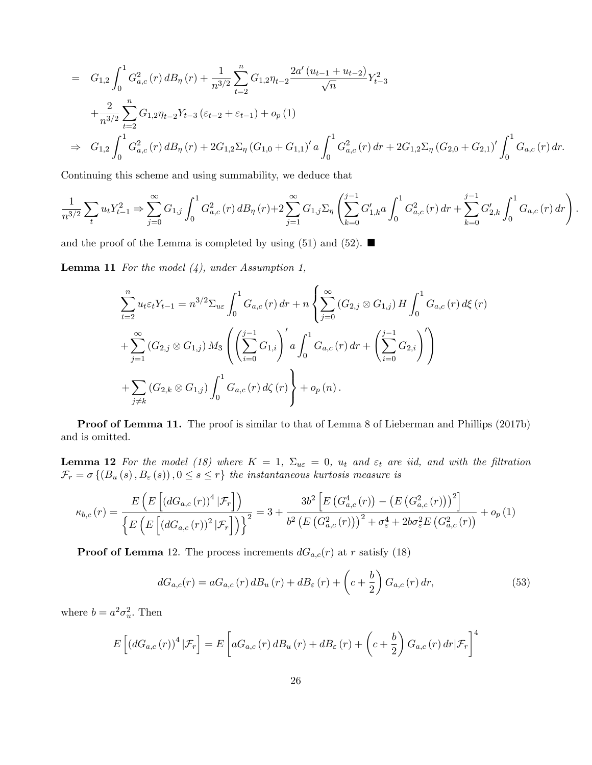$$
= G_{1,2} \int_0^1 G_{a,c}^2(r) dB_\eta(r) + \frac{1}{n^{3/2}} \sum_{t=2}^n G_{1,2} \eta_{t-2} \frac{2a'(u_{t-1} + u_{t-2})}{\sqrt{n}} Y_{t-3}^2
$$
  
+ 
$$
\frac{2}{n^{3/2}} \sum_{t=2}^n G_{1,2} \eta_{t-2} Y_{t-3} (\varepsilon_{t-2} + \varepsilon_{t-1}) + o_p(1)
$$
  

$$
\Rightarrow G_{1,2} \int_0^1 G_{a,c}^2(r) dB_\eta(r) + 2G_{1,2} \Sigma_\eta (G_{1,0} + G_{1,1})' a \int_0^1 G_{a,c}^2(r) dr + 2G_{1,2} \Sigma_\eta (G_{2,0} + G_{2,1})' \int_0^1 G_{a,c}(r) dr.
$$

Continuing this scheme and using summability, we deduce that

$$
\frac{1}{n^{3/2}} \sum_{t} u_t Y_{t-1}^2 \Rightarrow \sum_{j=0}^{\infty} G_{1,j} \int_0^1 G_{a,c}^2(r) d B_{\eta}(r) + 2 \sum_{j=1}^{\infty} G_{1,j} \Sigma_{\eta} \left( \sum_{k=0}^{j-1} G_{1,k}'^{\prime} a \int_0^1 G_{a,c}^2(r) dr + \sum_{k=0}^{j-1} G_{2,k}' \int_0^1 G_{a,c}(r) dr \right)
$$

:

and the proof of the Lemma is completed by using (51) and (52).  $\blacksquare$ 

**Lemma 11** For the model  $(4)$ , under Assumption 1,

$$
\sum_{t=2}^{n} u_{t} \varepsilon_{t} Y_{t-1} = n^{3/2} \sum_{u \in J} \int_{0}^{1} G_{a,c}(r) dr + n \left\{ \sum_{j=0}^{\infty} (G_{2,j} \otimes G_{1,j}) H \int_{0}^{1} G_{a,c}(r) d\xi(r) \right.\n+ \sum_{j=1}^{\infty} (G_{2,j} \otimes G_{1,j}) M_{3} \left( \left( \sum_{i=0}^{j-1} G_{1,i} \right)' a \int_{0}^{1} G_{a,c}(r) dr + \left( \sum_{i=0}^{j-1} G_{2,i} \right)' \right.\n+ \sum_{j \neq k} (G_{2,k} \otimes G_{1,j}) \int_{0}^{1} G_{a,c}(r) d\zeta(r) \right\} + o_{p}(n).
$$

Proof of Lemma 11. The proof is similar to that of Lemma 8 of Lieberman and Phillips (2017b) and is omitted.

**Lemma 12** For the model (18) where  $K = 1$ ,  $\Sigma_{u\epsilon} = 0$ ,  $u_t$  and  $\varepsilon_t$  are iid, and with the filtration  $\mathcal{F}_r = \sigma\left\{(B_u(s), B_{\varepsilon}(s)), 0 \le s \le r\right\}$  the instantaneous kurtosis measure is

$$
\kappa_{b,c}(r) = \frac{E\left(E\left[(dG_{a,c}(r))^4 | \mathcal{F}_r\right]\right)}{\left\{E\left(E\left[(dG_{a,c}(r))^2 | \mathcal{F}_r\right]\right)\right\}^2} = 3 + \frac{3b^2 \left[E\left(G_{a,c}^4(r)\right) - \left(E\left(G_{a,c}^2(r)\right)\right)^2\right]}{b^2 \left(E\left(G_{a,c}^2(r)\right)\right)^2 + \sigma_{\varepsilon}^4 + 2b\sigma_{\varepsilon}^2 E\left(G_{a,c}^2(r)\right)} + o_p\left(1\right)
$$

**Proof of Lemma** 12. The process increments  $dG_{a,c}(r)$  at r satisfy (18)

$$
dG_{a,c}(r) = aG_{a,c}(r) dB_u(r) + dB_{\varepsilon}(r) + \left(c + \frac{b}{2}\right) G_{a,c}(r) dr,
$$
\n
$$
(53)
$$

where  $b = a^2 \sigma_u^2$ . Then

$$
E\left[ \left( dG_{a,c}(r) \right)^4 | \mathcal{F}_r \right] = E\left[ aG_{a,c}(r) dB_u(r) + dB_{\varepsilon}(r) + \left( c + \frac{b}{2} \right) G_{a,c}(r) dr | \mathcal{F}_r \right]^4
$$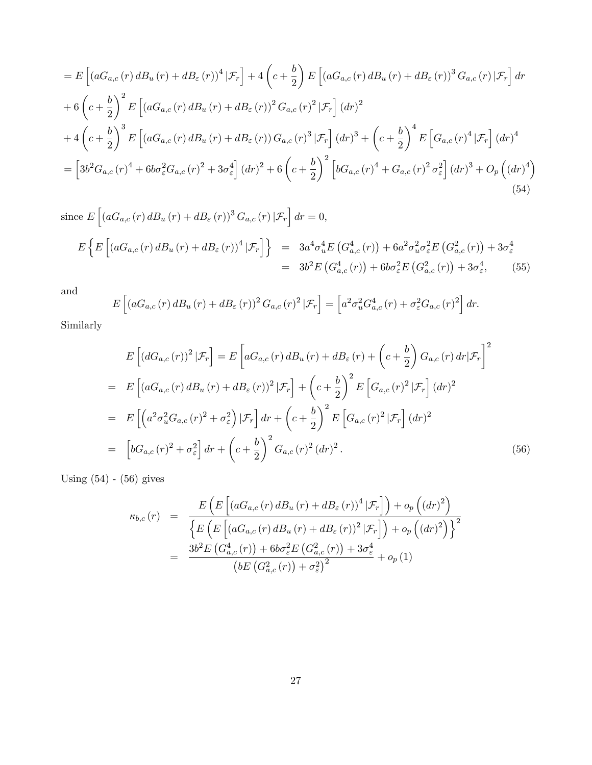$$
= E\left[ (aG_{a,c}(r) dB_u(r) + dB_{\varepsilon}(r))^4 | \mathcal{F}_r \right] + 4\left( c + \frac{b}{2} \right) E\left[ (aG_{a,c}(r) dB_u(r) + dB_{\varepsilon}(r))^3 G_{a,c}(r) | \mathcal{F}_r \right] dr + 6\left( c + \frac{b}{2} \right)^2 E\left[ (aG_{a,c}(r) dB_u(r) + dB_{\varepsilon}(r))^2 G_{a,c}(r)^2 | \mathcal{F}_r \right] (dr)^2 + 4\left( c + \frac{b}{2} \right)^3 E\left[ (aG_{a,c}(r) dB_u(r) + dB_{\varepsilon}(r)) G_{a,c}(r)^3 | \mathcal{F}_r \right] (dr)^3 + \left( c + \frac{b}{2} \right)^4 E\left[ G_{a,c}(r)^4 | \mathcal{F}_r \right] (dr)^4 = \left[ 3b^2 G_{a,c}(r)^4 + 6b\sigma_{\varepsilon}^2 G_{a,c}(r)^2 + 3\sigma_{\varepsilon}^4 \right] (dr)^2 + 6\left( c + \frac{b}{2} \right)^2 \left[ bG_{a,c}(r)^4 + G_{a,c}(r)^2 \sigma_{\varepsilon}^2 \right] (dr)^3 + O_p\left( (dr)^4 \right)
$$
\n(54)

since 
$$
E\left[\left(aG_{a,c}(r)dB_u(r) + dB_{\varepsilon}(r)\right)^3 G_{a,c}(r) | \mathcal{F}_r\right] dr = 0,
$$
  
\n
$$
E\left\{E\left[\left(aG_{a,c}(r)dB_u(r) + dB_{\varepsilon}(r)\right)^4 | \mathcal{F}_r\right]\right\} = 3a^4 \sigma_u^4 E\left(G_{a,c}^4(r)\right) + 6a^2 \sigma_u^2 \sigma_{\varepsilon}^2 E\left(G_{a,c}^2(r)\right) + 3\sigma_{\varepsilon}^4
$$
\n
$$
= 3b^2 E\left(G_{a,c}^4(r)\right) + 6b \sigma_{\varepsilon}^2 E\left(G_{a,c}^2(r)\right) + 3\sigma_{\varepsilon}^4,\tag{55}
$$

and

$$
E\left[\left(aG_{a,c}(r)\,dB_u\left(r\right)+dB_{\varepsilon}\left(r\right)\right)^2G_{a,c}(r)^2\,|\mathcal{F}_r\right]=\left[a^2\sigma_u^2G_{a,c}^4\left(r\right)+\sigma_{\varepsilon}^2G_{a,c}(r)^2\right]dr.
$$

Similarly

$$
E\left[(dG_{a,c}(r))^2|\mathcal{F}_r\right] = E\left[aG_{a,c}(r)dB_u(r) + dB_{\varepsilon}(r) + \left(c + \frac{b}{2}\right)G_{a,c}(r)dr|\mathcal{F}_r\right]^2
$$
  
\n
$$
= E\left[(aG_{a,c}(r)dB_u(r) + dB_{\varepsilon}(r))^2|\mathcal{F}_r\right] + \left(c + \frac{b}{2}\right)^2 E\left[G_{a,c}(r)^2|\mathcal{F}_r\right](dr)^2
$$
  
\n
$$
= E\left[\left(a^2\sigma_u^2G_{a,c}(r)^2 + \sigma_{\varepsilon}^2\right)|\mathcal{F}_r\right]dr + \left(c + \frac{b}{2}\right)^2 E\left[G_{a,c}(r)^2|\mathcal{F}_r\right](dr)^2
$$
  
\n
$$
= \left[bG_{a,c}(r)^2 + \sigma_{\varepsilon}^2\right]dr + \left(c + \frac{b}{2}\right)^2 G_{a,c}(r)^2(dr)^2.
$$
 (56)

Using (54) - (56) gives

$$
\kappa_{b,c}(r) = \frac{E\left(E\left[\left(aG_{a,c}(r)dB_u(r) + dB_{\varepsilon}(r)\right)^4|\mathcal{F}_r\right]\right) + o_p\left(\left(dr\right)^2\right)}{\left\{E\left(E\left[\left(aG_{a,c}(r)dB_u(r) + dB_{\varepsilon}(r)\right)^2|\mathcal{F}_r\right]\right) + o_p\left(\left(dr\right)^2\right)\right\}^2}
$$
\n
$$
= \frac{3b^2E\left(G_{a,c}^4(r)\right) + 6b\sigma_{\varepsilon}^2E\left(G_{a,c}^2(r)\right) + 3\sigma_{\varepsilon}^4}{\left(bE\left(G_{a,c}^2(r)\right) + \sigma_{\varepsilon}^2\right)^2} + o_p\left(1\right)
$$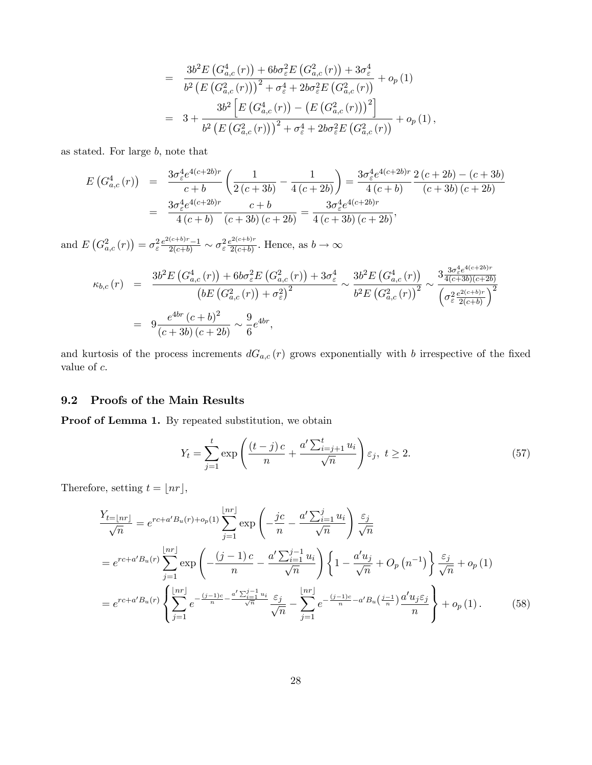$$
= \frac{3b^{2}E\left(G_{a,c}^{4}(r)\right) + 6b\sigma_{\varepsilon}^{2}E\left(G_{a,c}^{2}(r)\right) + 3\sigma_{\varepsilon}^{4}}{b^{2}\left(E\left(G_{a,c}^{2}(r)\right)\right)^{2} + \sigma_{\varepsilon}^{4} + 2b\sigma_{\varepsilon}^{2}E\left(G_{a,c}^{2}(r)\right)} + o_{p}(1)
$$
  

$$
= 3 + \frac{3b^{2}\left[E\left(G_{a,c}^{4}(r)\right) - \left(E\left(G_{a,c}^{2}(r)\right)\right)^{2}\right]}{b^{2}\left(E\left(G_{a,c}^{2}(r)\right)\right)^{2} + \sigma_{\varepsilon}^{4} + 2b\sigma_{\varepsilon}^{2}E\left(G_{a,c}^{2}(r)\right)} + o_{p}(1),
$$

as stated. For large  $b$ , note that

$$
E\left(G_{a,c}^4\left(r\right)\right) = \frac{3\sigma_{\varepsilon}^4 e^{4(c+2b)r}}{c+b} \left(\frac{1}{2\left(c+3b\right)} - \frac{1}{4\left(c+2b\right)}\right) = \frac{3\sigma_{\varepsilon}^4 e^{4(c+2b)r}}{4\left(c+b\right)} \frac{2\left(c+2b\right) - \left(c+3b\right)}{\left(c+3b\right)\left(c+2b\right)} = \frac{3\sigma_{\varepsilon}^4 e^{4(c+2b)r}}{4\left(c+b\right)} \frac{c+b}{\left(c+3b\right)\left(c+2b\right)} = \frac{3\sigma_{\varepsilon}^4 e^{4(c+2b)r}}{4\left(c+3b\right)\left(c+2b\right)},
$$

and  $E(G_{a,c}^2(r)) = \sigma_{\varepsilon}^2 \frac{e^{2(c+b)r}-1}{2(c+b)} \sim \sigma_{\varepsilon}^2 \frac{e^{2(c+b)r}}{2(c+b)}$  $\frac{2e^{2(c+b)}}{2(c+b)}$ . Hence, as  $b \to \infty$ 

$$
\kappa_{b,c}(r) = \frac{3b^2 E\left(G_{a,c}^4(r)\right) + 6b\sigma_{\varepsilon}^2 E\left(G_{a,c}^2(r)\right) + 3\sigma_{\varepsilon}^4}{\left(bE\left(G_{a,c}^2(r)\right) + \sigma_{\varepsilon}^2\right)^2} \sim \frac{3b^2 E\left(G_{a,c}^4(r)\right)}{b^2 E\left(G_{a,c}^2(r)\right)^2} \sim \frac{3\frac{3\sigma_{\varepsilon}^4 e^{4(c+2b)r}}{4(c+3b)(c+2b)}}{\left(\sigma_{\varepsilon}^2 \frac{e^{2(c+b)r}}{2(c+b)}\right)^2}
$$
  
=  $9\frac{e^{4br}\left(c+b\right)^2}{\left(c+3b\right)\left(c+2b\right)} \sim \frac{9}{6}e^{4br},$ 

and kurtosis of the process increments  $dG_{a,c}(r)$  grows exponentially with b irrespective of the fixed value of  $c$ .

#### 9.2 Proofs of the Main Results

Proof of Lemma 1. By repeated substitution, we obtain

$$
Y_t = \sum_{j=1}^t \exp\left(\frac{(t-j)c}{n} + \frac{a'\sum_{i=j+1}^t u_i}{\sqrt{n}}\right) \varepsilon_j, \ t \ge 2. \tag{57}
$$

Therefore, setting  $t = \lfloor nr \rfloor$ ,

$$
\frac{Y_{t=|nr|}}{\sqrt{n}} = e^{rc+a'B_u(r) + o_p(1)} \sum_{j=1}^{\lfloor nr \rfloor} \exp\left(-\frac{jc}{n} - \frac{a'\sum_{i=1}^j u_i}{\sqrt{n}}\right) \frac{\varepsilon_j}{\sqrt{n}}
$$
\n
$$
= e^{rc+a'B_u(r)} \sum_{j=1}^{\lfloor nr \rfloor} \exp\left(-\frac{(j-1)c}{n} - \frac{a'\sum_{i=1}^{j-1} u_i}{\sqrt{n}}\right) \left\{1 - \frac{a'u_j}{\sqrt{n}} + O_p\left(n^{-1}\right)\right\} \frac{\varepsilon_j}{\sqrt{n}} + o_p(1)
$$
\n
$$
= e^{rc+a'B_u(r)} \left\{\sum_{j=1}^{\lfloor nr \rfloor} e^{-\frac{(j-1)c}{n} - \frac{a'\sum_{i=1}^{j-1} u_i}{\sqrt{n}} \frac{\varepsilon_j}{\sqrt{n}} - \sum_{j=1}^{\lfloor nr \rfloor} e^{-\frac{(j-1)c}{n} - a'B_u\left(\frac{j-1}{n}\right)} \frac{a'u_j \varepsilon_j}{n} + o_p(1). \tag{58}
$$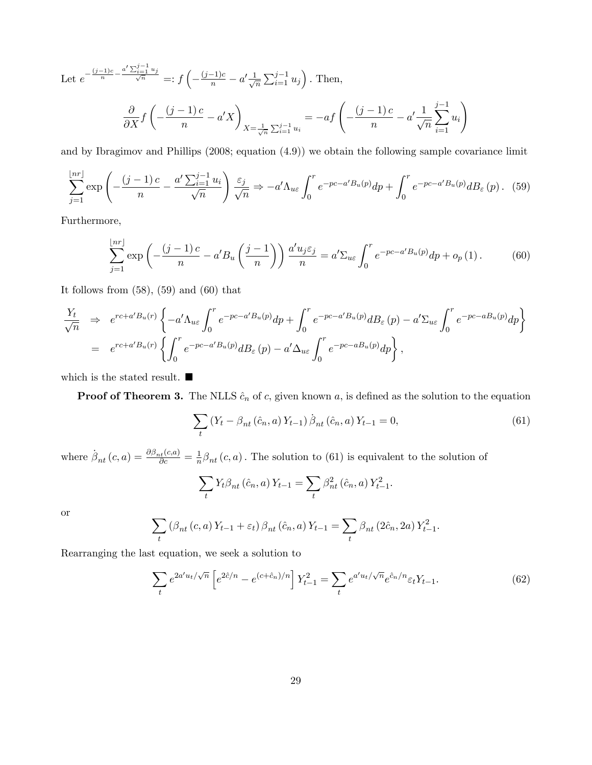Let 
$$
e^{-\frac{(j-1)c}{n} - \frac{a' \sum_{i=1}^{j-1} u_j}{\sqrt{n}}} =: f\left(-\frac{(j-1)c}{n} - a'\frac{1}{\sqrt{n}} \sum_{i=1}^{j-1} u_j\right)
$$
. Then,  

$$
\frac{\partial}{\partial X} f\left(-\frac{(j-1)c}{n} - a'X\right)_{X = \frac{1}{\sqrt{n}} \sum_{i=1}^{j-1} u_i} = -af\left(-\frac{(j-1)c}{n} - a'\frac{1}{\sqrt{n}} \sum_{i=1}^{j-1} u_i\right)
$$

and by Ibragimov and Phillips (2008; equation (4.9)) we obtain the following sample covariance limit

$$
\sum_{j=1}^{\lfloor nr \rfloor} \exp\left(-\frac{(j-1)c}{n} - \frac{a' \sum_{i=1}^{j-1} u_i}{\sqrt{n}}\right) \frac{\varepsilon_j}{\sqrt{n}} \Rightarrow -a' \Lambda_{u\varepsilon} \int_0^r e^{-pc - a'B_u(p)} dp + \int_0^r e^{-pc - a'B_u(p)} dB_\varepsilon(p). \tag{59}
$$

Furthermore,

$$
\sum_{j=1}^{\lfloor nr \rfloor} \exp\left(-\frac{(j-1)c}{n} - a'B_u\left(\frac{j-1}{n}\right)\right) \frac{a'u_j \varepsilon_j}{n} = a'\Sigma_{u\varepsilon} \int_0^r e^{-pc - a'B_u(p)} dp + o_p(1).
$$
 (60)

It follows from  $(58)$ ,  $(59)$  and  $(60)$  that

$$
\frac{Y_t}{\sqrt{n}} \Rightarrow e^{rc+a'B_u(r)} \left\{ -a' \Lambda_{u\varepsilon} \int_0^r e^{-pc-a'B_u(p)} dp + \int_0^r e^{-pc-a'B_u(p)} dB_{\varepsilon}(p) - a' \Sigma_{u\varepsilon} \int_0^r e^{-pc-aB_u(p)} dp \right\}
$$
  
=  $e^{rc+a'B_u(r)} \left\{ \int_0^r e^{-pc-a'B_u(p)} dB_{\varepsilon}(p) - a' \Delta_{u\varepsilon} \int_0^r e^{-pc-aB_u(p)} dp \right\},$ 

which is the stated result.  $\blacksquare$ 

**Proof of Theorem 3.** The NLLS  $\hat{c}_n$  of c, given known a, is defined as the solution to the equation

$$
\sum_{t} \left(Y_{t} - \beta_{nt}(\hat{c}_{n}, a) Y_{t-1}\right) \dot{\beta}_{nt}(\hat{c}_{n}, a) Y_{t-1} = 0, \tag{61}
$$

where  $\dot{\beta}_{nt}(c, a) = \frac{\partial \beta_{nt}(c, a)}{\partial c} = \frac{1}{n}$  $\frac{1}{n}\beta_{nt}(c,a)$ . The solution to (61) is equivalent to the solution of

$$
\sum_{t} Y_{t} \beta_{nt} (\hat{c}_{n}, a) Y_{t-1} = \sum_{t} \beta_{nt}^{2} (\hat{c}_{n}, a) Y_{t-1}^{2}.
$$

or

$$
\sum_{t} (\beta_{nt}(c, a) Y_{t-1} + \varepsilon_{t}) \beta_{nt} (\hat{c}_{n}, a) Y_{t-1} = \sum_{t} \beta_{nt} (2\hat{c}_{n}, 2a) Y_{t-1}^{2}.
$$

Rearranging the last equation, we seek a solution to

$$
\sum_{t} e^{2a'u_t/\sqrt{n}} \left[ e^{2\hat{c}/n} - e^{(c+\hat{c}_n)/n} \right] Y_{t-1}^2 = \sum_{t} e^{a'u_t/\sqrt{n}} e^{\hat{c}_n/n} \varepsilon_t Y_{t-1}.
$$
 (62)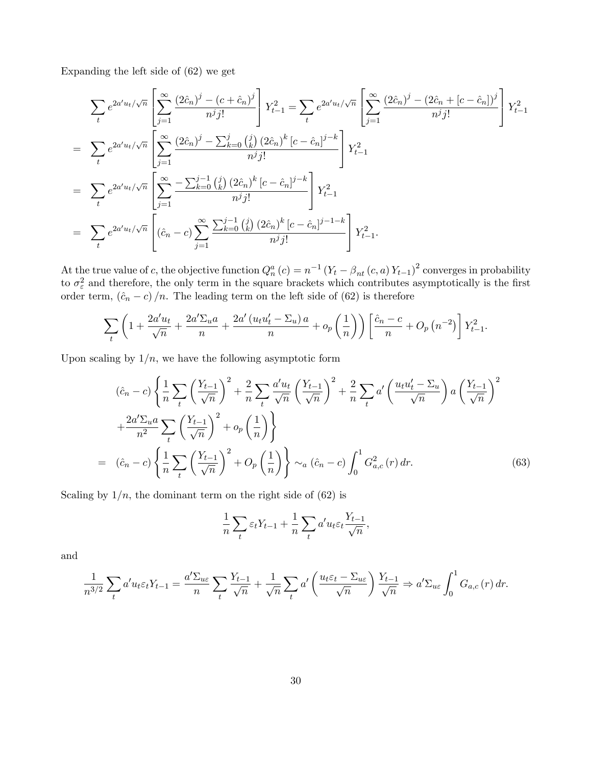Expanding the left side of (62) we get

$$
\sum_{t} e^{2a'u_{t}/\sqrt{n}} \left[ \sum_{j=1}^{\infty} \frac{(2\hat{c}_{n})^{j} - (c + \hat{c}_{n})^{j}}{n^{j}j!} \right] Y_{t-1}^{2} = \sum_{t} e^{2a'u_{t}/\sqrt{n}} \left[ \sum_{j=1}^{\infty} \frac{(2\hat{c}_{n})^{j} - (2\hat{c}_{n} + [c - \hat{c}_{n}])^{j}}{n^{j}j!} \right] Y_{t-1}^{2}
$$
\n
$$
= \sum_{t} e^{2a'u_{t}/\sqrt{n}} \left[ \sum_{j=1}^{\infty} \frac{(2\hat{c}_{n})^{j} - \sum_{k=0}^{j} {j \choose k} (2\hat{c}_{n})^{k} [c - \hat{c}_{n}]^{j-k}}{n^{j}j!} \right] Y_{t-1}^{2}
$$
\n
$$
= \sum_{t} e^{2a'u_{t}/\sqrt{n}} \left[ \sum_{j=1}^{\infty} \frac{-\sum_{k=0}^{j-1} {j \choose k} (2\hat{c}_{n})^{k} [c - \hat{c}_{n}]^{j-k}}{n^{j}j!} \right] Y_{t-1}^{2}
$$
\n
$$
= \sum_{t} e^{2a'u_{t}/\sqrt{n}} \left[ (\hat{c}_{n} - c) \sum_{j=1}^{\infty} \frac{\sum_{k=0}^{j-1} {j \choose k} (2\hat{c}_{n})^{k} [c - \hat{c}_{n}]^{j-1-k}}{n^{j}j!} \right] Y_{t-1}^{2}.
$$

At the true value of c, the objective function  $Q_n^a(c) = n^{-1} (Y_t - \beta_{nt}(c, a) Y_{t-1})^2$  converges in probability to  $\sigma_{\varepsilon}^2$  and therefore, the only term in the square brackets which contributes asymptotically is the first order term,  $(\hat{c}_n - c)/n$ . The leading term on the left side of (62) is therefore

$$
\sum_{t} \left(1 + \frac{2a'u_t}{\sqrt{n}} + \frac{2a'\Sigma_u a}{n} + \frac{2a'(u_t u'_t - \Sigma_u) a}{n} + o_p\left(\frac{1}{n}\right)\right) \left[\frac{\hat{c}_n - c}{n} + O_p\left(n^{-2}\right)\right] Y_{t-1}^2.
$$

Upon scaling by  $1/n$ , we have the following asymptotic form

$$
(\hat{c}_n - c) \left\{ \frac{1}{n} \sum_t \left( \frac{Y_{t-1}}{\sqrt{n}} \right)^2 + \frac{2}{n} \sum_t \frac{a'u_t}{\sqrt{n}} \left( \frac{Y_{t-1}}{\sqrt{n}} \right)^2 + \frac{2}{n} \sum_t a' \left( \frac{u_t u'_t - \Sigma_u}{\sqrt{n}} \right) a \left( \frac{Y_{t-1}}{\sqrt{n}} \right)^2 + \frac{2a'\Sigma_u a}{n^2} \sum_t \left( \frac{Y_{t-1}}{\sqrt{n}} \right)^2 + o_p \left( \frac{1}{n} \right) \right\}
$$
  
=  $(\hat{c}_n - c) \left\{ \frac{1}{n} \sum_t \left( \frac{Y_{t-1}}{\sqrt{n}} \right)^2 + O_p \left( \frac{1}{n} \right) \right\} \sim_a (\hat{c}_n - c) \int_0^1 G_{a,c}^2(r) dr.$  (63)

Scaling by  $1/n$ , the dominant term on the right side of (62) is

$$
\frac{1}{n}\sum_{t} \varepsilon_t Y_{t-1} + \frac{1}{n}\sum_{t} a' u_t \varepsilon_t \frac{Y_{t-1}}{\sqrt{n}},
$$

and

$$
\frac{1}{n^{3/2}}\sum_{t} a' u_{t} \varepsilon_{t} Y_{t-1} = \frac{a' \Sigma_{u\varepsilon}}{n} \sum_{t} \frac{Y_{t-1}}{\sqrt{n}} + \frac{1}{\sqrt{n}} \sum_{t} a' \left(\frac{u_{t} \varepsilon_{t} - \Sigma_{u\varepsilon}}{\sqrt{n}}\right) \frac{Y_{t-1}}{\sqrt{n}} \Rightarrow a' \Sigma_{u\varepsilon} \int_{0}^{1} G_{a,c}(r) dr.
$$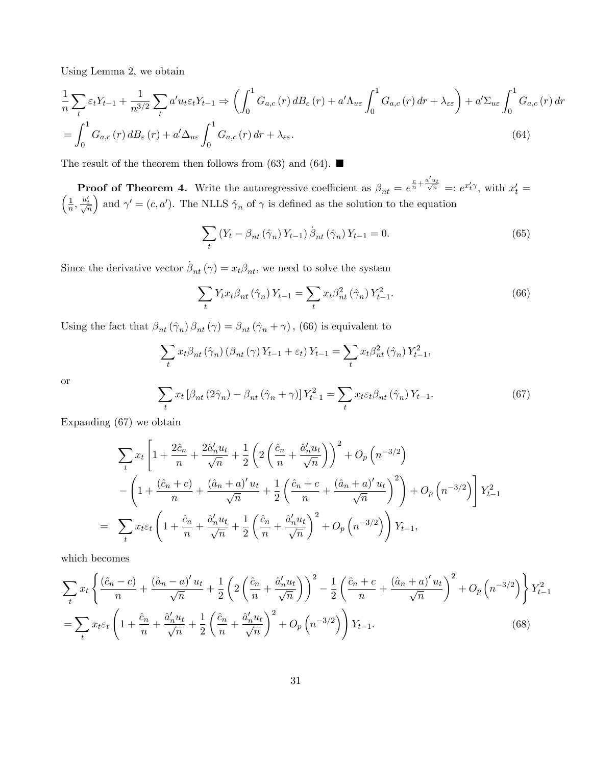Using Lemma 2, we obtain

$$
\frac{1}{n}\sum_{t} \varepsilon_{t}Y_{t-1} + \frac{1}{n^{3/2}}\sum_{t} a' u_{t}\varepsilon_{t}Y_{t-1} \Rightarrow \left(\int_{0}^{1} G_{a,c}(r) dB_{\varepsilon}(r) + a' \Lambda_{u\varepsilon} \int_{0}^{1} G_{a,c}(r) dr + \lambda_{\varepsilon \varepsilon}\right) + a' \Sigma_{u\varepsilon} \int_{0}^{1} G_{a,c}(r) dr
$$
\n
$$
= \int_{0}^{1} G_{a,c}(r) dB_{\varepsilon}(r) + a' \Delta_{u\varepsilon} \int_{0}^{1} G_{a,c}(r) dr + \lambda_{\varepsilon \varepsilon}.\tag{64}
$$

The result of the theorem then follows from (63) and (64).  $\blacksquare$ 

**Proof of Theorem 4.** Write the autoregressive coefficient as  $\beta_{nt} = e^{\frac{c}{n} + \frac{a'u_t}{\sqrt{n}}} =: e^{x'_t \gamma}$ , with  $x'_t$  $\sqrt{ }$  $t' =$ 1  $\frac{1}{n}, \frac{u'_t}{\sqrt{n}}$ ) and  $\gamma' = (c, a')$ . The NLLS  $\hat{\gamma}_n$  of  $\gamma$  is defined as the solution to the equation

$$
\sum_{t} \left(Y_{t} - \beta_{nt} \left(\hat{\gamma}_{n}\right) Y_{t-1}\right) \dot{\beta}_{nt} \left(\hat{\gamma}_{n}\right) Y_{t-1} = 0. \tag{65}
$$

Since the derivative vector  $\dot{\beta}_{nt} (\gamma) = x_t \beta_{nt}$ , we need to solve the system

$$
\sum_{t} Y_{t} x_{t} \beta_{nt} (\hat{\gamma}_{n}) Y_{t-1} = \sum_{t} x_{t} \beta_{nt}^{2} (\hat{\gamma}_{n}) Y_{t-1}^{2}.
$$
 (66)

Using the fact that  $\beta_{nt}(\hat{\gamma}_n) \beta_{nt}(\gamma) = \beta_{nt}(\hat{\gamma}_n + \gamma)$ , (66) is equivalent to

$$
\sum_{t} x_{t} \beta_{nt} \left(\hat{\gamma}_{n}\right) \left(\beta_{nt}\left(\gamma\right) Y_{t-1} + \varepsilon_{t}\right) Y_{t-1} = \sum_{t} x_{t} \beta_{nt}^{2} \left(\hat{\gamma}_{n}\right) Y_{t-1}^{2},
$$
\n
$$
\sum_{t} x_{t} \left[\beta_{nt}\left(2\hat{\gamma}_{n}\right) - \beta_{nt}\left(\hat{\gamma}_{n} + \gamma\right)\right] Y_{t-1}^{2} = \sum_{t} x_{t} \varepsilon_{t} \beta_{nt}\left(\hat{\gamma}_{n}\right) Y_{t-1}.
$$
\n(67)

or

$$
\sum_{t} x_{t} \left[ \beta_{nt} \left( 2 \hat{\gamma}_{n} \right) - \beta_{nt} \left( \hat{\gamma}_{n} + \gamma \right) \right] Y_{t-1}^{2} = \sum_{t} x_{t} \varepsilon_{t} \beta_{nt} \left( \hat{\gamma}_{n} \right) Y_{t-1}.
$$
\n(67)

Expanding (67) we obtain

$$
\sum_{t} x_{t} \left[ 1 + \frac{2\hat{c}_{n}}{n} + \frac{2\hat{a}_{n}' u_{t}}{\sqrt{n}} + \frac{1}{2} \left( 2 \left( \frac{\hat{c}_{n}}{n} + \frac{\hat{a}_{n}' u_{t}}{\sqrt{n}} \right) \right)^{2} + O_{p} \left( n^{-3/2} \right) \right]
$$

$$
- \left( 1 + \frac{(\hat{c}_{n} + c)}{n} + \frac{(\hat{a}_{n} + a)' u_{t}}{\sqrt{n}} + \frac{1}{2} \left( \frac{\hat{c}_{n} + c}{n} + \frac{(\hat{a}_{n} + a)' u_{t}}{\sqrt{n}} \right)^{2} \right) + O_{p} \left( n^{-3/2} \right) \right] Y_{t-1}^{2}
$$

$$
\sum_{t} x_{t} \varepsilon_{t} \left( 1 + \frac{\hat{c}_{n}}{n} + \frac{\hat{a}_{n}' u_{t}}{\sqrt{n}} + \frac{1}{2} \left( \frac{\hat{c}_{n}}{n} + \frac{\hat{a}_{n}' u_{t}}{\sqrt{n}} \right)^{2} + O_{p} \left( n^{-3/2} \right) \right) Y_{t-1},
$$

which becomes

=

$$
\sum_{t} x_{t} \left\{ \frac{(\hat{c}_{n} - c)}{n} + \frac{(\hat{a}_{n} - a)' u_{t}}{\sqrt{n}} + \frac{1}{2} \left( 2 \left( \frac{\hat{c}_{n}}{n} + \frac{\hat{a}'_{n} u_{t}}{\sqrt{n}} \right) \right)^{2} - \frac{1}{2} \left( \frac{\hat{c}_{n} + c}{n} + \frac{(\hat{a}_{n} + a)' u_{t}}{\sqrt{n}} \right)^{2} + O_{p} \left( n^{-3/2} \right) \right\} Y_{t-1}^{2}
$$
\n
$$
= \sum_{t} x_{t} \varepsilon_{t} \left( 1 + \frac{\hat{c}_{n}}{n} + \frac{\hat{a}'_{n} u_{t}}{\sqrt{n}} + \frac{1}{2} \left( \frac{\hat{c}_{n}}{n} + \frac{\hat{a}'_{n} u_{t}}{\sqrt{n}} \right)^{2} + O_{p} \left( n^{-3/2} \right) \right) Y_{t-1}.
$$
\n(68)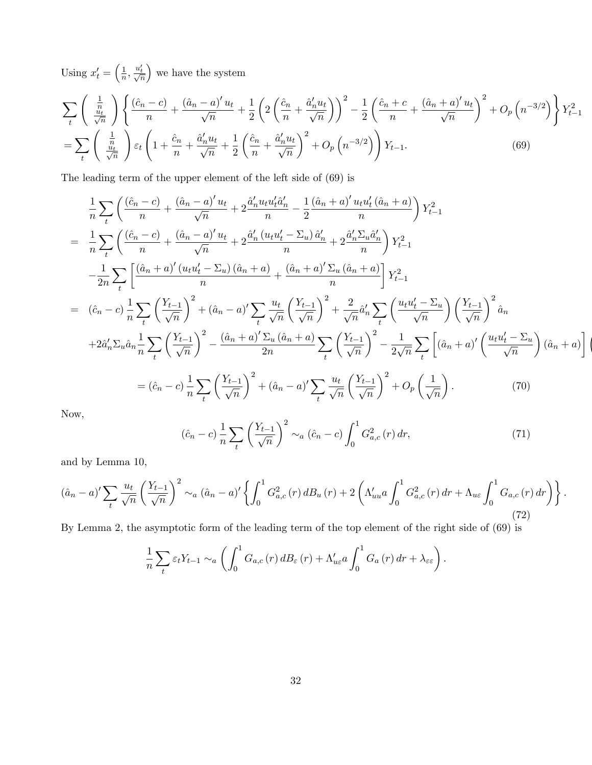Using  $x'_t = \left(\frac{1}{n}\right)$  $\frac{1}{n}, \frac{u'_t}{\sqrt{n}}$ we have the system

$$
\sum_{t} \left( \frac{\frac{1}{n}}{\frac{u_t}{\sqrt{n}}} \right) \left\{ \frac{(\hat{c}_n - c)}{n} + \frac{(\hat{a}_n - a)' u_t}{\sqrt{n}} + \frac{1}{2} \left( 2 \left( \frac{\hat{c}_n}{n} + \frac{\hat{a}'_n u_t}{\sqrt{n}} \right) \right)^2 - \frac{1}{2} \left( \frac{\hat{c}_n + c}{n} + \frac{(\hat{a}_n + a)' u_t}{\sqrt{n}} \right)^2 + O_p \left( n^{-3/2} \right) \right\} Y_{t-1}^2
$$
\n
$$
= \sum_{t} \left( \frac{\frac{1}{n}}{\frac{u_t}{\sqrt{n}}} \right) \varepsilon_t \left( 1 + \frac{\hat{c}_n}{n} + \frac{\hat{a}'_n u_t}{\sqrt{n}} + \frac{1}{2} \left( \frac{\hat{c}_n}{n} + \frac{\hat{a}'_n u_t}{\sqrt{n}} \right)^2 + O_p \left( n^{-3/2} \right) \right) Y_{t-1}. \tag{69}
$$

The leading term of the upper element of the left side of (69) is

$$
\frac{1}{n} \sum_{t} \left( \frac{(\hat{c}_{n} - c)}{n} + \frac{(\hat{a}_{n} - a)' u_{t}}{\sqrt{n}} + 2 \frac{\hat{a}'_{n} u_{t} u'_{t} \hat{a}'_{n}}{n} - \frac{1}{2} \frac{(\hat{a}_{n} + a)' u_{t} u'_{t} (\hat{a}_{n} + a)}{n} \right) Y_{t-1}^{2}
$$
\n
$$
= \frac{1}{n} \sum_{t} \left( \frac{(\hat{c}_{n} - c)}{n} + \frac{(\hat{a}_{n} - a)' u_{t}}{\sqrt{n}} + 2 \frac{\hat{a}'_{n} (u_{t} u'_{t} - \Sigma_{u}) \hat{a}'_{n}}{n} + 2 \frac{\hat{a}'_{n} \Sigma_{u} \hat{a}'_{n}}{n} \right) Y_{t-1}^{2}
$$
\n
$$
- \frac{1}{2n} \sum_{t} \left[ \frac{(\hat{a}_{n} + a)' (u_{t} u'_{t} - \Sigma_{u}) (\hat{a}_{n} + a)}{n} + \frac{(\hat{a}_{n} + a)' \Sigma_{u} (\hat{a}_{n} + a)}{n} \right] Y_{t-1}^{2}
$$
\n
$$
= (\hat{c}_{n} - c) \frac{1}{n} \sum_{t} \left( \frac{Y_{t-1}}{\sqrt{n}} \right)^{2} + (\hat{a}_{n} - a)' \sum_{t} \frac{u_{t}}{\sqrt{n}} \left( \frac{Y_{t-1}}{\sqrt{n}} \right)^{2} + \frac{2}{\sqrt{n}} \hat{a}'_{n} \sum_{t} \left( \frac{u_{t} u'_{t} - \Sigma_{u}}{\sqrt{n}} \right) \left( \frac{Y_{t-1}}{\sqrt{n}} \right)^{2} \hat{a}_{n}
$$
\n
$$
+ 2\hat{a}'_{n} \Sigma_{u} \hat{a}_{n} \frac{1}{n} \sum_{t} \left( \frac{Y_{t-1}}{\sqrt{n}} \right)^{2} - \frac{(\hat{a}_{n} + a)' \Sigma_{u} (\hat{a}_{n} + a)}{2n} \sum_{t} \left( \frac{Y_{t-1}}{\sqrt{n}} \right)^{2} - \frac{1}{2\sqrt{n}} \sum_{t} \left[ (\hat{a}_{n} + a)' \left( \frac{u_{t} u'_{t} - \Sigma_{u}}{\sqrt{n}}
$$

Now,

$$
(\hat{c}_n - c) \frac{1}{n} \sum_{t} \left(\frac{Y_{t-1}}{\sqrt{n}}\right)^2 \sim_a (\hat{c}_n - c) \int_0^1 G_{a,c}^2(r) \, dr,\tag{71}
$$

and by Lemma 10,

$$
(\hat{a}_n - a)' \sum_{t} \frac{u_t}{\sqrt{n}} \left( \frac{Y_{t-1}}{\sqrt{n}} \right)^2 \sim_a (\hat{a}_n - a)' \left\{ \int_0^1 G_{a,c}^2(r) \, dB_u(r) + 2 \left( \Lambda'_{uu} a \int_0^1 G_{a,c}^2(r) \, dr + \Lambda_{u\varepsilon} \int_0^1 G_{a,c}(r) \, dr \right) \right\}.
$$
\n(72)

By Lemma 2, the asymptotic form of the leading term of the top element of the right side of (69) is

$$
\frac{1}{n}\sum_{t} \varepsilon_{t} Y_{t-1} \sim_{a} \left( \int_{0}^{1} G_{a,c}(r) d B_{\varepsilon}(r) + \Lambda'_{u\varepsilon} a \int_{0}^{1} G_{a}(r) dr + \lambda_{\varepsilon \varepsilon} \right).
$$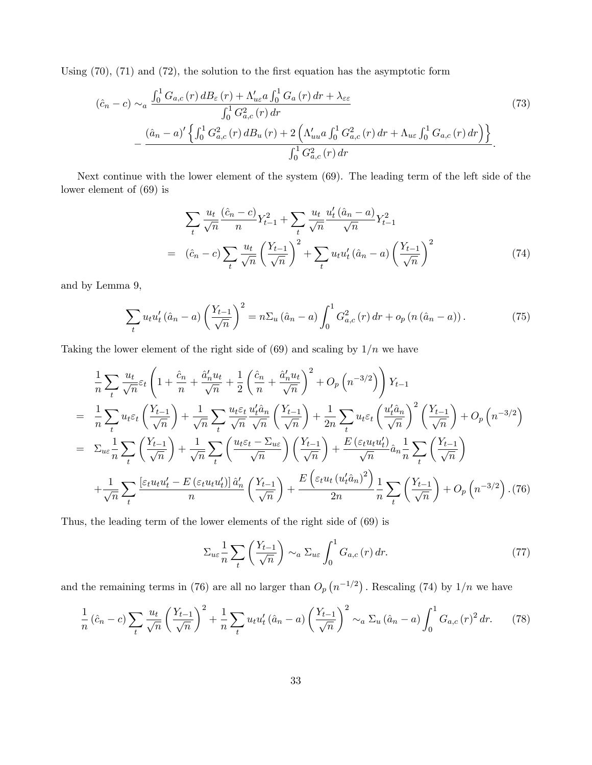Using  $(70)$ ,  $(71)$  and  $(72)$ , the solution to the first equation has the asymptotic form

$$
(\hat{c}_n - c) \sim_a \frac{\int_0^1 G_{a,c}(r) \, dB_\varepsilon(r) + \Lambda'_{u\varepsilon} a \int_0^1 G_a(r) \, dr + \lambda_{\varepsilon\varepsilon}}{\int_0^1 G_{a,c}^2(r) \, dr} - \frac{(\hat{a}_n - a)' \left\{ \int_0^1 G_{a,c}^2(r) \, dB_u(r) + 2 \left( \Lambda'_{uu} a \int_0^1 G_{a,c}^2(r) \, dr + \Lambda_{u\varepsilon} \int_0^1 G_{a,c}(r) \, dr \right) \right\}}{\int_0^1 G_{a,c}^2(r) \, dr}.
$$
\n(73)

Next continue with the lower element of the system (69). The leading term of the left side of the lower element of (69) is

$$
\sum_{t} \frac{u_{t}}{\sqrt{n}} \frac{(\hat{c}_{n} - c)}{n} Y_{t-1}^{2} + \sum_{t} \frac{u_{t}}{\sqrt{n}} \frac{u_{t}'(\hat{a}_{n} - a)}{\sqrt{n}} Y_{t-1}^{2}
$$
\n
$$
= (\hat{c}_{n} - c) \sum_{t} \frac{u_{t}}{\sqrt{n}} \left(\frac{Y_{t-1}}{\sqrt{n}}\right)^{2} + \sum_{t} u_{t} u_{t}'(\hat{a}_{n} - a) \left(\frac{Y_{t-1}}{\sqrt{n}}\right)^{2} \tag{74}
$$

and by Lemma 9,

$$
\sum_{t} u_{t} u_{t}' (\hat{a}_{n} - a) \left( \frac{Y_{t-1}}{\sqrt{n}} \right)^{2} = n \Sigma_{u} (\hat{a}_{n} - a) \int_{0}^{1} G_{a,c}^{2} (r) dr + o_{p} (n (\hat{a}_{n} - a)). \tag{75}
$$

Taking the lower element of the right side of  $(69)$  and scaling by  $1/n$  we have

$$
\frac{1}{n}\sum_{t}\frac{u_t}{\sqrt{n}}\varepsilon_t\left(1+\frac{\hat{c}_n}{n}+\frac{\hat{a}_n'u_t}{\sqrt{n}}+\frac{1}{2}\left(\frac{\hat{c}_n}{n}+\frac{\hat{a}_n'u_t}{\sqrt{n}}\right)^2+O_p\left(n^{-3/2}\right)\right)Y_{t-1}
$$
\n
$$
=\frac{1}{n}\sum_{t}u_t\varepsilon_t\left(\frac{Y_{t-1}}{\sqrt{n}}\right)+\frac{1}{\sqrt{n}}\sum_{t}\frac{u_t\varepsilon_t}{\sqrt{n}}\frac{u_t'\hat{a}_n}{\sqrt{n}}\left(\frac{Y_{t-1}}{\sqrt{n}}\right)+\frac{1}{2n}\sum_{t}u_t\varepsilon_t\left(\frac{u_t'\hat{a}_n}{\sqrt{n}}\right)^2\left(\frac{Y_{t-1}}{\sqrt{n}}\right)+O_p\left(n^{-3/2}\right)
$$
\n
$$
=\Sigma_{u\varepsilon}\frac{1}{n}\sum_{t}\left(\frac{Y_{t-1}}{\sqrt{n}}\right)+\frac{1}{\sqrt{n}}\sum_{t}\left(\frac{u_t\varepsilon_t-\Sigma_{u\varepsilon}}{\sqrt{n}}\right)\left(\frac{Y_{t-1}}{\sqrt{n}}\right)+\frac{E\left(\varepsilon_t u_t u_t'\right)}{\sqrt{n}}\hat{a}_n\frac{1}{n}\sum_{t}\left(\frac{Y_{t-1}}{\sqrt{n}}\right)
$$
\n
$$
+\frac{1}{\sqrt{n}}\sum_{t}\frac{\left[\varepsilon_t u_t u_t'-E\left(\varepsilon_t u_t u_t'\right)\right]\hat{a}_n'}{n}\left(\frac{Y_{t-1}}{\sqrt{n}}\right)+\frac{E\left(\varepsilon_t u_t\left(u_t'\hat{a}_n\right)^2\right)}{2n}\frac{1}{n}\sum_{t}\left(\frac{Y_{t-1}}{\sqrt{n}}\right)+O_p\left(n^{-3/2}\right). (76)
$$

Thus, the leading term of the lower elements of the right side of (69) is

$$
\Sigma_{ue} \frac{1}{n} \sum_{t} \left( \frac{Y_{t-1}}{\sqrt{n}} \right) \sim_a \Sigma_{ue} \int_0^1 G_{a,c}(r) dr.
$$
 (77)

and the remaining terms in (76) are all no larger than  $O_p(n^{-1/2})$ . Rescaling (74) by  $1/n$  we have

$$
\frac{1}{n}(\hat{c}_n - c) \sum_{t} \frac{u_t}{\sqrt{n}} \left(\frac{Y_{t-1}}{\sqrt{n}}\right)^2 + \frac{1}{n} \sum_{t} u_t u_t' (\hat{a}_n - a) \left(\frac{Y_{t-1}}{\sqrt{n}}\right)^2 \sim_a \Sigma_u (\hat{a}_n - a) \int_0^1 G_{a,c}(r)^2 dr.
$$
 (78)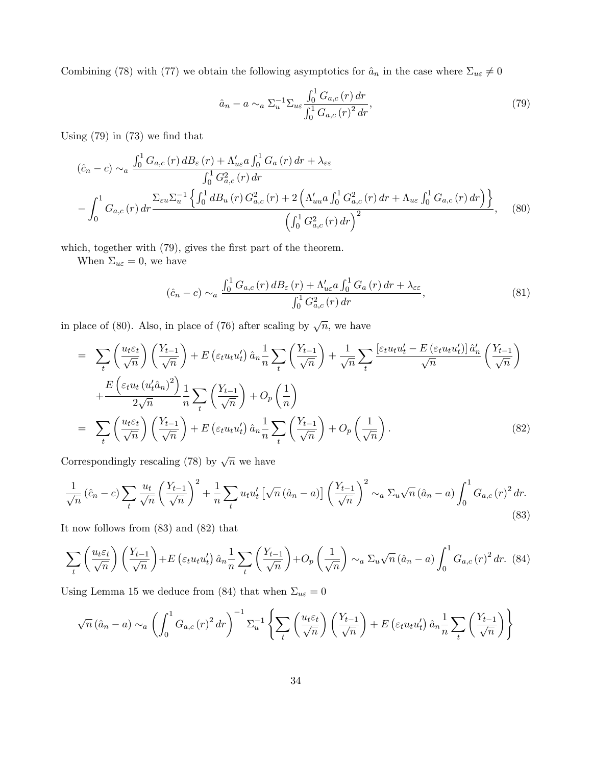Combining (78) with (77) we obtain the following asymptotics for  $\hat{a}_n$  in the case where  $\Sigma_{u\varepsilon} \neq 0$ 

$$
\hat{a}_n - a \sim_a \Sigma_u^{-1} \Sigma_{u\varepsilon} \frac{\int_0^1 G_{a,c}(r) dr}{\int_0^1 G_{a,c}(r)^2 dr},\tag{79}
$$

Using  $(79)$  in  $(73)$  we find that

$$
(\hat{c}_n - c) \sim_a \frac{\int_0^1 G_{a,c}(r) d B_{\varepsilon}(r) + \Lambda'_{u\varepsilon} a \int_0^1 G_a(r) dr + \lambda_{\varepsilon\varepsilon}}{\int_0^1 G_{a,c}^2(r) dr} - \int_0^1 G_{a,c}(r) dr \frac{\sum_{\varepsilon u} \sum_{u}^{-1} \left\{ \int_0^1 d B_u(r) G_{a,c}^2(r) + 2 \left( \Lambda'_{uu} a \int_0^1 G_{a,c}^2(r) dr + \Lambda_{u\varepsilon} \int_0^1 G_{a,c}(r) dr \right) \right\}}{\left( \int_0^1 G_{a,c}^2(r) dr \right)^2}, \quad (80)
$$

which, together with  $(79)$ , gives the first part of the theorem.

When  $\Sigma_{u\varepsilon} = 0$ , we have

$$
(\hat{c}_n - c) \sim_a \frac{\int_0^1 G_{a,c}(r) d B_{\varepsilon}(r) + \Lambda_{u\varepsilon}' a \int_0^1 G_a(r) dr + \lambda_{\varepsilon\varepsilon}}{\int_0^1 G_{a,c}^2(r) dr},\tag{81}
$$

in place of (80). Also, in place of (76) after scaling by  $\sqrt{n}$ , we have

$$
= \sum_{t} \left(\frac{u_{t}\varepsilon_{t}}{\sqrt{n}}\right) \left(\frac{Y_{t-1}}{\sqrt{n}}\right) + E\left(\varepsilon_{t}u_{t}u_{t}'\right) \hat{a}_{n} \frac{1}{n} \sum_{t} \left(\frac{Y_{t-1}}{\sqrt{n}}\right) + \frac{1}{\sqrt{n}} \sum_{t} \frac{\left[\varepsilon_{t}u_{t}u_{t}' - E\left(\varepsilon_{t}u_{t}u_{t}'\right)\right] \hat{a}_{n}'}{\sqrt{n}} \left(\frac{Y_{t-1}}{\sqrt{n}}\right) + \frac{E\left(\varepsilon_{t}u_{t}\left(u_{t}'\hat{a}_{n}\right)^{2}\right)}{2\sqrt{n}} \frac{1}{n} \sum_{t} \left(\frac{Y_{t-1}}{\sqrt{n}}\right) + O_{p}\left(\frac{1}{n}\right)
$$
\n
$$
= \sum_{t} \left(\frac{u_{t}\varepsilon_{t}}{\sqrt{n}}\right) \left(\frac{Y_{t-1}}{\sqrt{n}}\right) + E\left(\varepsilon_{t}u_{t}u_{t}'\right) \hat{a}_{n} \frac{1}{n} \sum_{t} \left(\frac{Y_{t-1}}{\sqrt{n}}\right) + O_{p}\left(\frac{1}{\sqrt{n}}\right). \tag{82}
$$

Correspondingly rescaling (78) by  $\sqrt{n}$  we have

$$
\frac{1}{\sqrt{n}}\left(\hat{c}_n - c\right) \sum_{t} \frac{u_t}{\sqrt{n}} \left(\frac{Y_{t-1}}{\sqrt{n}}\right)^2 + \frac{1}{n} \sum_{t} u_t u_t' \left[\sqrt{n}\left(\hat{a}_n - a\right)\right] \left(\frac{Y_{t-1}}{\sqrt{n}}\right)^2 \sim_a \Sigma_u \sqrt{n}\left(\hat{a}_n - a\right) \int_0^1 G_{a,c}(r)^2 dr. \tag{83}
$$

It now follows from (83) and (82) that

$$
\sum_{t} \left( \frac{u_t \varepsilon_t}{\sqrt{n}} \right) \left( \frac{Y_{t-1}}{\sqrt{n}} \right) + E \left( \varepsilon_t u_t u_t' \right) \hat{a}_n \frac{1}{n} \sum_{t} \left( \frac{Y_{t-1}}{\sqrt{n}} \right) + O_p \left( \frac{1}{\sqrt{n}} \right) \sim_a \Sigma_u \sqrt{n} \left( \hat{a}_n - a \right) \int_0^1 G_{a,c} \left( r \right)^2 dr. \tag{84}
$$

Using Lemma 15 we deduce from (84) that when  $\Sigma_{u\varepsilon} = 0$ 

$$
\sqrt{n} (\hat{a}_n - a) \sim_a \left( \int_0^1 G_{a,c}(r)^2 dr \right)^{-1} \Sigma_u^{-1} \left\{ \sum_t \left( \frac{u_t \varepsilon_t}{\sqrt{n}} \right) \left( \frac{Y_{t-1}}{\sqrt{n}} \right) + E \left( \varepsilon_t u_t u_t' \right) \hat{a}_n \frac{1}{n} \sum_t \left( \frac{Y_{t-1}}{\sqrt{n}} \right) \right\}
$$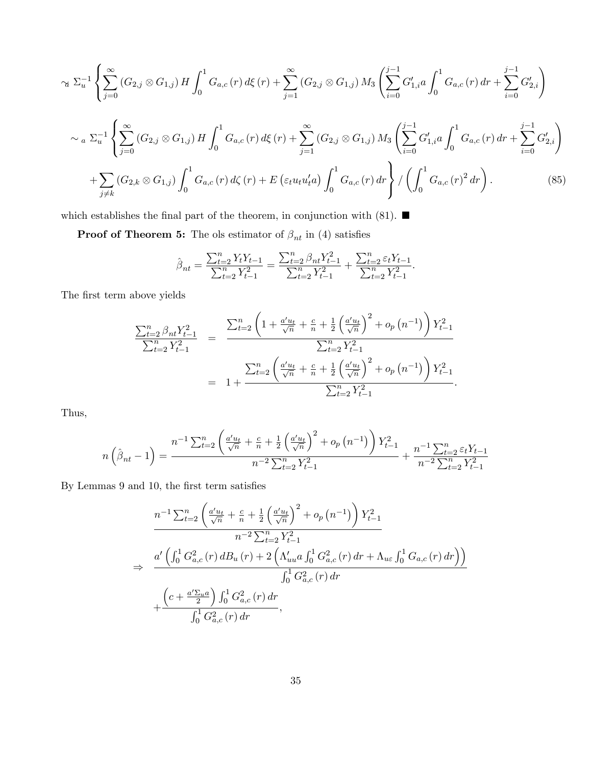$$
\alpha \ \Sigma_{u}^{-1} \left\{ \sum_{j=0}^{\infty} \left( G_{2,j} \otimes G_{1,j} \right) H \int_{0}^{1} G_{a,c}(r) \, d\xi(r) + \sum_{j=1}^{\infty} \left( G_{2,j} \otimes G_{1,j} \right) M_{3} \left( \sum_{i=0}^{j-1} G'_{1,i} a \int_{0}^{1} G_{a,c}(r) \, dr + \sum_{i=0}^{j-1} G'_{2,i} \right) \right\}
$$
  

$$
\alpha \ \Sigma_{u}^{-1} \left\{ \sum_{j=0}^{\infty} \left( G_{2,j} \otimes G_{1,j} \right) H \int_{0}^{1} G_{a,c}(r) \, d\xi(r) + \sum_{j=1}^{\infty} \left( G_{2,j} \otimes G_{1,j} \right) M_{3} \left( \sum_{i=0}^{j-1} G'_{1,i} a \int_{0}^{1} G_{a,c}(r) \, dr + \sum_{i=0}^{j-1} G'_{2,i} \right) \right\}
$$
  

$$
+ \sum_{j \neq k} \left( G_{2,k} \otimes G_{1,j} \right) \int_{0}^{1} G_{a,c}(r) \, d\zeta(r) + E \left( \varepsilon_{t} u_{t} u_{t}' a \right) \int_{0}^{1} G_{a,c}(r) \, dr \right\} / \left( \int_{0}^{1} G_{a,c}(r)^{2} \, dr \right). \tag{85}
$$

which establishes the final part of the theorem, in conjunction with (81).  $\blacksquare$ 

**Proof of Theorem 5:** The ols estimator of  $\beta_{nt}$  in (4) satisfies

$$
\hat{\beta}_{nt} = \frac{\sum_{t=2}^{n} Y_t Y_{t-1}}{\sum_{t=2}^{n} Y_{t-1}^2} = \frac{\sum_{t=2}^{n} \beta_{nt} Y_{t-1}^2}{\sum_{t=2}^{n} Y_{t-1}^2} + \frac{\sum_{t=2}^{n} \varepsilon_t Y_{t-1}}{\sum_{t=2}^{n} Y_{t-1}^2}.
$$

The first term above yields

$$
\frac{\sum_{t=2}^{n} \beta_{nt} Y_{t-1}^{2}}{\sum_{t=2}^{n} Y_{t-1}^{2}} = \frac{\sum_{t=2}^{n} \left(1 + \frac{a'u_t}{\sqrt{n}} + \frac{c}{n} + \frac{1}{2} \left(\frac{a'u_t}{\sqrt{n}}\right)^{2} + o_p\left(n^{-1}\right)\right) Y_{t-1}^{2}}{\sum_{t=2}^{n} Y_{t-1}^{2}}
$$
\n
$$
= 1 + \frac{\sum_{t=2}^{n} \left(\frac{a'u_t}{\sqrt{n}} + \frac{c}{n} + \frac{1}{2} \left(\frac{a'u_t}{\sqrt{n}}\right)^{2} + o_p\left(n^{-1}\right)\right) Y_{t-1}^{2}}{\sum_{t=2}^{n} Y_{t-1}^{2}}.
$$

Thus,

$$
n\left(\hat{\beta}_{nt} - 1\right) = \frac{n^{-1} \sum_{t=2}^{n} \left(\frac{a'u_t}{\sqrt{n}} + \frac{c}{n} + \frac{1}{2} \left(\frac{a'u_t}{\sqrt{n}}\right)^2 + o_p\left(n^{-1}\right)\right) Y_{t-1}^2}{n^{-2} \sum_{t=2}^{n} Y_{t-1}^2} + \frac{n^{-1} \sum_{t=2}^{n} \varepsilon_t Y_{t-1}}{n^{-2} \sum_{t=2}^{n} Y_{t-1}^2}
$$

By Lemmas 9 and 10, the first term satisfies

$$
n^{-1} \sum_{t=2}^{n} \left( \frac{a' u_t}{\sqrt{n}} + \frac{c}{n} + \frac{1}{2} \left( \frac{a' u_t}{\sqrt{n}} \right)^2 + o_p(n^{-1}) \right) Y_{t-1}^2
$$
  
\n
$$
\Rightarrow \frac{a' \left( \int_0^1 G_{a,c}^2(r) d B_u(r) + 2 \left( \Lambda'_{uu} a \int_0^1 G_{a,c}^2(r) dr + \Lambda_{u\epsilon} \int_0^1 G_{a,c}(r) dr \right) \right)}{\int_0^1 G_{a,c}^2(r) dr}
$$
  
\n
$$
+ \frac{\left( c + \frac{a' \Sigma_{u} a}{2} \right) \int_0^1 G_{a,c}^2(r) dr}{\int_0^1 G_{a,c}^2(r) dr},
$$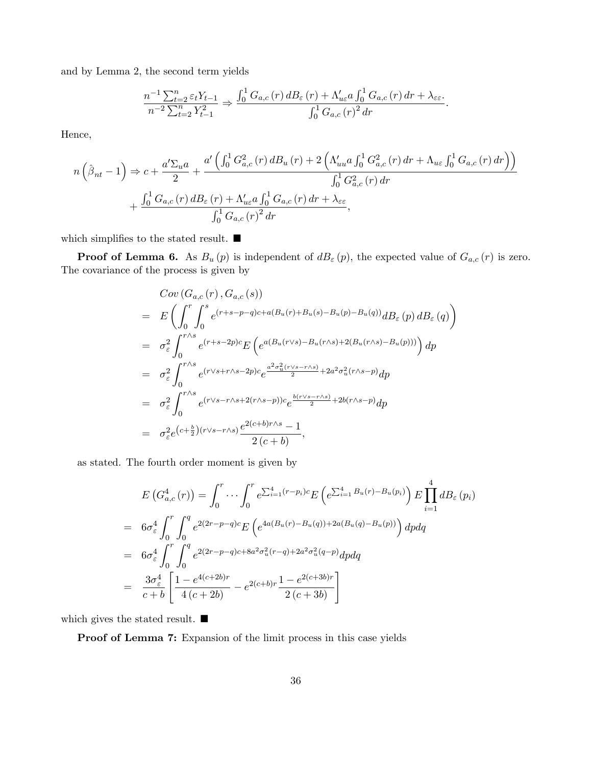and by Lemma 2, the second term yields

$$
\frac{n^{-1}\sum_{t=2}^{n}\varepsilon_t Y_{t-1}}{n^{-2}\sum_{t=2}^{n}Y_{t-1}^2} \Rightarrow \frac{\int_0^1 G_{a,c}(r) dB_{\varepsilon}(r) + \Lambda'_{u\varepsilon} a \int_0^1 G_{a,c}(r) dr + \lambda_{\varepsilon\varepsilon}}{\int_0^1 G_{a,c}(r)^2 dr}.
$$

Hence,

$$
n\left(\hat{\beta}_{nt} - 1\right) \Rightarrow c + \frac{a'\Sigma_{u}a}{2} + \frac{a'\left(\int_{0}^{1} G_{a,c}^{2}(r) dB_{u}(r) + 2\left(\Lambda'_{uu}a \int_{0}^{1} G_{a,c}^{2}(r) dr + \Lambda_{u\varepsilon} \int_{0}^{1} G_{a,c}(r) dr\right)\right)}{\int_{0}^{1} G_{a,c}^{2}(r) dr} + \frac{\int_{0}^{1} G_{a,c}(r) dB_{\varepsilon}(r) + \Lambda'_{u\varepsilon}a \int_{0}^{1} G_{a,c}(r) dr + \lambda_{\varepsilon\varepsilon}}{\int_{0}^{1} G_{a,c}(r)^{2} dr},
$$

which simplifies to the stated result.  $\blacksquare$ 

**Proof of Lemma 6.** As  $B_u(p)$  is independent of  $dB_\varepsilon(p)$ , the expected value of  $G_{a,c}(r)$  is zero. The covariance of the process is given by

$$
Cov(G_{a,c}(r), G_{a,c}(s))
$$
\n
$$
= E\left(\int_0^r \int_0^s e^{(r+s-p-q)c+a(B_u(r)+B_u(s)-B_u(p)-B_u(q))} dB_{\varepsilon}(p) dB_{\varepsilon}(q)\right)
$$
\n
$$
= \sigma_{\varepsilon}^2 \int_0^{r \wedge s} e^{(r+s-2p)c} E\left(e^{a(B_u(r \vee s)-B_u(r \wedge s)+2(B_u(r \wedge s)-B_u(p)))}\right) dp
$$
\n
$$
= \sigma_{\varepsilon}^2 \int_0^{r \wedge s} e^{(r \vee s+r \wedge s-2p)c} e^{\frac{a^2 \sigma_u^2(r \vee s-r \wedge s)}{2}+2a^2 \sigma_u^2(r \wedge s-p)} dp
$$
\n
$$
= \sigma_{\varepsilon}^2 \int_0^{r \wedge s} e^{(r \vee s-r \wedge s+2(r \wedge s-p))c} e^{\frac{b(r \vee s-r \wedge s)}{2}+2b(r \wedge s-p)} dp
$$
\n
$$
= \sigma_{\varepsilon}^2 e^{(c+\frac{b}{2})(r \vee s-r \wedge s)} \frac{e^{2(c+b)r \wedge s}-1}{2(c+b)},
$$

as stated. The fourth order moment is given by

$$
E\left(G_{a,c}^{4}(r)\right) = \int_{0}^{r} \cdots \int_{0}^{r} e^{\sum_{i=1}^{4} (r-p_{i})c} E\left(e^{\sum_{i=1}^{4} B_{u}(r) - B_{u}(p_{i})}\right) E \prod_{i=1}^{4} dB_{\varepsilon}\left(p_{i}\right)
$$
  
\n
$$
= 6\sigma_{\varepsilon}^{4} \int_{0}^{r} \int_{0}^{q} e^{2(2r-p-q)c} E\left(e^{4a(B_{u}(r)-B_{u}(q))+2a(B_{u}(q)-B_{u}(p))}\right) dp dq
$$
  
\n
$$
= 6\sigma_{\varepsilon}^{4} \int_{0}^{r} \int_{0}^{q} e^{2(2r-p-q)c+8a^{2}\sigma_{u}^{2}(r-q)+2a^{2}\sigma_{u}^{2}(q-p)} dp dq
$$
  
\n
$$
= \frac{3\sigma_{\varepsilon}^{4}}{c+b} \left[\frac{1-e^{4(c+2b)r}}{4(c+2b)} - e^{2(c+b)r} \frac{1-e^{2(c+3b)r}}{2(c+3b)}\right]
$$

which gives the stated result.  $\blacksquare$ 

Proof of Lemma 7: Expansion of the limit process in this case yields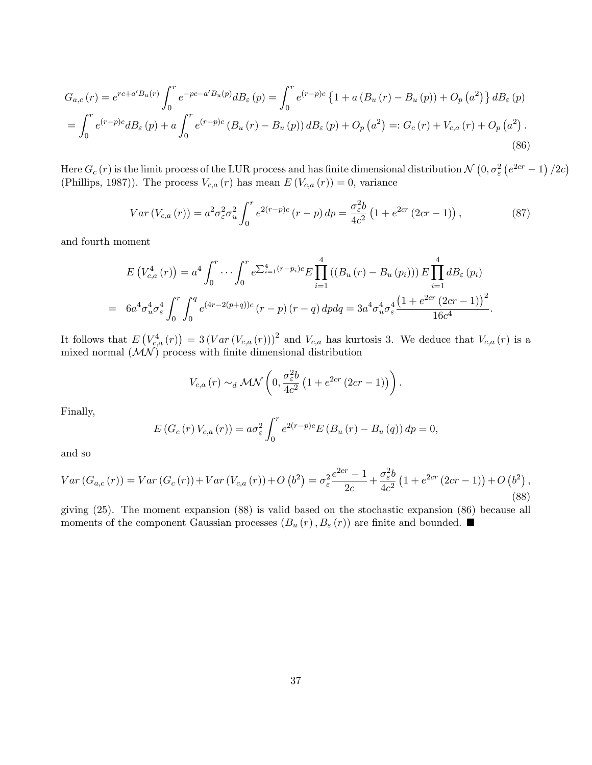$$
G_{a,c}(r) = e^{rc+a'B_u(r)} \int_0^r e^{-pc-a'B_u(p)} dB_{\varepsilon}(p) = \int_0^r e^{(r-p)c} \left\{ 1 + a \left( B_u(r) - B_u(p) \right) + O_p(a^2) \right\} dB_{\varepsilon}(p)
$$
  
= 
$$
\int_0^r e^{(r-p)c} dB_{\varepsilon}(p) + a \int_0^r e^{(r-p)c} \left( B_u(r) - B_u(p) \right) dB_{\varepsilon}(p) + O_p(a^2) =: G_c(r) + V_{c,a}(r) + O_p(a^2).
$$
 (86)

Here  $G_c(r)$  is the limit process of the LUR process and has finite dimensional distribution  $\mathcal{N}(0, \sigma_{\varepsilon}^2 (e^{2cr} - 1) / 2c)$ (Phillips, 1987)). The process  $V_{c,a}(r)$  has mean  $E(V_{c,a}(r))=0$ , variance

$$
Var\left(V_{c,a}\left(r\right)\right) = a^2 \sigma_{\varepsilon}^2 \sigma_u^2 \int_0^r e^{2(r-p)c} \left(r-p\right) dp = \frac{\sigma_{\varepsilon}^2 b}{4c^2} \left(1 + e^{2cr} \left(2cr - 1\right)\right),\tag{87}
$$

and fourth moment

$$
E\left(V_{c,a}^4(r)\right) = a^4 \int_0^r \cdots \int_0^r e^{\sum_{i=1}^4 (r-p_i)c} E \prod_{i=1}^4 \left(\left(B_u\left(r\right) - B_u\left(p_i\right)\right)\right) E \prod_{i=1}^4 dB_{\varepsilon}(p_i)
$$
  
=  $6a^4 \sigma_u^4 \sigma_\varepsilon^4 \int_0^r \int_0^q e^{(4r-2(p+q))c} (r-p) (r-q) dp dq = 3a^4 \sigma_u^4 \sigma_\varepsilon^4 \frac{\left(1+e^{2cr}\left(2cr-1\right)\right)^2}{16c^4}.$ 

It follows that  $E(V_{c,a}^4(r)) = 3(Var(V_{c,a}(r)))^2$  and  $V_{c,a}$  has kurtosis 3. We deduce that  $V_{c,a}(r)$  is a mixed normal  $(MN)$  process with finite dimensional distribution

$$
V_{c,a} (r) \sim_d \mathcal{MN} \left( 0, \frac{\sigma_\varepsilon^2 b}{4c^2} \left( 1 + e^{2cr} \left( 2cr - 1 \right) \right) \right).
$$

Finally,

$$
E\left(G_c\left(r\right)V_{c,a}\left(r\right)\right) = a\sigma_{\varepsilon}^2 \int_0^r e^{2(r-p)c} E\left(B_u\left(r\right) - B_u\left(q\right)\right) dp = 0,
$$

and so

$$
Var(G_{a,c}(r)) = Var(G_c(r)) + Var(V_{c,a}(r)) + O(b^2) = \sigma_{\varepsilon}^2 \frac{e^{2cr} - 1}{2c} + \frac{\sigma_{\varepsilon}^2 b}{4c^2} \left(1 + e^{2cr} (2cr - 1)\right) + O(b^2),
$$
\n(88)

giving (25). The moment expansion (88) is valid based on the stochastic expansion (86) because all moments of the component Gaussian processes  $(B_u(r), B_{\varepsilon}(r))$  are finite and bounded.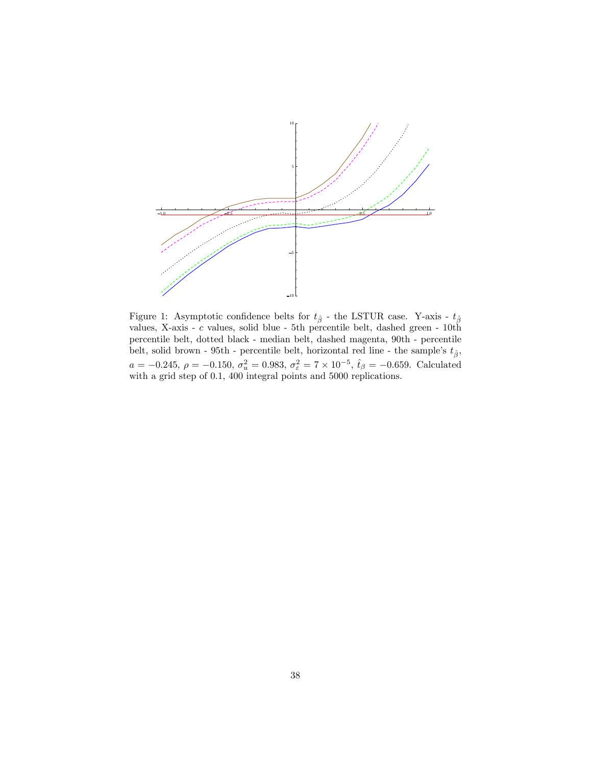

Figure 1: Asymptotic confidence belts for  $t_{\hat{\beta}}$  - the LSTUR case. Y-axis -  $t_{\hat{\beta}}$ values, X-axis - c values, solid blue - 5th percentile belt, dashed green - 10th percentile belt, dotted black - median belt, dashed magenta, 90th - percentile belt, solid brown - 95th - percentile belt, horizontal red line - the sample's  $t_{\hat{\beta}},$  $a = -0.245, \rho = -0.150, \sigma_u^2 = 0.983, \sigma_\varepsilon^2 = 7 \times 10^{-5}, \hat{t}_\beta = -0.659$ . Calculated with a grid step of 0.1, 400 integral points and 5000 replications.